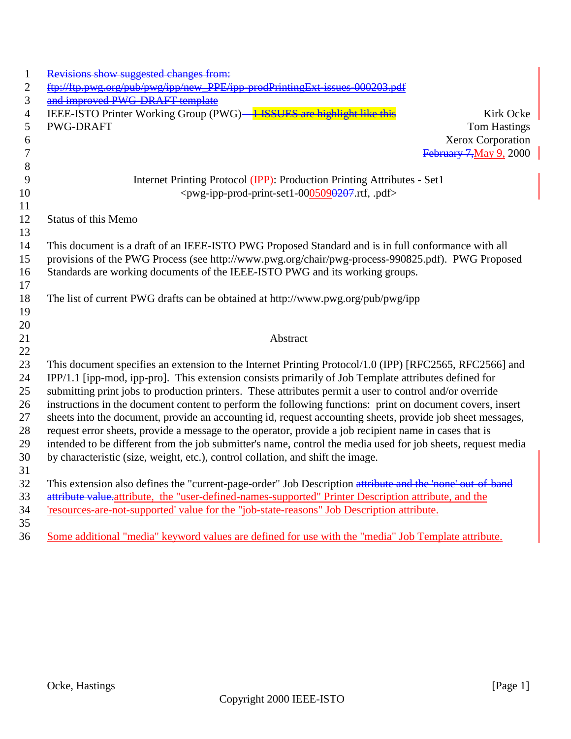| $\mathbf{1}$   | Revisions show suggested changes from:                                                                       |                         |
|----------------|--------------------------------------------------------------------------------------------------------------|-------------------------|
| $\overline{2}$ | ftp://ftp.pwg.org/pub/pwg/ipp/new_PPE/ipp-prodPrintingExt-issues-000203                                      |                         |
| 3              | and improved PWG-DRAFT template                                                                              |                         |
| $\overline{4}$ | IEEE-ISTO Printer Working Group (PWG) 1 ISSUES are highlight like this                                       | Kirk Ocke               |
| 5              | <b>PWG-DRAFT</b>                                                                                             | <b>Tom Hastings</b>     |
| 6              |                                                                                                              | Xerox Corporation       |
| 7              |                                                                                                              | February 7, May 9, 2000 |
| 8              |                                                                                                              |                         |
| 9              | Internet Printing Protocol (IPP): Production Printing Attributes - Set1                                      |                         |
| 10             | <pwg-ipp-prod-print-set1-0005090207.rtf, .pdf=""></pwg-ipp-prod-print-set1-0005090207.rtf,>                  |                         |
| 11             |                                                                                                              |                         |
| 12             | <b>Status of this Memo</b>                                                                                   |                         |
| 13             |                                                                                                              |                         |
| 14             | This document is a draft of an IEEE-ISTO PWG Proposed Standard and is in full conformance with all           |                         |
| 15             | provisions of the PWG Process (see http://www.pwg.org/chair/pwg-process-990825.pdf). PWG Proposed            |                         |
| 16             | Standards are working documents of the IEEE-ISTO PWG and its working groups.                                 |                         |
| 17             |                                                                                                              |                         |
| 18             | The list of current PWG drafts can be obtained at http://www.pwg.org/pub/pwg/ipp                             |                         |
| 19             |                                                                                                              |                         |
| 20             |                                                                                                              |                         |
| 21             | Abstract                                                                                                     |                         |
| 22             |                                                                                                              |                         |
| 23             | This document specifies an extension to the Internet Printing Protocol/1.0 (IPP) [RFC2565, RFC2566] and      |                         |
| 24             | IPP/1.1 [ipp-mod, ipp-pro]. This extension consists primarily of Job Template attributes defined for         |                         |
| 25             | submitting print jobs to production printers. These attributes permit a user to control and/or override      |                         |
| 26             | instructions in the document content to perform the following functions: print on document covers, insert    |                         |
| 27             | sheets into the document, provide an accounting id, request accounting sheets, provide job sheet messages,   |                         |
| 28             | request error sheets, provide a message to the operator, provide a job recipient name in cases that is       |                         |
| 29             | intended to be different from the job submitter's name, control the media used for job sheets, request media |                         |
| 30             | by characteristic (size, weight, etc.), control collation, and shift the image.                              |                         |
| 31             |                                                                                                              |                         |
| 32             | This extension also defines the "current-page-order" Job Description attribute and the 'none' out-of-band    |                         |
| 33             | attribute value.attribute, the "user-defined-names-supported" Printer Description attribute, and the         |                         |
| 34             | 'resources-are-not-supported' value for the "job-state-reasons" Job Description attribute.                   |                         |
| 35             |                                                                                                              |                         |
| 36             | Some additional "media" keyword values are defined for use with the "media" Job Template attribute.          |                         |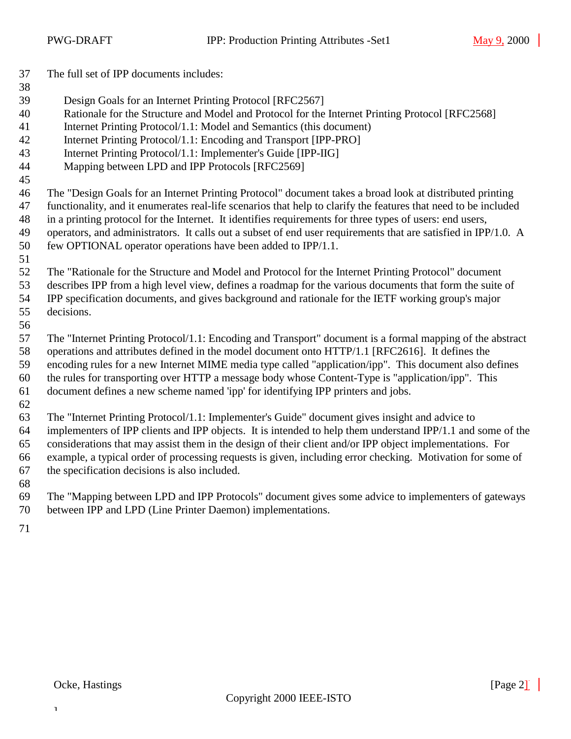The full set of IPP documents includes: Design Goals for an Internet Printing Protocol [RFC2567] Rationale for the Structure and Model and Protocol for the Internet Printing Protocol [RFC2568] Internet Printing Protocol/1.1: Model and Semantics (this document) Internet Printing Protocol/1.1: Encoding and Transport [IPP-PRO] Internet Printing Protocol/1.1: Implementer's Guide [IPP-IIG] Mapping between LPD and IPP Protocols [RFC2569] The "Design Goals for an Internet Printing Protocol" document takes a broad look at distributed printing functionality, and it enumerates real-life scenarios that help to clarify the features that need to be included in a printing protocol for the Internet. It identifies requirements for three types of users: end users, operators, and administrators. It calls out a subset of end user requirements that are satisfied in IPP/1.0. A few OPTIONAL operator operations have been added to IPP/1.1. The "Rationale for the Structure and Model and Protocol for the Internet Printing Protocol" document describes IPP from a high level view, defines a roadmap for the various documents that form the suite of IPP specification documents, and gives background and rationale for the IETF working group's major decisions. The "Internet Printing Protocol/1.1: Encoding and Transport" document is a formal mapping of the abstract operations and attributes defined in the model document onto HTTP/1.1 [RFC2616]. It defines the encoding rules for a new Internet MIME media type called "application/ipp". This document also defines the rules for transporting over HTTP a message body whose Content-Type is "application/ipp". This document defines a new scheme named 'ipp' for identifying IPP printers and jobs. The "Internet Printing Protocol/1.1: Implementer's Guide" document gives insight and advice to implementers of IPP clients and IPP objects. It is intended to help them understand IPP/1.1 and some of the considerations that may assist them in the design of their client and/or IPP object implementations. For example, a typical order of processing requests is given, including error checking. Motivation for some of

- the specification decisions is also included.
- The "Mapping between LPD and IPP Protocols" document gives some advice to implementers of gateways between IPP and LPD (Line Printer Daemon) implementations.
-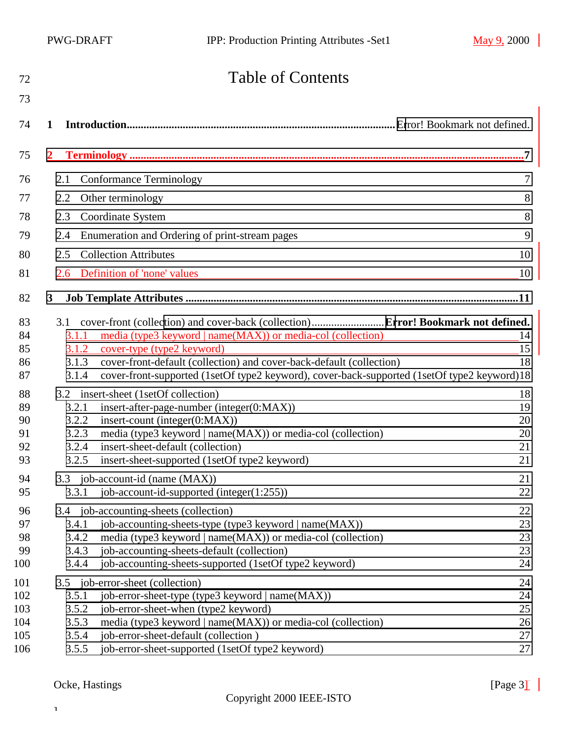# Table of Contents

| 73  |       |                                                                                             |    |
|-----|-------|---------------------------------------------------------------------------------------------|----|
| 74  | 1     |                                                                                             |    |
| 75  |       |                                                                                             |    |
| 76  | 2.1   | Conformance Terminology                                                                     | 7  |
| 77  | 2.2   | Other terminology                                                                           | 8  |
| 78  | 2.3   | Coordinate System                                                                           | 8  |
| 79  | 2.4   | Enumeration and Ordering of print-stream pages                                              | 9  |
| 80  | 2.5   | <b>Collection Attributes</b>                                                                | 10 |
|     |       |                                                                                             |    |
| 81  | 2.6   | Definition of 'none' values                                                                 | 10 |
| 82  | 3     |                                                                                             |    |
| 83  |       |                                                                                             |    |
| 84  | 3.1.1 | media (type3 keyword   name(MAX)) or media-col (collection)                                 | 14 |
| 85  |       | 3.1.2 cover-type (type2 keyword)                                                            | 15 |
| 86  | 3.1.3 | cover-front-default (collection) and cover-back-default (collection)                        | 18 |
| 87  | 3.1.4 | cover-front-supported (1setOf type2 keyword), cover-back-supported (1setOf type2 keyword)18 |    |
| 88  |       | 3.2 insert-sheet (1setOf collection)                                                        | 18 |
| 89  | 3.2.1 | insert-after-page-number (integer(0:MAX))                                                   | 19 |
| 90  | 3.2.2 | insert-count (integer(0:MAX))                                                               | 20 |
| 91  | 3.2.3 | media (type3 keyword   name(MAX)) or media-col (collection)                                 | 20 |
| 92  | 3.2.4 | insert-sheet-default (collection)                                                           | 21 |
| 93  | 3.2.5 | insert-sheet-supported (1setOf type2 keyword)                                               | 21 |
| 94  |       | 3.3 job-account-id (name (MAX))                                                             | 21 |
| 95  | 3.3.1 | job-account-id-supported (integer $(1:255)$ )                                               | 22 |
| 96  |       | 3.4 job-accounting-sheets (collection)                                                      | 22 |
| 97  | 3.4.1 | job-accounting-sheets-type (type3 keyword   name(MAX))                                      | 23 |
| 98  | 3.4.2 | media (type3 keyword   name(MAX)) or media-col (collection)                                 | 23 |
| 99  | 3.4.3 | job-accounting-sheets-default (collection)                                                  | 23 |
| 100 | 3.4.4 | job-accounting-sheets-supported (1setOf type2 keyword)                                      | 24 |
| 101 |       | 3.5 job-error-sheet (collection)                                                            | 24 |
| 102 | 3.5.1 | job-error-sheet-type (type3 keyword   name(MAX))                                            | 24 |
| 103 | 3.5.2 | job-error-sheet-when (type2 keyword)                                                        | 25 |
| 104 | 3.5.3 | media (type3 keyword   name(MAX)) or media-col (collection)                                 | 26 |
| 105 | 3.5.4 | job-error-sheet-default (collection)                                                        | 27 |
| 106 | 3.5.5 | job-error-sheet-supported (1setOf type2 keyword)                                            | 27 |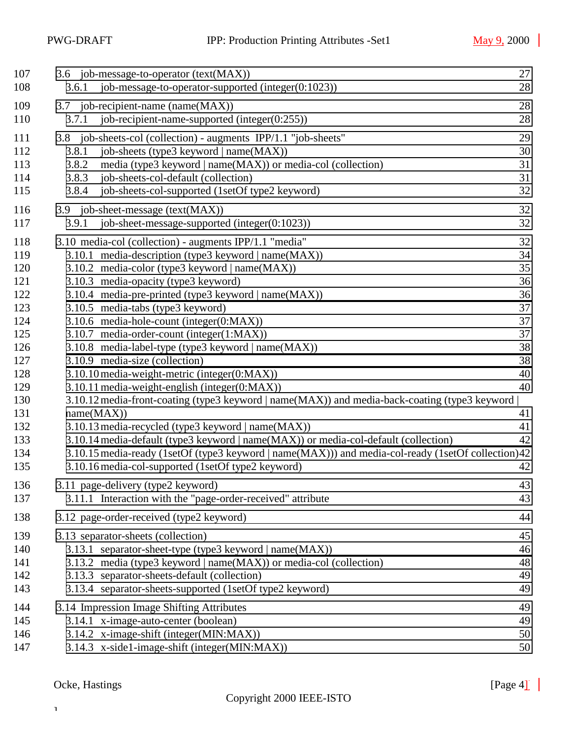| 107<br>108                                                                                                                 | 3.6 job-message-to-operator (text(MAX))<br>job-message-to-operator-supported (integer(0:1023))<br>3.6.1                                                                                                                                                                                                                                                                                                                                                                                                                                                                                                                                                                                                                                                                                                                                                                                                                                                                                                          | 27<br>28                                                                                     |
|----------------------------------------------------------------------------------------------------------------------------|------------------------------------------------------------------------------------------------------------------------------------------------------------------------------------------------------------------------------------------------------------------------------------------------------------------------------------------------------------------------------------------------------------------------------------------------------------------------------------------------------------------------------------------------------------------------------------------------------------------------------------------------------------------------------------------------------------------------------------------------------------------------------------------------------------------------------------------------------------------------------------------------------------------------------------------------------------------------------------------------------------------|----------------------------------------------------------------------------------------------|
| 109<br>110                                                                                                                 | 3.7 job-recipient-name (name(MAX))<br>job-recipient-name-supported (integer $(0:255)$ )<br>3.7.1                                                                                                                                                                                                                                                                                                                                                                                                                                                                                                                                                                                                                                                                                                                                                                                                                                                                                                                 | 28<br>28                                                                                     |
| 111<br>112<br>113<br>114<br>115                                                                                            | 3.8 job-sheets-col (collection) - augments IPP/1.1 "job-sheets"<br>job-sheets (type3 keyword   name(MAX))<br>3.8.1<br>3.8.2<br>media (type3 keyword   name(MAX)) or media-col (collection)<br>job-sheets-col-default (collection)<br>3.8.3<br>3.8.4<br>job-sheets-col-supported (1setOf type2 keyword)                                                                                                                                                                                                                                                                                                                                                                                                                                                                                                                                                                                                                                                                                                           | 29<br>30<br>31<br>31<br>32                                                                   |
| 116<br>117                                                                                                                 | 3.9 job-sheet-message (text(MAX))<br>job-sheet-message-supported (integer $(0:1023)$ )<br>3.9.1                                                                                                                                                                                                                                                                                                                                                                                                                                                                                                                                                                                                                                                                                                                                                                                                                                                                                                                  | 32<br>32                                                                                     |
| 118<br>119<br>120<br>121<br>122<br>123<br>124<br>125<br>126<br>127<br>128<br>129<br>130<br>131<br>132<br>133<br>134<br>135 | 3.10 media-col (collection) - augments IPP/1.1 "media"<br>3.10.1 media-description (type3 keyword   name(MAX))<br>3.10.2 media-color (type3 keyword   name(MAX))<br>3.10.3 media-opacity (type3 keyword)<br>3.10.4 media-pre-printed (type3 keyword   name(MAX))<br>3.10.5 media-tabs (type3 keyword)<br>3.10.6 media-hole-count (integer(0:MAX))<br>3.10.7 media-order-count (integer(1:MAX))<br>3.10.8 media-label-type (type3 keyword   name(MAX))<br>3.10.9 media-size (collection)<br>3.10.10 media-weight-metric (integer(0:MAX))<br>3.10.11 media-weight-english (integer(0:MAX))<br>3.10.12 media-front-coating (type3 keyword   name(MAX)) and media-back-coating (type3 keyword<br>name(MAX))<br>3.10.13 media-recycled (type3 keyword   name(MAX))<br>3.10.14 media-default (type3 keyword   name(MAX)) or media-col-default (collection)<br>3.10.15 media-ready (1setOf (type3 keyword   name(MAX))) and media-col-ready (1setOf collection)42<br>3.10.16 media-col-supported (1setOf type2 keyword) | 32<br>34<br>35<br>36<br>36<br>37<br>37<br>37<br>38<br>38<br>40<br>40<br>41<br>41<br>42<br>42 |
| 136<br>137                                                                                                                 | 3.11 page-delivery (type2 keyword)<br>3.11.1 Interaction with the "page-order-received" attribute                                                                                                                                                                                                                                                                                                                                                                                                                                                                                                                                                                                                                                                                                                                                                                                                                                                                                                                | 43<br>43                                                                                     |
| 138                                                                                                                        | 3.12 page-order-received (type2 keyword)                                                                                                                                                                                                                                                                                                                                                                                                                                                                                                                                                                                                                                                                                                                                                                                                                                                                                                                                                                         | 44                                                                                           |
| 139<br>140<br>141<br>142<br>143                                                                                            | 3.13 separator-sheets (collection)<br>3.13.1 separator-sheet-type (type3 keyword   name(MAX))<br>3.13.2 media (type3 keyword   name(MAX)) or media-col (collection)<br>3.13.3 separator-sheets-default (collection)<br>3.13.4 separator-sheets-supported (1setOf type2 keyword)                                                                                                                                                                                                                                                                                                                                                                                                                                                                                                                                                                                                                                                                                                                                  | 45<br>46<br>48<br>49<br>49                                                                   |
| 144<br>145<br>146<br>147                                                                                                   | 3.14 Impression Image Shifting Attributes<br>3.14.1 x-image-auto-center (boolean)<br>3.14.2 x-image-shift (integer(MIN:MAX))<br>3.14.3 x-side1-image-shift (integer(MIN:MAX))                                                                                                                                                                                                                                                                                                                                                                                                                                                                                                                                                                                                                                                                                                                                                                                                                                    | 49<br>49<br>50<br>50                                                                         |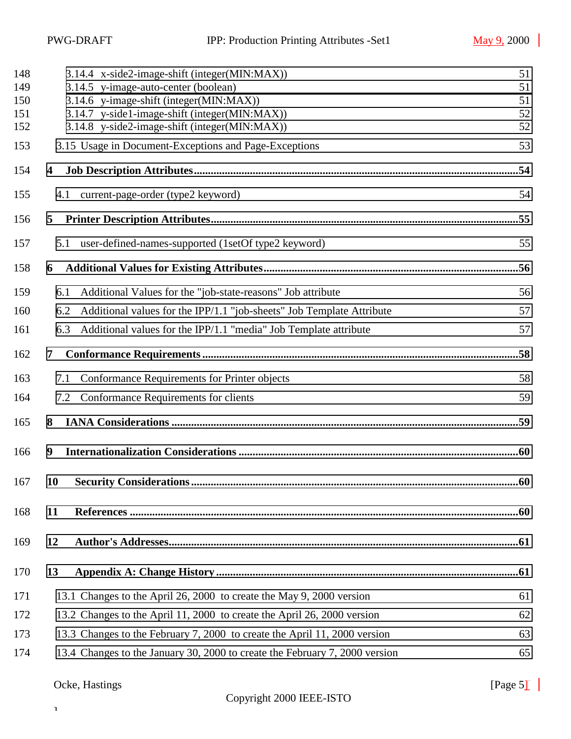| 51  |
|-----|
| 51  |
| 51  |
| 52  |
| 52  |
| 53  |
|     |
| 54  |
|     |
| 55  |
| .56 |
| 56  |
| 57  |
| 57  |
|     |
|     |
| 58  |
| 59  |
|     |
|     |
| .60 |
|     |
|     |
|     |
| 61  |
| 62  |
| 63  |
|     |

# Ocke, Hastings [Page 5] [Page 5] [Page 5] [Page 5] [Page 5] [Page 5] [Page 5] [Page 5] [Page 5] [Page 5] [Page 5] [Page 5] [Page 5] [Page 5] [Page 5] [Page 5] [Page 5] [Page 5] [Page 5] [Page 5] [Page 5] [Page 5] [Page 5]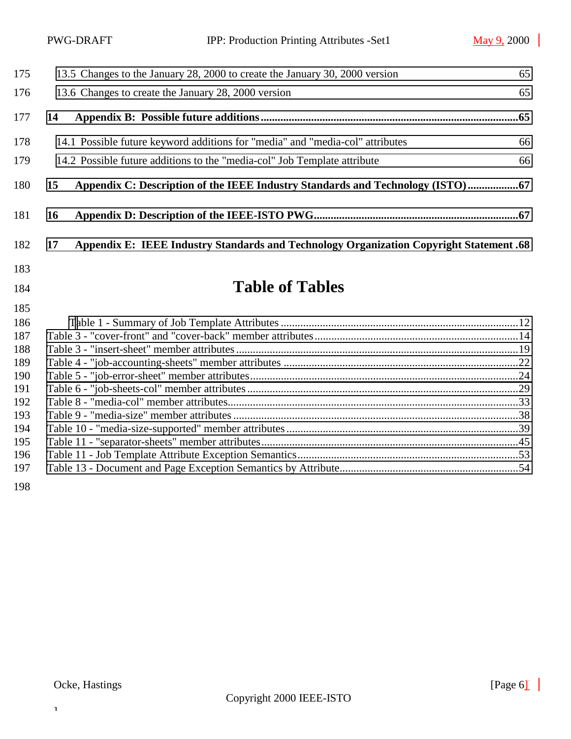| 175 |                                                                                | 13.5 Changes to the January 28, 2000 to create the January 30, 2000 version             | 65 |  |
|-----|--------------------------------------------------------------------------------|-----------------------------------------------------------------------------------------|----|--|
| 176 | 13.6 Changes to create the January 28, 2000 version<br>65                      |                                                                                         |    |  |
| 177 | 14                                                                             |                                                                                         |    |  |
| 178 |                                                                                | 14.1 Possible future keyword additions for "media" and "media-col" attributes           | 66 |  |
| 179 | 14.2 Possible future additions to the "media-col" Job Template attribute<br>66 |                                                                                         |    |  |
| 180 | 15                                                                             | Appendix C: Description of the IEEE Industry Standards and Technology (ISTO)            |    |  |
| 181 | <b>16</b>                                                                      |                                                                                         |    |  |
| 182 | 17                                                                             | Appendix E: IEEE Industry Standards and Technology Organization Copyright Statement .68 |    |  |
| 183 |                                                                                |                                                                                         |    |  |
| 184 |                                                                                | <b>Table of Tables</b>                                                                  |    |  |

| 186 |  |
|-----|--|
| 187 |  |
| 188 |  |
| 189 |  |
| 190 |  |
| 191 |  |
| 192 |  |
| 193 |  |
| 194 |  |
| 195 |  |
| 196 |  |
| 197 |  |
|     |  |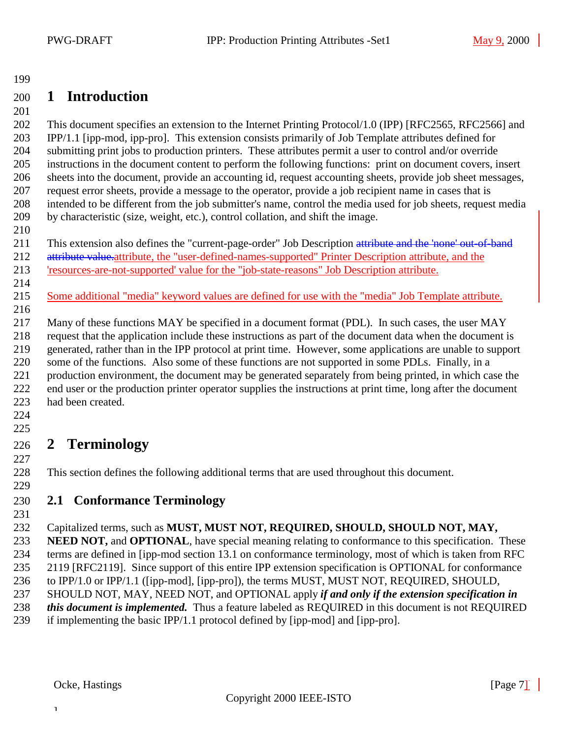# <span id="page-6-0"></span>**1 Introduction**

 This document specifies an extension to the Internet Printing Protocol/1.0 (IPP) [RFC2565, RFC2566] and IPP/1.1 [ipp-mod, ipp-pro]. This extension consists primarily of Job Template attributes defined for submitting print jobs to production printers. These attributes permit a user to control and/or override instructions in the document content to perform the following functions: print on document covers, insert sheets into the document, provide an accounting id, request accounting sheets, provide job sheet messages, request error sheets, provide a message to the operator, provide a job recipient name in cases that is intended to be different from the job submitter's name, control the media used for job sheets, request media by characteristic (size, weight, etc.), control collation, and shift the image.

211 This extension also defines the "current-page-order" Job Description attribute and the 'none' out-of-band

- 212 attribute value. attribute, the "user-defined-names-supported" Printer Description attribute, and the 'resources-are-not-supported' value for the "job-state-reasons" Job Description attribute.
- 

Some additional "media" keyword values are defined for use with the "media" Job Template attribute.

 Many of these functions MAY be specified in a document format (PDL). In such cases, the user MAY request that the application include these instructions as part of the document data when the document is generated, rather than in the IPP protocol at print time. However, some applications are unable to support some of the functions. Also some of these functions are not supported in some PDLs. Finally, in a production environment, the document may be generated separately from being printed, in which case the end user or the production printer operator supplies the instructions at print time, long after the document had been created.

#### 

# **2 Terminology**

This section defines the following additional terms that are used throughout this document.

### 

### **2.1 Conformance Terminology**

### Capitalized terms, such as **MUST, MUST NOT, REQUIRED, SHOULD, SHOULD NOT, MAY,**

 **NEED NOT,** and **OPTIONAL**, have special meaning relating to conformance to this specification. These terms are defined in [ipp-mod section 13.1 on conformance terminology, most of which is taken from RFC 2119 [RFC2119]. Since support of this entire IPP extension specification is OPTIONAL for conformance

to IPP/1.0 or IPP/1.1 ([ipp-mod], [ipp-pro]), the terms MUST, MUST NOT, REQUIRED, SHOULD,

- SHOULD NOT, MAY, NEED NOT, and OPTIONAL apply *if and only if the extension specification in*
- *this document is implemented.* Thus a feature labeled as REQUIRED in this document is not REQUIRED

if implementing the basic IPP/1.1 protocol defined by [ipp-mod] and [ipp-pro].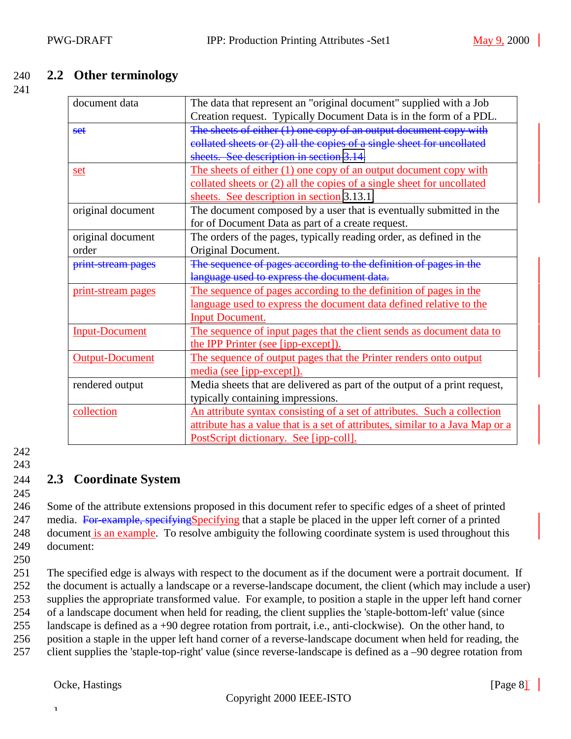### <span id="page-7-0"></span>240 **2.2 Other terminology**

241

| document data         | The data that represent an "original document" supplied with a Job            |
|-----------------------|-------------------------------------------------------------------------------|
|                       | Creation request. Typically Document Data is in the form of a PDL.            |
| set                   | The sheets of either (1) one copy of an output document copy with             |
|                       | collated sheets or $(2)$ all the copies of a single sheet for uncollated      |
|                       | sheets. See description in section 3.14.                                      |
| set                   | The sheets of either (1) one copy of an output document copy with             |
|                       | collated sheets or (2) all the copies of a single sheet for uncollated        |
|                       | sheets. See description in section 3.13.1.                                    |
| original document     | The document composed by a user that is eventually submitted in the           |
|                       | for of Document Data as part of a create request.                             |
| original document     | The orders of the pages, typically reading order, as defined in the           |
| order                 | Original Document.                                                            |
| print-stream pages    | The sequence of pages according to the definition of pages in the             |
|                       | language used to express the document data.                                   |
| print-stream pages    | The sequence of pages according to the definition of pages in the             |
|                       | language used to express the document data defined relative to the            |
|                       | <b>Input Document.</b>                                                        |
| <b>Input-Document</b> | The sequence of input pages that the client sends as document data to         |
|                       | the IPP Printer (see [ipp-except]).                                           |
| Output-Document       | The sequence of output pages that the Printer renders onto output             |
|                       | media (see [ipp-except]).                                                     |
| rendered output       | Media sheets that are delivered as part of the output of a print request,     |
|                       | typically containing impressions.                                             |
| collection            | An attribute syntax consisting of a set of attributes. Such a collection      |
|                       | attribute has a value that is a set of attributes, similar to a Java Map or a |
|                       | PostScript dictionary. See [ipp-coll].                                        |

242

243

245

### 244 **2.3 Coordinate System**

246 Some of the attribute extensions proposed in this document refer to specific edges of a sheet of printed 247 media. For example, specifying Specifying that a staple be placed in the upper left corner of a printed 248 document is an example. To resolve ambiguity the following coordinate system is used throughout this 249 document:

250

 The specified edge is always with respect to the document as if the document were a portrait document. If the document is actually a landscape or a reverse-landscape document, the client (which may include a user) supplies the appropriate transformed value. For example, to position a staple in the upper left hand corner of a landscape document when held for reading, the client supplies the 'staple-bottom-left' value (since landscape is defined as a +90 degree rotation from portrait, i.e., anti-clockwise). On the other hand, to position a staple in the upper left hand corner of a reverse-landscape document when held for reading, the client supplies the 'staple-top-right' value (since reverse-landscape is defined as a –90 degree rotation from

Ocke, Hastings [Page 8]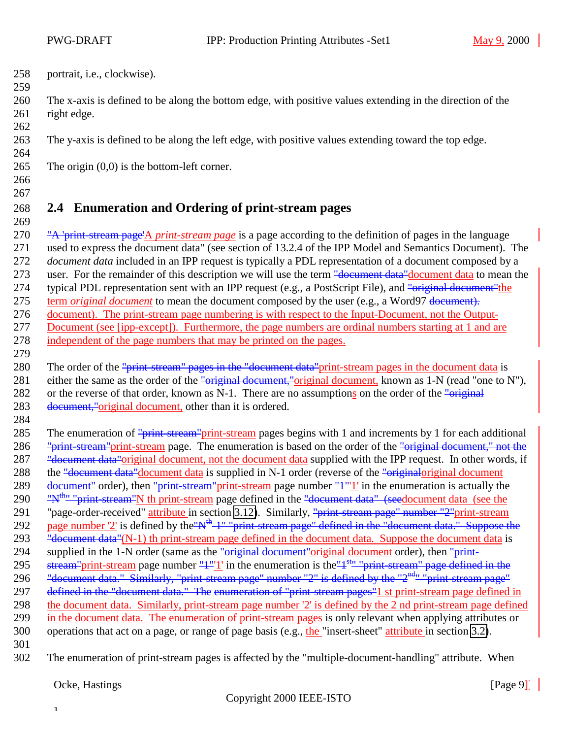<span id="page-8-0"></span>258 portrait, i.e., clockwise). 259

260 The x-axis is defined to be along the bottom edge, with positive values extending in the direction of the 261 right edge.

263 The y-axis is defined to be along the left edge, with positive values extending toward the top edge.

- 265 The origin  $(0,0)$  is the bottom-left corner.
- 266 267

262

264

268 **2.4 Enumeration and Ordering of print-stream pages** 269

270 "A 'print-stream page'A *print-stream page* is a page according to the definition of pages in the language 271 used to express the document data" (see section of 13.2.4 of the IPP Model and Semantics Document). The 272 *document data* included in an IPP request is typically a PDL representation of a document composed by a 273 user. For the remainder of this description we will use the term <del>"document data"</del>document data to mean the 274 typical PDL representation sent with an IPP request (e.g., a PostScript File), and "original document" the 275 term *original document* to mean the document composed by the user (e.g., a Word97 document). 276 document). The print-stream page numbering is with respect to the Input-Document, not the Output-277 Document (see [ipp-except]). Furthermore, the page numbers are ordinal numbers starting at 1 and are 278 independent of the page numbers that may be printed on the pages. 279

280 The order of the "print-stream" pages in the "document data" print-stream pages in the document data is 281 either the same as the order of the "original document," original document, known as 1-N (read "one to N"),

282 or the reverse of that order, known as N-1. There are no assumptions on the order of the "original"

283 document, "original document, other than it is ordered. 284

285 The enumeration of "print-stream" print-stream pages begins with 1 and increments by 1 for each additional 286 "print-stream" print-stream page. The enumeration is based on the order of the "original document," not the 287 "<del>document data"</del>original document, not the document data supplied with the IPP request. In other words, if 288 the "document data" document data is supplied in N-1 order (reverse of the "original original document 289 document" order), then "print-stream" print-stream page number "<sup>1"</sup>"<sup>1</sup>" in the enumeration is actually the 290 " $\frac{m}{n}$ " "print-stream"N th print-stream page defined in the "<del>document data" (seed</del>ocument data (see the 291 "page-order-received" attribute in section [3.12\)](#page-43-0). Similarly, "print-stream page" number "2" print-stream 292 page number '2' is defined by the "N<sup>th</sup> 1" "print-stream page" defined in the "document data." Suppose the 293 "<del>document data"</del>(N-1) th print-stream page defined in the document data. Suppose the document data is 294 supplied in the 1-N order (same as the "original document" original document order), then "print-295 stream" print-stream page number " $1$ "'<sup>1</sup>" in the enumeration is the  $1<sup>st</sup>$ " "print-stream" page defined in the 296 "document data." Similarly, "print-stream page" number "2" is defined by the "2<sup>nd</sup>" "print-stream page" 297 defined in the "document data." The enumeration of "print-stream pages" 1 st print-stream page defined in 298 the document data. Similarly, print-stream page number '2' is defined by the 2 nd print-stream page defined 299 in the document data. The enumeration of print-stream pages is only relevant when applying attributes or 300 operations that act on a page, or range of page basis (e.g., the "insert-sheet" attribute in section [3.2\)](#page-17-0). 301

302 The enumeration of print-stream pages is affected by the "multiple-document-handling" attribute. When

Ocke, Hastings [Page 9] [Page 9]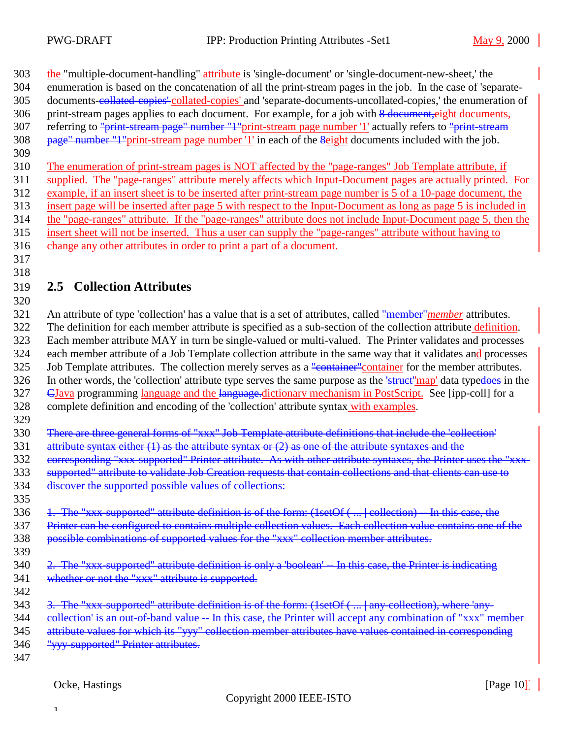303 the "multiple-document-handling" attribute is 'single-document' or 'single-document-new-sheet,' the

- enumeration is based on the concatenation of all the print-stream pages in the job. In the case of 'separate-
- 305 documents-collated-copies' collated-copies' and 'separate-documents-uncollated-copies,' the enumeration of
- 306 print-stream pages applies to each document. For example, for a job with 8 document, eight documents, 307 referring to "print-stream page" number "1"print-stream page number '1' actually refers to "print-stream
- 308 page" number "1"print-stream page number '1' in each of the *Seight* documents included with the job.
- 

 The enumeration of print-stream pages is NOT affected by the "page-ranges" Job Template attribute, if supplied. The "page-ranges" attribute merely affects which Input-Document pages are actually printed. For example, if an insert sheet is to be inserted after print-stream page number is 5 of a 10-page document, the insert page will be inserted after page 5 with respect to the Input-Document as long as page 5 is included in the "page-ranges" attribute. If the "page-ranges" attribute does not include Input-Document page 5, then the insert sheet will not be inserted. Thus a user can supply the "page-ranges" attribute without having to

change any other attributes in order to print a part of a document.

#### **2.5 Collection Attributes**

 An attribute of type 'collection' has a value that is a set of attributes, called "member"*member* attributes. The definition for each member attribute is specified as a sub-section of the collection attribute definition. Each member attribute MAY in turn be single-valued or multi-valued. The Printer validates and processes 324 each member attribute of a Job Template collection attribute in the same way that it validates and processes 325 Job Template attributes. The collection merely serves as a "container" container for the member attributes. 326 In other words, the 'collection' attribute type serves the same purpose as the 'struct''map' data typedoes in the 327 EJava programming language and the language.dictionary mechanism in PostScript. See [ipp-coll] for a complete definition and encoding of the 'collection' attribute syntax with examples.

There are three general forms of "xxx" Job Template attribute definitions that include the 'collection'

331 attribute syntax either  $(1)$  as the attribute syntax or  $(2)$  as one of the attribute syntaxes and the

332 eorresponding "xxx-supported" Printer attribute. As with other attribute syntaxes, the Printer uses the "xxx-

- supported" attribute to validate Job Creation requests that contain collections and that clients can use to
- discover the supported possible values of collections:
- 336 1. The "xxx-supported" attribute definition is of the form: (1setOf (... | collection) -- In this case, the Printer can be configured to contains multiple collection values. Each collection value contains one of the possible combinations of supported values for the "xxx" collection member attributes.
- 2. The "xxx-supported" attribute definition is only a 'boolean' -- In this case, the Printer is indicating 341 whether or not the "xxx" attribute is supported.
- 

- 343 3. The "xxx-supported" attribute definition is of the form: (1setOf (... | any-collection), where 'any-
- 344 collection' is an out-of-band value -- In this case, the Printer will accept any combination of "xxx" member
- attribute values for which its "yyy" collection member attributes have values contained in corresponding
- "yyy-supported" Printer attributes.
-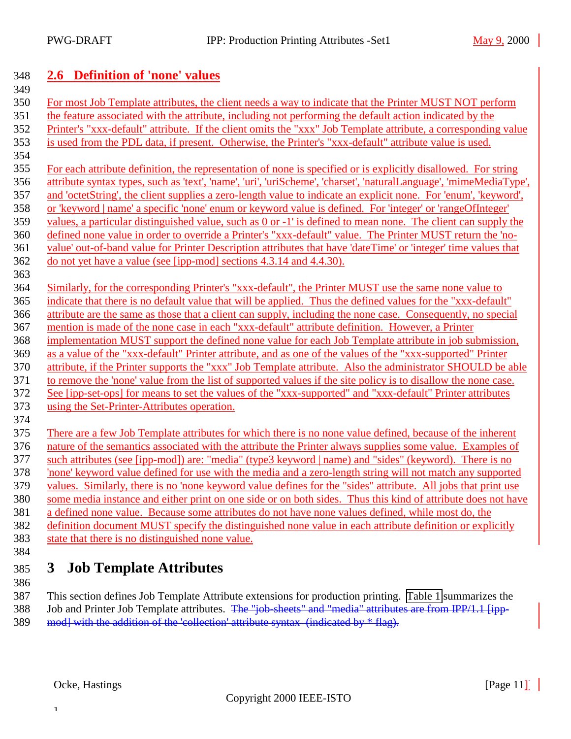### <span id="page-10-0"></span>**2.6 Definition of 'none' values**

 For most Job Template attributes, the client needs a way to indicate that the Printer MUST NOT perform the feature associated with the attribute, including not performing the default action indicated by the Printer's "xxx-default" attribute. If the client omits the "xxx" Job Template attribute, a corresponding value is used from the PDL data, if present. Otherwise, the Printer's "xxx-default" attribute value is used. For each attribute definition, the representation of none is specified or is explicitly disallowed. For string attribute syntax types, such as 'text', 'name', 'uri', 'uriScheme', 'charset', 'naturalLanguage', 'mimeMediaType', and 'octetString', the client supplies a zero-length value to indicate an explicit none. For 'enum', 'keyword', or 'keyword | name' a specific 'none' enum or keyword value is defined. For 'integer' or 'rangeOfInteger' values, a particular distinguished value, such as 0 or -1' is defined to mean none. The client can supply the defined none value in order to override a Printer's "xxx-default" value. The Printer MUST return the 'no- value' out-of-band value for Printer Description attributes that have 'dateTime' or 'integer' time values that do not yet have a value (see [ipp-mod] sections 4.3.14 and 4.4.30). Similarly, for the corresponding Printer's "xxx-default", the Printer MUST use the same none value to indicate that there is no default value that will be applied. Thus the defined values for the "xxx-default" attribute are the same as those that a client can supply, including the none case. Consequently, no special mention is made of the none case in each "xxx-default" attribute definition. However, a Printer implementation MUST support the defined none value for each Job Template attribute in job submission, as a value of the "xxx-default" Printer attribute, and as one of the values of the "xxx-supported" Printer attribute, if the Printer supports the "xxx" Job Template attribute. Also the administrator SHOULD be able to remove the 'none' value from the list of supported values if the site policy is to disallow the none case. See [ipp-set-ops] for means to set the values of the "xxx-supported" and "xxx-default" Printer attributes using the Set-Printer-Attributes operation. There are a few Job Template attributes for which there is no none value defined, because of the inherent nature of the semantics associated with the attribute the Printer always supplies some value. Examples of such attributes (see [ipp-mod]) are: "media" (type3 keyword | name) and "sides" (keyword). There is no 'none' keyword value defined for use with the media and a zero-length string will not match any supported values. Similarly, there is no 'none keyword value defines for the "sides" attribute. All jobs that print use some media instance and either print on one side or on both sides. Thus this kind of attribute does not have a defined none value. Because some attributes do not have none values defined, while most do, the definition document MUST specify the distinguished none value in each attribute definition or explicitly

- state that there is no distinguished none value.
- 

# **3 Job Template Attributes**

 This section defines Job Template Attribute extensions for production printing. [Table 1](#page-11-0) summarizes the 388 Job and Printer Job Template attributes. The "job sheets" and "media" attributes are from IPP/1.1 [ipp-389 mod] with the addition of the 'collection' attribute syntax (indicated by \* flag).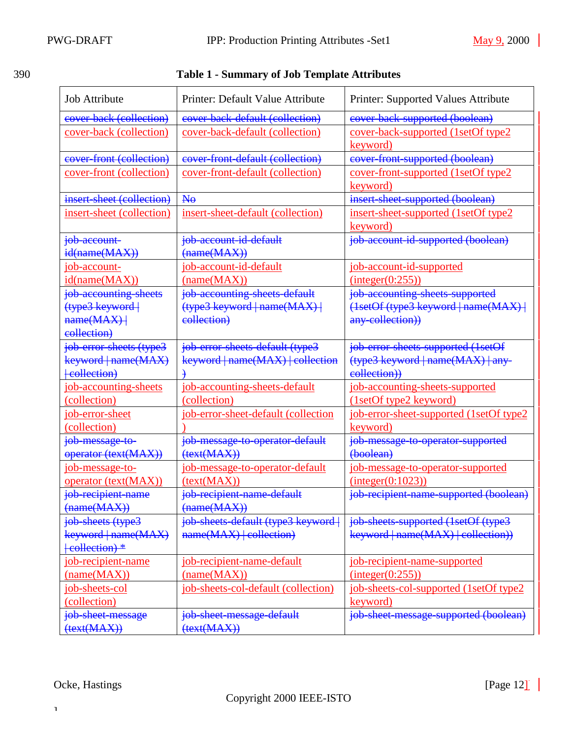# <span id="page-11-0"></span>390 **Table 1 - Summary of Job Template Attributes**

| <b>Job Attribute</b>           | Printer: Default Value Attribute    | Printer: Supported Values Attribute            |
|--------------------------------|-------------------------------------|------------------------------------------------|
| cover-back (collection)        | cover-back-default (collection)     | cover back supported (boolean)                 |
| <u>cover-back (collection)</u> | cover-back-default (collection)     | cover-back-supported (1setOf type2<br>keyword) |
| cover-front (collection)       | cover-front-default (collection)    | cover-front-supported (boolean)                |
| cover-front (collection)       | cover-front-default (collection)    | <u>cover-front-supported (1setOf type2</u>     |
|                                |                                     | keyword)                                       |
| insert-sheet (collection)      | H <sub>0</sub>                      | insert-sheet-supported (boolean)               |
| insert-sheet (collection)      | insert-sheet-default (collection)   | insert-sheet-supported (1setOf type2           |
|                                |                                     | keyword)                                       |
| job-account-                   | job-account-id-default              | job-account-id-supported (boolean)             |
| id(name(MAX))                  | $(\text{name}(MAX))$                |                                                |
| job-account-                   | job-account-id-default              | job-account-id-supported                       |
| id(name(MAX))                  | (name(MAX))                         | (integer(0:255))                               |
| job accounting sheets          | job accounting sheets default       | job accounting sheets supported                |
| (type3 keyword                 | (type3 keyword   name(MAX)          | (1setOf (type3 keyword   name(MAX)             |
| name(MAX)                      | eollection)                         | any-collection))                               |
| eollection)                    |                                     |                                                |
| job-error-sheets (type3        | job-error-sheets-default (type3     | job-error-sheets-supported (1setOf             |
| keyword   name(MAX)            | keyword   name(MAX)   collection    | (type3 keyword   name(MAX)   any-              |
| +collection)                   |                                     | eollection))                                   |
| job-accounting-sheets          | job-accounting-sheets-default       | job-accounting-sheets-supported                |
| (collection)                   | (collection)                        | (1setOf type2 keyword)                         |
| job-error-sheet                | job-error-sheet-default (collection | job-error-sheet-supported (1setOf type2        |
| (collection)                   |                                     | keyword)                                       |
| job-message-to-                | job-message-to-operator-default     | job-message-to-operator-supported              |
| operator (text(MAX))           | $(\text{text}(\text{MAX}))$         | (boolean)                                      |
| job-message-to-                | job-message-to-operator-default     | job-message-to-operator-supported              |
| operator (text(MAX))           | (text(MAX))                         | interger(0:1023)                               |
| job recipient name             | job recipient name default          | job recipient name supported (boolean)         |
| (name(MAX))                    | (name(MAX))                         |                                                |
| job-sheets (type3              | job sheets default (type3 keyword   | job sheets supported (1setOf (type3            |
| keyword   name(MAX)            | name(MAX)   collection)             | keyword   name(MAX)   collection))             |
| eollection) *                  |                                     |                                                |
| job-recipient-name             | job-recipient-name-default          | job-recipient-name-supported                   |
| (name(MAX))                    | (name(MAX))                         | (integer(0:255))                               |
| job-sheets-col                 | job-sheets-col-default (collection) | job-sheets-col-supported (1setOf type2         |
| (collection)                   |                                     | keyword)                                       |
| job-sheet-message              | job sheet message default           | job sheet message supported (boolean)          |
| $(\text{text}(\text{MAX}))$    | $(\text{text}(\text{MAX}))$         |                                                |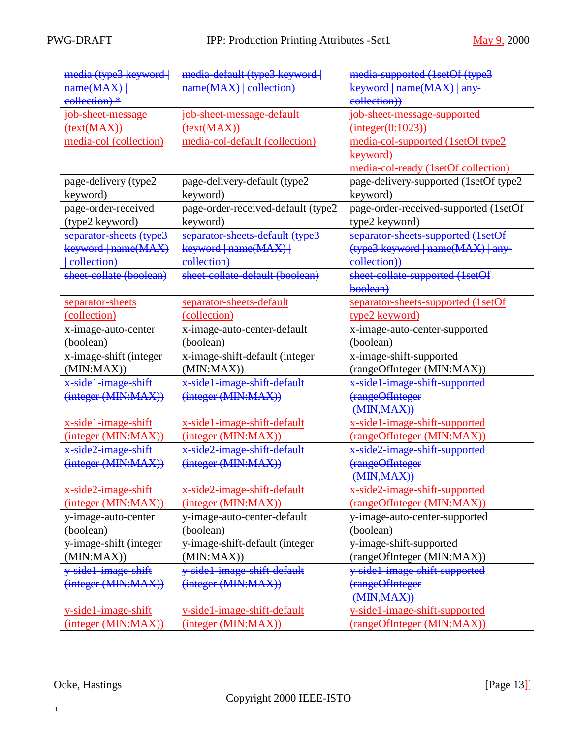| media (type3 keyword    | media default (type3 keyword       | media supported (1setOf (type3                           |  |  |
|-------------------------|------------------------------------|----------------------------------------------------------|--|--|
| name(MAX)               | $name(MAX)$ collection)            | keyword   name(MAX)   any-                               |  |  |
| eollection) *           |                                    | eollection))                                             |  |  |
| job-sheet-message       | job-sheet-message-default          | job-sheet-message-supported                              |  |  |
| (text(MAX))             | (text(MAX))                        | (integer(0:1023))                                        |  |  |
| media-col (collection)  | media-col-default (collection)     | media-col-supported (1setOf type2                        |  |  |
|                         |                                    | keyword)                                                 |  |  |
|                         |                                    | media-col-ready (1setOf collection)                      |  |  |
| page-delivery (type2    | page-delivery-default (type2       | page-delivery-supported (1setOf type2                    |  |  |
| keyword)                | keyword)                           | keyword)                                                 |  |  |
| page-order-received     | page-order-received-default (type2 | page-order-received-supported (1setOf                    |  |  |
|                         |                                    |                                                          |  |  |
| (type2 keyword)         | keyword)                           | type2 keyword)                                           |  |  |
| separator-sheets (type3 | separator-sheets-default (type3    | separator-sheets-supported (1setOf                       |  |  |
| keyword   name(MAX)     | keyword   name(MAX)                | (type3 keyword   name(MAX)   any-                        |  |  |
| eollection              | collection)                        | eollection))                                             |  |  |
| sheet-collate (boolean) | sheet collate default (boolean)    | sheet-collate-supported (1setOf                          |  |  |
|                         |                                    | boolean)                                                 |  |  |
| separator-sheets        | separator-sheets-default           | separator-sheets-supported (1setOf                       |  |  |
| (collection)            | (collection)                       | type2 keyword)                                           |  |  |
| x-image-auto-center     | x-image-auto-center-default        | x-image-auto-center-supported                            |  |  |
| (boolean)               | (boolean)                          | (boolean)                                                |  |  |
| x-image-shift (integer  | x-image-shift-default (integer     | x-image-shift-supported                                  |  |  |
| (MIN:MAX)               | (MIN:MAX)                          | (rangeOfInteger (MIN:MAX))                               |  |  |
| x-side1-image-shift     | x-side1-image-shift-default        | x-side1-image-shift-supported                            |  |  |
| (integer (MIN:MAX))     | (integer (MIN:MAX))                | (rangeOfInteger                                          |  |  |
|                         |                                    | $\left(\frac{\text{MIN}, \text{MAX}}{\text{MAX}}\right)$ |  |  |
| x-side1-image-shift     | x-side1-image-shift-default        | x-side1-image-shift-supported                            |  |  |
| (integer (MIN:MAX))     | (integer (MIN:MAX))                | (rangeOfInteger (MIN:MAX))                               |  |  |
| x-side2-image-shift     | x-side2-image-shift-default        | x-side2-image-shift-supported                            |  |  |
| (integer (MIN:MAX))     | (integer (MIN:MAX))                | (rangeOfInteger                                          |  |  |
|                         |                                    | $\left(\frac{\text{MIN}, \text{MAX}}{\text{MAX}}\right)$ |  |  |
| x-side2-image-shift     | x-side2-image-shift-default        | x-side2-image-shift-supported                            |  |  |
| (integer (MIN:MAX))     | (integer (MIN:MAX))                | (rangeOfInteger (MIN:MAX))                               |  |  |
| y-image-auto-center     | y-image-auto-center-default        | y-image-auto-center-supported                            |  |  |
| (boolean)               | (boolean)                          | (boolean)                                                |  |  |
| y-image-shift (integer  | y-image-shift-default (integer     | y-image-shift-supported                                  |  |  |
| (MIN:MAX))              | (MIN:MAX)                          | (rangeOfInteger (MIN:MAX))                               |  |  |
| y-side1-image-shift     |                                    |                                                          |  |  |
|                         | y-side1-image-shift-default        | y-side1-image-shift-supported                            |  |  |
| (integer (MIN:MAX))     | (integer (MIN:MAX))                | (rangeOfInteger                                          |  |  |
|                         |                                    | (MIN, MAX))                                              |  |  |
| y-side1-image-shift     | y-side1-image-shift-default        | y-side1-image-shift-supported                            |  |  |
| (integer (MIN:MAX))     | (integer (MIN:MAX))                | (rangeOfInteger (MIN:MAX))                               |  |  |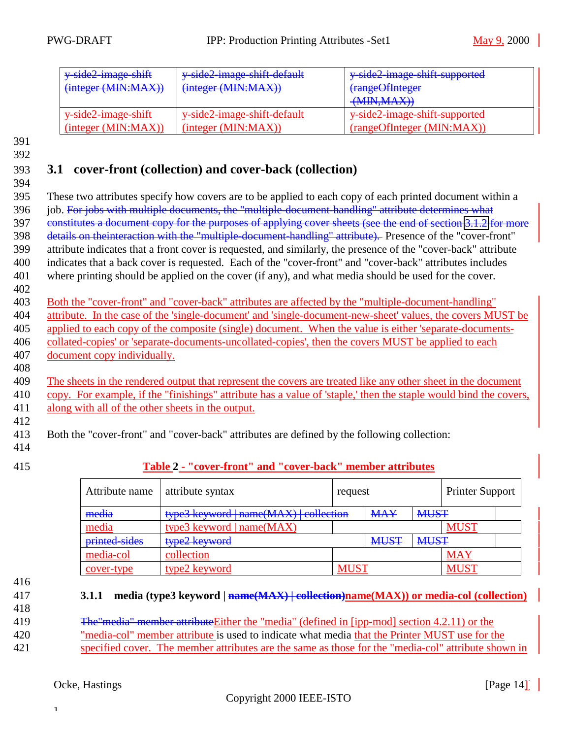<span id="page-13-0"></span>

| y side2 image shift<br>(integer (MIN:MAX)) | y side2 image shift default<br>(integer (MIN:MAX)) | y side2 image shift supported<br>(rangeOfInteger<br>(MIN, MAX) |
|--------------------------------------------|----------------------------------------------------|----------------------------------------------------------------|
| y-side2-image-shift                        | y-side2-image-shift-default                        | y-side2-image-shift-supported                                  |
| (integer (MIN: MAX))                       | (integer (MIN: MAX))                               | (rangeOfInteger (MIN:MAX))                                     |

### 393 **3.1 cover-front (collection) and cover-back (collection)**

394

395 These two attributes specify how covers are to be applied to each copy of each printed document within a 396 job. For jobs with multiple documents, the "multiple-document-handling" attribute determines what 397 constitutes a document copy for the purposes of applying cover sheets (see the end of section [3.1.2](#page-14-0) for more 398 details on theinteraction with the "multiple-document-handling" attribute). Presence of the "cover-front" 399 attribute indicates that a front cover is requested, and similarly, the presence of the "cover-back" attribute 400 indicates that a back cover is requested. Each of the "cover-front" and "cover-back" attributes includes 401 where printing should be applied on the cover (if any), and what media should be used for the cover.

402

 Both the "cover-front" and "cover-back" attributes are affected by the "multiple-document-handling" attribute. In the case of the 'single-document' and 'single-document-new-sheet' values, the covers MUST be applied to each copy of the composite (single) document. When the value is either 'separate-documents- collated-copies' or 'separate-documents-uncollated-copies', then the covers MUST be applied to each document copy individually.

409 The sheets in the rendered output that represent the covers are treated like any other sheet in the document 410 copy. For example, if the "finishings" attribute has a value of 'staple,' then the staple would bind the covers, 411 along with all of the other sheets in the output.

412

408

413 Both the "cover-front" and "cover-back" attributes are defined by the following collection:

- 414
- 

### 415 **Table 2 - "cover-front" and "cover-back" member attributes**

| Attribute name | attribute syntax                       | request     |             |             | <b>Printer Support</b> |  |
|----------------|----------------------------------------|-------------|-------------|-------------|------------------------|--|
| media          | type3 keyword   name(MAX)   collection |             | <b>MAY</b>  | <b>MUST</b> |                        |  |
| media          | type3 keyword   $name(MAX)$            |             |             |             | MUS <sup>-</sup>       |  |
| printed-sides  | type2 keyword                          |             | <b>MUST</b> | <b>MUST</b> |                        |  |
| media-col      | collection                             |             |             |             | <b>MAY</b>             |  |
| cover-type     | type2 keyword                          | <b>MUST</b> |             |             | MUS <sup>7</sup>       |  |

- 416
- 

#### 417 **3.1.1 media (type3 keyword | name(MAX) | collection)name(MAX)) or media-col (collection)**

418

| 419 | <b>The "media" member attribute Either the "media" (defined in [ipp-mod] section 4.2.11) or the</b> |
|-----|-----------------------------------------------------------------------------------------------------|
| 420 | "media-col" member attribute is used to indicate what media that the Printer MUST use for the       |
| 421 | specified cover. The member attributes are the same as those for the "media-col" attribute shown in |

### Ocke, Hastings [Page 14]<sup>]</sup> [Page 14]

]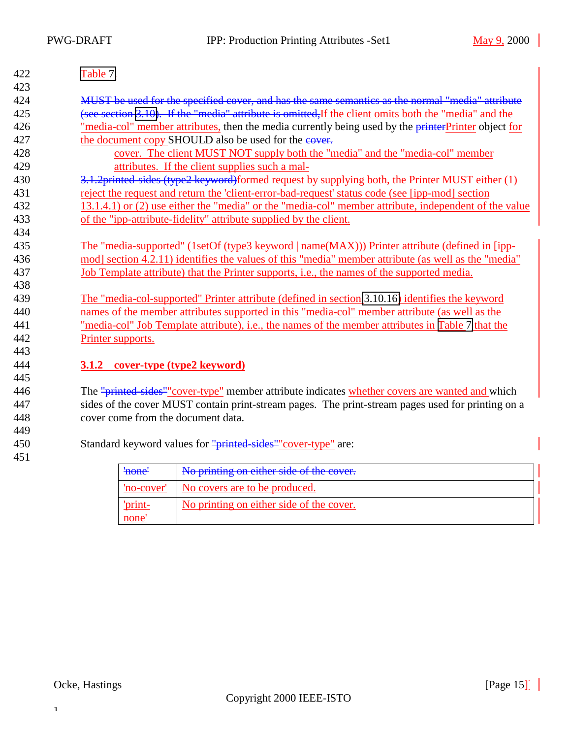<span id="page-14-0"></span>

| 422 | Table 7.                                                                                              |  |  |
|-----|-------------------------------------------------------------------------------------------------------|--|--|
| 423 |                                                                                                       |  |  |
| 424 | MUST be used for the specified cover, and has the same semantics as the normal "media" attribute      |  |  |
| 425 | (see section 3.10). If the "media" attribute is omitted, If the client omits both the "media" and the |  |  |
| 426 | "media-col" member attributes, then the media currently being used by the printer Printer object for  |  |  |
| 427 | the document copy SHOULD also be used for the eover.                                                  |  |  |
| 428 | cover. The client MUST NOT supply both the "media" and the "media-col" member                         |  |  |
| 429 | attributes. If the client supplies such a mal-                                                        |  |  |
| 430 | 3.1.2printed sides (type2 keyword)formed request by supplying both, the Printer MUST either (1)       |  |  |
| 431 | reject the request and return the 'client-error-bad-request' status code (see [ipp-mod] section       |  |  |
| 432 | 13.1.4.1) or (2) use either the "media" or the "media-col" member attribute, independent of the value |  |  |
| 433 | of the "ipp-attribute-fidelity" attribute supplied by the client.                                     |  |  |
| 434 |                                                                                                       |  |  |
| 435 | The "media-supported" (1setOf (type3 keyword   name(MAX))) Printer attribute (defined in [ipp-        |  |  |
| 436 | mod] section 4.2.11) identifies the values of this "media" member attribute (as well as the "media"   |  |  |
| 437 | Job Template attribute) that the Printer supports, i.e., the names of the supported media.            |  |  |
| 438 |                                                                                                       |  |  |
| 439 | The "media-col-supported" Printer attribute (defined in section 3.10.16) identifies the keyword       |  |  |
| 440 | names of the member attributes supported in this "media-col" member attribute (as well as the         |  |  |
| 441 | "media-col" Job Template attribute), i.e., the names of the member attributes in Table 7 that the     |  |  |
| 442 | Printer supports.                                                                                     |  |  |
| 443 |                                                                                                       |  |  |
| 444 | cover-type (type2 keyword)<br>3.1.2                                                                   |  |  |
| 445 |                                                                                                       |  |  |
| 446 | The "printed sides" cover-type" member attribute indicates whether covers are wanted and which        |  |  |
| 447 | sides of the cover MUST contain print-stream pages. The print-stream pages used for printing on a     |  |  |
| 448 | cover come from the document data.                                                                    |  |  |
| 449 |                                                                                                       |  |  |
| 450 | Standard keyword values for "printed sides" "cover-type" are:                                         |  |  |
| 451 |                                                                                                       |  |  |
|     | No printing on either side of the cover.<br>'none'                                                    |  |  |

| <del>'none'</del> | No printing on either side of the cover. |  |
|-------------------|------------------------------------------|--|
| 'no-cover'        | No covers are to be produced.            |  |
| 'orint-<br>none   | No printing on either side of the cover. |  |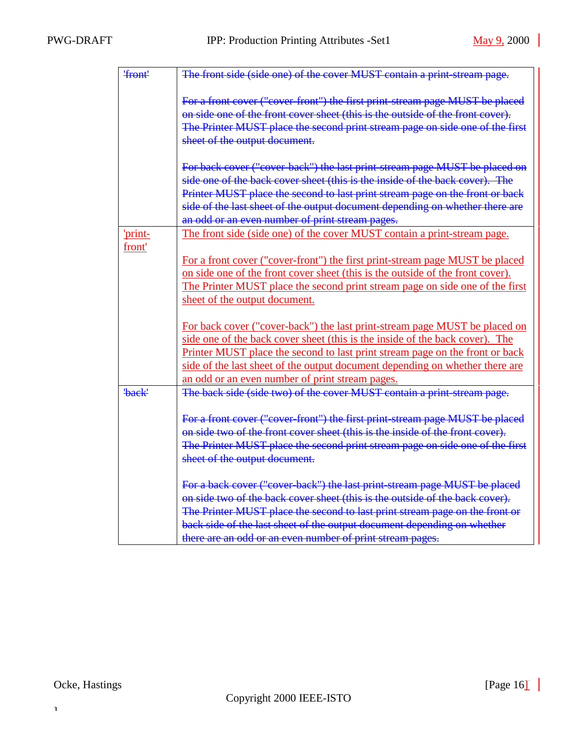| 'front'     | The front side (side one) of the cover MUST contain a print-stream page.       |
|-------------|--------------------------------------------------------------------------------|
|             |                                                                                |
|             | For a front cover ("cover-front") the first print-stream page MUST be placed   |
|             | on side one of the front cover sheet (this is the outside of the front cover). |
|             | The Printer MUST place the second print stream page on side one of the first   |
|             | sheet of the output document.                                                  |
|             | For back cover ("cover-back") the last print-stream page MUST be placed on     |
|             | side one of the back cover sheet (this is the inside of the back cover). The   |
|             | Printer MUST place the second to last print stream page on the front or back   |
|             | side of the last sheet of the output document depending on whether there are   |
|             | an odd or an even number of print stream pages.                                |
| 'print-     | The front side (side one) of the cover MUST contain a print-stream page.       |
| front'      |                                                                                |
|             | For a front cover ("cover-front") the first print-stream page MUST be placed   |
|             | on side one of the front cover sheet (this is the outside of the front cover). |
|             | The Printer MUST place the second print stream page on side one of the first   |
|             | sheet of the output document.                                                  |
|             | For back cover ("cover-back") the last print-stream page MUST be placed on     |
|             | side one of the back cover sheet (this is the inside of the back cover). The   |
|             | Printer MUST place the second to last print stream page on the front or back   |
|             | side of the last sheet of the output document depending on whether there are   |
|             | an odd or an even number of print stream pages.                                |
| <b>back</b> | The back side (side two) of the cover MUST contain a print-stream page.        |
|             |                                                                                |
|             | For a front cover ("cover-front") the first print-stream page MUST be placed   |
|             | on side two of the front cover sheet (this is the inside of the front cover).  |
|             | The Printer MUST place the second print stream page on side one of the first   |
|             | sheet of the output document.                                                  |
|             |                                                                                |
|             | For a back cover ("cover back") the last print stream page MUST be placed      |
|             | on side two of the back cover sheet (this is the outside of the back cover).   |
|             | The Printer MUST place the second to last print stream page on the front or    |
|             | back side of the last sheet of the output document depending on whether        |
|             | there are an odd or an even number of print stream pages.                      |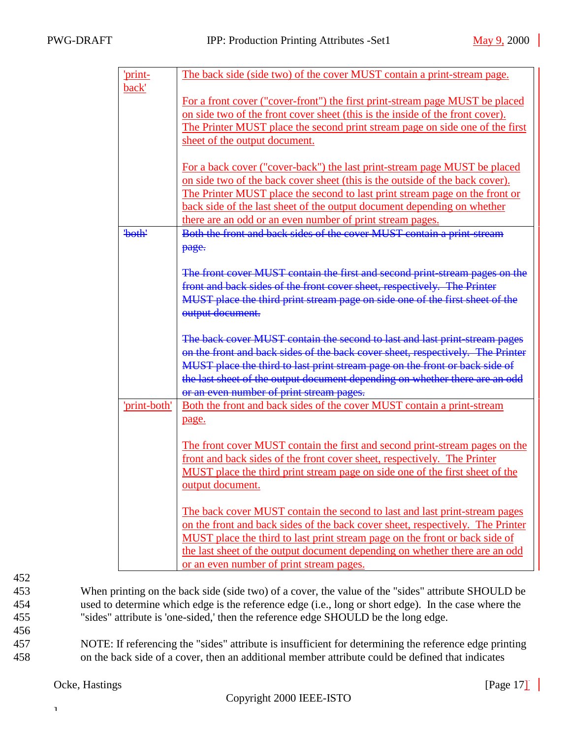| 'print-      | The back side (side two) of the cover MUST contain a print-stream page.        |
|--------------|--------------------------------------------------------------------------------|
| back'        |                                                                                |
|              | For a front cover ("cover-front") the first print-stream page MUST be placed   |
|              | on side two of the front cover sheet (this is the inside of the front cover).  |
|              | The Printer MUST place the second print stream page on side one of the first   |
|              | sheet of the output document.                                                  |
|              |                                                                                |
|              | For a back cover ("cover-back") the last print-stream page MUST be placed      |
|              | on side two of the back cover sheet (this is the outside of the back cover).   |
|              | The Printer MUST place the second to last print stream page on the front or    |
|              | back side of the last sheet of the output document depending on whether        |
|              | there are an odd or an even number of print stream pages.                      |
| 'both'       | Both the front and back sides of the cover MUST contain a print-stream         |
|              | page.                                                                          |
|              |                                                                                |
|              | The front cover MUST contain the first and second print-stream pages on the    |
|              | front and back sides of the front cover sheet, respectively. The Printer       |
|              | MUST place the third print stream page on side one of the first sheet of the   |
|              | output document.                                                               |
|              |                                                                                |
|              | The back cover MUST contain the second to last and last print-stream pages     |
|              | on the front and back sides of the back cover sheet, respectively. The Printer |
|              | MUST place the third to last print stream page on the front or back side of    |
|              | the last sheet of the output document depending on whether there are an odd    |
|              | or an even number of print stream pages.                                       |
| 'print-both' | Both the front and back sides of the cover MUST contain a print-stream         |
|              | page.                                                                          |
|              |                                                                                |
|              | The front cover MUST contain the first and second print-stream pages on the    |
|              | front and back sides of the front cover sheet, respectively. The Printer       |
|              | MUST place the third print stream page on side one of the first sheet of the   |
|              | <u>output document.</u>                                                        |
|              |                                                                                |
|              | The back cover MUST contain the second to last and last print-stream pages     |
|              | on the front and back sides of the back cover sheet, respectively. The Printer |
|              | MUST place the third to last print stream page on the front or back side of    |
|              | the last sheet of the output document depending on whether there are an odd    |
|              | or an even number of print stream pages.                                       |

456

453 When printing on the back side (side two) of a cover, the value of the "sides" attribute SHOULD be 454 used to determine which edge is the reference edge (i.e., long or short edge). In the case where the 455 "sides" attribute is 'one-sided,' then the reference edge SHOULD be the long edge.

457 NOTE: If referencing the "sides" attribute is insufficient for determining the reference edge printing 458 on the back side of a cover, then an additional member attribute could be defined that indicates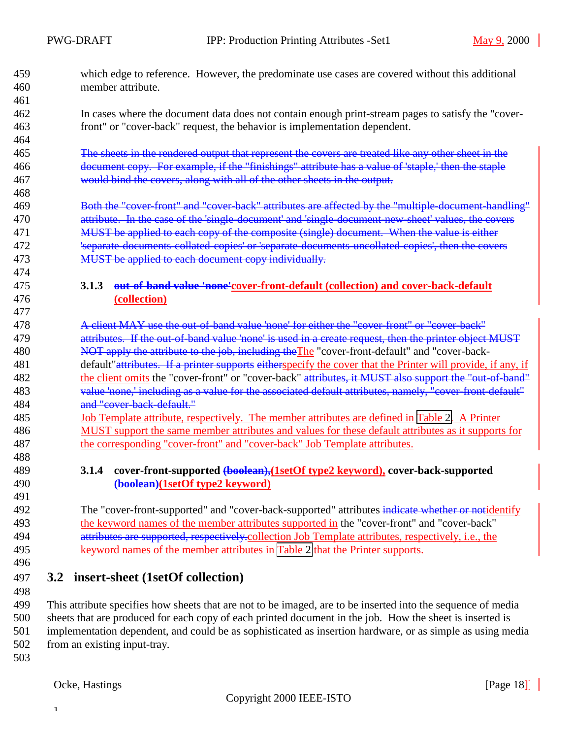<span id="page-17-0"></span>

| 459<br>460 | which edge to reference. However, the predominate use cases are covered without this additional<br>member attribute. |
|------------|----------------------------------------------------------------------------------------------------------------------|
| 461        |                                                                                                                      |
| 462        | In cases where the document data does not contain enough print-stream pages to satisfy the "cover-                   |
| 463        | front" or "cover-back" request, the behavior is implementation dependent.                                            |
| 464        |                                                                                                                      |
| 465        | The sheets in the rendered output that represent the covers are treated like any other sheet in the                  |
| 466        | document copy. For example, if the "finishings" attribute has a value of 'staple,' then the staple                   |
| 467        | would bind the covers, along with all of the other sheets in the output.                                             |
| 468        |                                                                                                                      |
| 469        | Both the "cover-front" and "cover-back" attributes are affected by the "multiple-document-handling"                  |
| 470        | attribute. In the case of the 'single-document' and 'single-document-new-sheet' values, the covers                   |
| 471        | MUST be applied to each copy of the composite (single) document. When the value is either                            |
| 472        | 'separate-documents-collated-copies' or 'separate-documents-uncollated-copies', then the covers                      |
| 473        | MUST be applied to each document copy individually.                                                                  |
| 474        |                                                                                                                      |
| 475        | out-of-band value 'none'cover-front-default (collection) and cover-back-default<br>3.1.3                             |
| 476        | (collection)                                                                                                         |
| 477        |                                                                                                                      |
| 478        | A client MAY use the out-of-band value 'none' for either the "cover-front" or "cover-back"                           |
| 479        | attributes. If the out-of-band value 'none' is used in a create request, then the printer object MUST                |
| 480        | NOT apply the attribute to the job, including the The "cover-front-default" and "cover-back-                         |
| 481        | default" attributes. If a printer supports either specify the cover that the Printer will provide, if any, if        |
| 482        | the client omits the "cover-front" or "cover-back" attributes, it MUST also support the "out-of-band"                |
| 483        | value 'none,' including as a value for the associated default attributes, namely, "cover-front-default"              |
| 484        | and "cover-back-default."                                                                                            |
| 485        | <u>Job Template attribute, respectively. The member attributes are defined in Table 2. A Printer</u>                 |
| 486        | MUST support the same member attributes and values for these default attributes as it supports for                   |
| 487        | the corresponding "cover-front" and "cover-back" Job Template attributes.                                            |
| 488        |                                                                                                                      |
| 489        | cover-front-supported (boolean), (1setOf type2 keyword), cover-back-supported<br>3.1.4                               |
| 490        | (boolean)(1setOf type2 keyword)                                                                                      |
| 491        |                                                                                                                      |
| 492        | The "cover-front-supported" and "cover-back-supported" attributes indicate whether or notidentify                    |
| 493        | the keyword names of the member attributes supported in the "cover-front" and "cover-back"                           |
| 494        | attributes are supported, respectively-collection Job Template attributes, respectively, i.e., the                   |
| 495        | keyword names of the member attributes in Table 2 that the Printer supports.                                         |
| 496        |                                                                                                                      |
| 497<br>3.2 | insert-sheet (1setOf collection)                                                                                     |

 This attribute specifies how sheets that are not to be imaged, are to be inserted into the sequence of media sheets that are produced for each copy of each printed document in the job. How the sheet is inserted is implementation dependent, and could be as sophisticated as insertion hardware, or as simple as using media from an existing input-tray.

503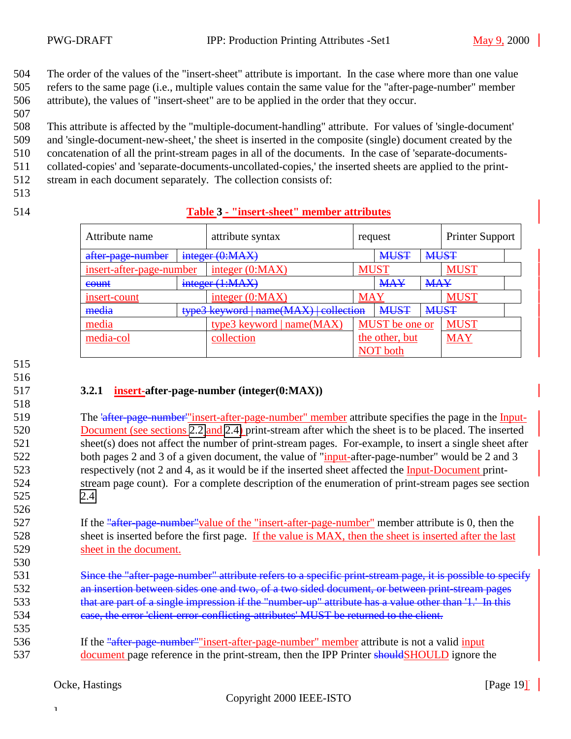<span id="page-18-0"></span>504 The order of the values of the "insert-sheet" attribute is important. In the case where more than one value 505 refers to the same page (i.e., multiple values contain the same value for the "after-page-number" member

506 attribute), the values of "insert-sheet" are to be applied in the order that they occur.

507

508 This attribute is affected by the "multiple-document-handling" attribute. For values of 'single-document' 509 and 'single-document-new-sheet,' the sheet is inserted in the composite (single) document created by the

510 concatenation of all the print-stream pages in all of the documents. In the case of 'separate-documents-

511 collated-copies' and 'separate-documents-uncollated-copies,' the inserted sheets are applied to the print-

512 stream in each document separately. The collection consists of:

513

### 514 **Table 3 - "insert-sheet" member attributes**

| Attribute name           |  | attribute syntax                       | request        |             | <b>Printer Support</b> |             |  |
|--------------------------|--|----------------------------------------|----------------|-------------|------------------------|-------------|--|
| after-page-number        |  | integer (0:MAX)                        | <b>MUST</b>    |             | <b>MUST</b>            |             |  |
| insert-after-page-number |  | integer $(0:MAX)$                      |                | <b>MUST</b> |                        | <b>MUST</b> |  |
| count                    |  | integer (1:MAX)                        | <b>MAY</b>     |             | <b>MAY</b>             |             |  |
| insert-count             |  | integer $(0:MAX)$                      | <b>MAY</b>     |             |                        | <b>MUST</b> |  |
| media                    |  | type3 keyword   name(MAX)   collection |                | <b>MUST</b> | <b>MUST</b>            |             |  |
| media                    |  | type3 keyword   name(MAX)              | MUST be one or |             | <b>MUST</b>            |             |  |
| media-col                |  | collection                             | the other, but |             | <b>MAY</b>             |             |  |
|                          |  |                                        |                | NOT both    |                        |             |  |

515

516

518

526

530

535

### 517 **3.2.1 insert-after-page-number (integer(0:MAX))**

 The 'after-page-number'"insert-after-page-number" member attribute specifies the page in the Input- Document (see sections [2.2](#page-7-0) and [2.4\)](#page-8-0) print-stream after which the sheet is to be placed. The inserted sheet(s) does not affect the number of print-stream pages. For-example, to insert a single sheet after 522 both pages 2 and 3 of a given document, the value of "*input-after-page-number*" would be 2 and 3 respectively (not 2 and 4, as it would be if the inserted sheet affected the Input-Document print- stream page count). For a complete description of the enumeration of print-stream pages see section 525 [2.4.](#page-8-0)

527 If the "after-page-number" value of the "insert-after-page-number" member attribute is 0, then the 528 sheet is inserted before the first page. If the value is MAX, then the sheet is inserted after the last 529 sheet in the document.

- 531 Since the "after-page-number" attribute refers to a specific print-stream page, it is possible to specify 532 an insertion between sides one and two, of a two sided document, or between print-stream pages 533 that are part of a single impression if the "number-up" attribute has a value other than '1.' In this 534 case, the error 'client-error-conflicting-attributes' MUST be returned to the client.
- 536 If the "after-page-number" "insert-after-page-number" member attribute is not a valid input 537 document page reference in the print-stream, then the IPP Printer should SHOULD ignore the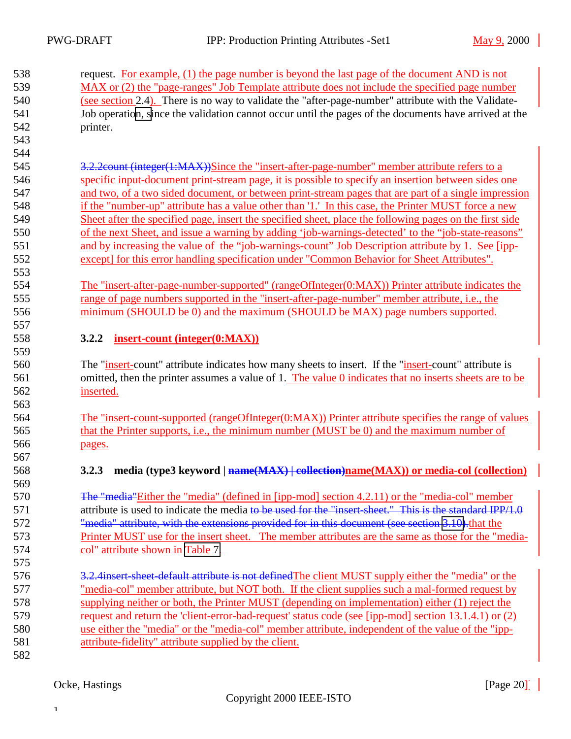<span id="page-19-0"></span>

| 538 | request. For example, (1) the page number is beyond the last page of the document AND is not          |
|-----|-------------------------------------------------------------------------------------------------------|
| 539 | MAX or (2) the "page-ranges" Job Template attribute does not include the specified page number        |
| 540 | (see section 2.4). There is no way to validate the "after-page-number" attribute with the Validate-   |
| 541 | Job operation, since the validation cannot occur until the pages of the documents have arrived at the |
| 542 | printer.                                                                                              |

 3.2.2count (integer(1:MAX))Since the "insert-after-page-number" member attribute refers to a specific input-document print-stream page, it is possible to specify an insertion between sides one and two, of a two sided document, or between print-stream pages that are part of a single impression if the "number-up" attribute has a value other than '1.' In this case, the Printer MUST force a new Sheet after the specified page, insert the specified sheet, place the following pages on the first side of the next Sheet, and issue a warning by adding 'job-warnings-detected' to the "job-state-reasons" and by increasing the value of the "job-warnings-count" Job Description attribute by 1. See [ipp-except] for this error handling specification under "Common Behavior for Sheet Attributes".

 The "insert-after-page-number-supported" (rangeOfInteger(0:MAX)) Printer attribute indicates the range of page numbers supported in the "insert-after-page-number" member attribute, i.e., the minimum (SHOULD be 0) and the maximum (SHOULD be MAX) page numbers supported. 

### **3.2.2 insert-count (integer(0:MAX))**

 The "insert-count" attribute indicates how many sheets to insert. If the "insert-count" attribute is omitted, then the printer assumes a value of 1. The value 0 indicates that no inserts sheets are to be inserted.

 The "insert-count-supported (rangeOfInteger(0:MAX)) Printer attribute specifies the range of values that the Printer supports, i.e., the minimum number (MUST be 0) and the maximum number of pages.

### **3.2.3 media (type3 keyword | name(MAX) | collection)name(MAX)) or media-col (collection)**

 The "media"Either the "media" (defined in [ipp-mod] section 4.2.11) or the "media-col" member 571 attribute is used to indicate the media to be used for the "insert-sheet." This is the standard IPP/1.0 572 "media" attribute, with the extensions provided for in this document (see section [3.10\)](#page-31-0). that the Printer MUST use for the insert sheet. The member attributes are the same as those for the "media-col" attribute shown in [Table 7.](#page-32-0)

- 3.2.4insert-sheet-default attribute is not definedThe client MUST supply either the "media" or the "media-col" member attribute, but NOT both. If the client supplies such a mal-formed request by supplying neither or both, the Printer MUST (depending on implementation) either (1) reject the request and return the 'client-error-bad-request' status code (see [ipp-mod] section 13.1.4.1) or (2) use either the "media" or the "media-col" member attribute, independent of the value of the "ipp-attribute-fidelity" attribute supplied by the client.
-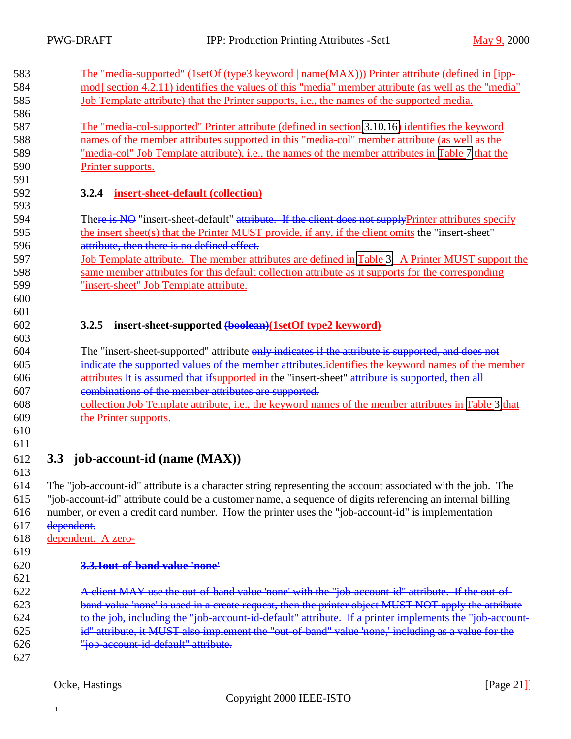<span id="page-20-0"></span>

| 583<br>584<br>585<br>586                      | The "media-supported" (1setOf (type3 keyword   name(MAX))) Printer attribute (defined in [ipp-<br>mod] section 4.2.11) identifies the values of this "media" member attribute (as well as the "media"<br><u>Job Template attribute) that the Printer supports, i.e., the names of the supported media.</u>                                                                                                                                                                                                   |
|-----------------------------------------------|--------------------------------------------------------------------------------------------------------------------------------------------------------------------------------------------------------------------------------------------------------------------------------------------------------------------------------------------------------------------------------------------------------------------------------------------------------------------------------------------------------------|
| 587<br>588<br>589<br>590                      | The "media-col-supported" Printer attribute (defined in section 3.10.16) identifies the keyword<br>names of the member attributes supported in this "media-col" member attribute (as well as the<br>"media-col" Job Template attribute), i.e., the names of the member attributes in Table 7 that the<br>Printer supports.                                                                                                                                                                                   |
| 591<br>592<br>593                             | 3.2.4<br>insert-sheet-default (collection)                                                                                                                                                                                                                                                                                                                                                                                                                                                                   |
| 594<br>595<br>596<br>597<br>598<br>599<br>600 | There is NO "insert-sheet-default" attribute. If the client does not supplyPrinter attributes specify<br>the insert sheet(s) that the Printer MUST provide, if any, if the client omits the "insert-sheet"<br>attribute, then there is no defined effect.<br>Job Template attribute. The member attributes are defined in Table 3. A Printer MUST support the<br>same member attributes for this default collection attribute as it supports for the corresponding<br>"insert-sheet" Job Template attribute. |
| 601<br>602                                    | 3.2.5<br>insert-sheet-supported (boolean)(1setOf type2 keyword)                                                                                                                                                                                                                                                                                                                                                                                                                                              |
| 603                                           |                                                                                                                                                                                                                                                                                                                                                                                                                                                                                                              |
| 604                                           | The "insert-sheet-supported" attribute only indicates if the attribute is supported, and does not                                                                                                                                                                                                                                                                                                                                                                                                            |
| 605                                           | indicate the supported values of the member attributes-identifies the keyword names of the member                                                                                                                                                                                                                                                                                                                                                                                                            |
| 606                                           | attributes It is assumed that if supported in the "insert-sheet" attribute is supported, then all                                                                                                                                                                                                                                                                                                                                                                                                            |
| 607                                           | combinations of the member attributes are supported.                                                                                                                                                                                                                                                                                                                                                                                                                                                         |
| 608                                           | collection Job Template attribute, i.e., the keyword names of the member attributes in Table 3 that                                                                                                                                                                                                                                                                                                                                                                                                          |
| 609                                           | the Printer supports.                                                                                                                                                                                                                                                                                                                                                                                                                                                                                        |
| 610                                           |                                                                                                                                                                                                                                                                                                                                                                                                                                                                                                              |
| 611                                           |                                                                                                                                                                                                                                                                                                                                                                                                                                                                                                              |
| 612                                           | job-account-id (name (MAX))<br>3.3                                                                                                                                                                                                                                                                                                                                                                                                                                                                           |
| 613                                           |                                                                                                                                                                                                                                                                                                                                                                                                                                                                                                              |
| 614<br>615                                    | The "job-account-id" attribute is a character string representing the account associated with the job. The                                                                                                                                                                                                                                                                                                                                                                                                   |
|                                               | "job-account-id" attribute could be a customer name, a sequence of digits referencing an internal billing                                                                                                                                                                                                                                                                                                                                                                                                    |
| 616<br>617                                    | number, or even a credit card number. How the printer uses the "job-account-id" is implementation<br>dependent.                                                                                                                                                                                                                                                                                                                                                                                              |
| 618                                           |                                                                                                                                                                                                                                                                                                                                                                                                                                                                                                              |
| 619                                           | dependent. A zero-                                                                                                                                                                                                                                                                                                                                                                                                                                                                                           |
|                                               | 3.3.10ut-of-band value 'none'                                                                                                                                                                                                                                                                                                                                                                                                                                                                                |
| 620<br>621                                    |                                                                                                                                                                                                                                                                                                                                                                                                                                                                                                              |
| 622                                           | A client MAY use the out of band value 'none' with the "job account id" attribute. If the out of                                                                                                                                                                                                                                                                                                                                                                                                             |
| 623                                           | band value 'none' is used in a create request, then the printer object MUST NOT apply the attribute                                                                                                                                                                                                                                                                                                                                                                                                          |
| 624                                           |                                                                                                                                                                                                                                                                                                                                                                                                                                                                                                              |
|                                               | to the job, including the "job-account-id-default" attribute. If a printer implements the "job-account-                                                                                                                                                                                                                                                                                                                                                                                                      |
| 625                                           | id" attribute, it MUST also implement the "out-of-band" value 'none,' including as a value for the                                                                                                                                                                                                                                                                                                                                                                                                           |
| 626                                           | "job account id default" attribute.                                                                                                                                                                                                                                                                                                                                                                                                                                                                          |
| 627                                           |                                                                                                                                                                                                                                                                                                                                                                                                                                                                                                              |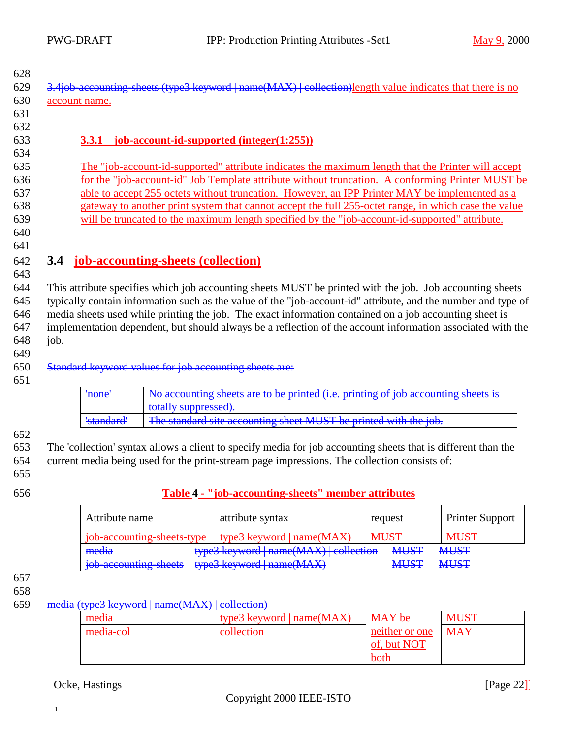<span id="page-21-0"></span>629 3.4job-accounting-sheets (type3 keyword | name(MAX) | collection) length value indicates that there is no account name.

#### 

### **3.3.1 job-account-id-supported (integer(1:255))**

 The "job-account-id-supported" attribute indicates the maximum length that the Printer will accept for the "job-account-id" Job Template attribute without truncation. A conforming Printer MUST be able to accept 255 octets without truncation. However, an IPP Printer MAY be implemented as a gateway to another print system that cannot accept the full 255-octet range, in which case the value will be truncated to the maximum length specified by the "job-account-id-supported" attribute.

 

### **3.4 job-accounting-sheets (collection)**

 This attribute specifies which job accounting sheets MUST be printed with the job. Job accounting sheets typically contain information such as the value of the "job-account-id" attribute, and the number and type of media sheets used while printing the job. The exact information contained on a job accounting sheet is implementation dependent, but should always be a reflection of the account information associated with the job.

### Standard keyword values for job accounting sheets are:

| ' <del>none'</del> | No accounting sheets are to be printed (i.e. printing of job accounting sheets is |
|--------------------|-----------------------------------------------------------------------------------|
|                    | totally suppressed).                                                              |
| 'standard'         | The standard site accounting sheet MUST be printed with the job.                  |

#### 

 The 'collection' syntax allows a client to specify media for job accounting sheets that is different than the current media being used for the print-stream page impressions. The collection consists of:

- 
- 

### **Table 4 - "job-accounting-sheets" member attributes**

| Attribute name             |  | attribute syntax                       | request     |                                 | <b>Printer Support</b> |
|----------------------------|--|----------------------------------------|-------------|---------------------------------|------------------------|
| job-accounting-sheets-type |  | type3 keyword $ name(MAX) $            | <b>MUST</b> |                                 | <b>MUST</b>            |
| media                      |  | type3 keyword   name(MAX)   collection |             | <b>MUST</b>                     | <b>MUST</b>            |
| job accounting sheets      |  |                                        |             | <b>MIRT</b><br><del>NIUJI</del> | <b>MUST</b>            |

### 

#### media (type3 keyword | name(MAX) | collection)

| media     | type3 keyword $ name(MAX) $ | MAY be         | <b>MUST</b> |
|-----------|-----------------------------|----------------|-------------|
| media-col | collection                  | neither or one | <b>MAY</b>  |
|           |                             | of, but NOT    |             |
|           |                             | both           |             |

### Ocke, Hastings [Page 22]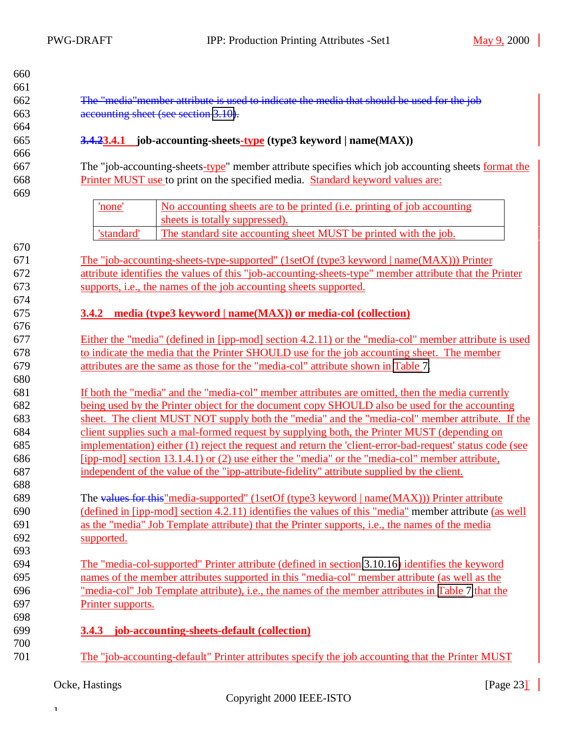<span id="page-22-0"></span>

| 660        |                                                                                                          |  |  |  |
|------------|----------------------------------------------------------------------------------------------------------|--|--|--|
| 661        |                                                                                                          |  |  |  |
| 662        | The "media" member attribute is used to indicate the media that should be used for the job               |  |  |  |
| 663        | accounting sheet (see section 3.10).                                                                     |  |  |  |
| 664        |                                                                                                          |  |  |  |
| 665<br>666 | <b>3.4.23.4.1</b> job-accounting-sheets-type (type3 keyword   name(MAX))                                 |  |  |  |
| 667        | The "job-accounting-sheets-type" member attribute specifies which job accounting sheets format the       |  |  |  |
| 668<br>669 | Printer MUST use to print on the specified media. Standard keyword values are:                           |  |  |  |
|            | 'none'<br>No accounting sheets are to be printed ( <i>i.e.</i> printing of job accounting                |  |  |  |
|            | sheets is totally suppressed).                                                                           |  |  |  |
|            | The standard site accounting sheet MUST be printed with the job.<br>'standard'                           |  |  |  |
| 670        |                                                                                                          |  |  |  |
| 671        | <u>The "job-accounting-sheets-type-supported" (1setOf (type3 keyword   name(MAX))) Printer</u>           |  |  |  |
| 672        | attribute identifies the values of this "job-accounting-sheets-type" member attribute that the Printer   |  |  |  |
| 673        | supports, <i>i.e.</i> , the names of the job accounting sheets supported.                                |  |  |  |
| 674        |                                                                                                          |  |  |  |
| 675        | <b>3.4.2</b> media (type3 keyword   name(MAX)) or media-col (collection)                                 |  |  |  |
| 676        |                                                                                                          |  |  |  |
| 677        | Either the "media" (defined in [ipp-mod] section 4.2.11) or the "media-col" member attribute is used     |  |  |  |
| 678        | to indicate the media that the Printer SHOULD use for the job accounting sheet. The member               |  |  |  |
| 679        | attributes are the same as those for the "media-col" attribute shown in Table 7.                         |  |  |  |
| 680        |                                                                                                          |  |  |  |
| 681        | If both the "media" and the "media-col" member attributes are omitted, then the media currently          |  |  |  |
| 682        | being used by the Printer object for the document copy SHOULD also be used for the accounting            |  |  |  |
| 683        | sheet. The client MUST NOT supply both the "media" and the "media-col" member attribute. If the          |  |  |  |
| 684        | client supplies such a mal-formed request by supplying both, the Printer MUST (depending on              |  |  |  |
| 685        | implementation) either (1) reject the request and return the 'client-error-bad-request' status code (see |  |  |  |
| 686        | [ipp-mod] section 13.1.4.1) or (2) use either the "media" or the "media-col" member attribute,           |  |  |  |
| 687        | independent of the value of the "ipp-attribute-fidelity" attribute supplied by the client.               |  |  |  |
| 688        |                                                                                                          |  |  |  |
| 689        | The values for this "media-supported" (1setOf (type3 keyword   name(MAX))) Printer attribute             |  |  |  |
| 690        | (defined in [ipp-mod] section 4.2.11) identifies the values of this "media" member attribute (as well    |  |  |  |
| 691        | as the "media" Job Template attribute) that the Printer supports, i.e., the names of the media           |  |  |  |
| 692        | supported.                                                                                               |  |  |  |
| 693        |                                                                                                          |  |  |  |
| 694        | The "media-col-supported" Printer attribute (defined in section 3.10.16) identifies the keyword          |  |  |  |
| 695        | names of the member attributes supported in this "media-col" member attribute (as well as the            |  |  |  |
| 696        | "media-col" Job Template attribute), i.e., the names of the member attributes in Table 7 that the        |  |  |  |
| 697        | Printer supports.                                                                                        |  |  |  |
| 698        |                                                                                                          |  |  |  |
| 699        | 3.4.3 job-accounting-sheets-default (collection)                                                         |  |  |  |
| 700        |                                                                                                          |  |  |  |
| 701        | The "job-accounting-default" Printer attributes specify the job accounting that the Printer MUST         |  |  |  |

# Ocke, Hastings [Page 23] [Page 23]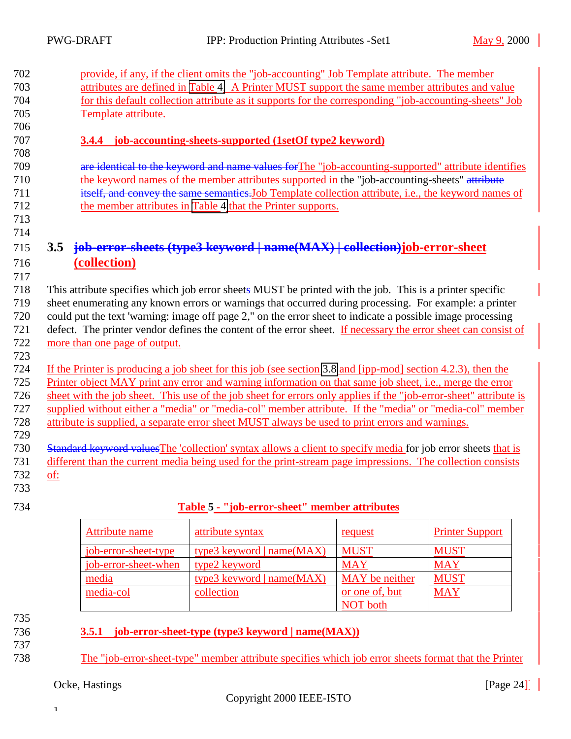<span id="page-23-0"></span>

| provide, if any, if the client omits the "job-accounting" Job Template attribute. The member                      |  |  |  |
|-------------------------------------------------------------------------------------------------------------------|--|--|--|
| attributes are defined in Table 4. A Printer MUST support the same member attributes and value                    |  |  |  |
| for this default collection attribute as it supports for the corresponding "job-accounting-sheets" Job            |  |  |  |
| Template attribute.                                                                                               |  |  |  |
|                                                                                                                   |  |  |  |
| <b>3.4.4</b> job-accounting-sheets-supported (1setOf type2 keyword)                                               |  |  |  |
|                                                                                                                   |  |  |  |
| are identical to the keyword and name values for The "job-accounting-supported" attribute identifies              |  |  |  |
| the keyword names of the member attributes supported in the "job-accounting-sheets" attribute                     |  |  |  |
| itself, and convey the same semantics. Job Template collection attribute, i.e., the keyword names of              |  |  |  |
| the member attributes in Table 4 that the Printer supports.                                                       |  |  |  |
|                                                                                                                   |  |  |  |
|                                                                                                                   |  |  |  |
| job-error-sheets (type3 keyword   name(MAX)   collection) job-error-sheet<br>3.5                                  |  |  |  |
| (collection)                                                                                                      |  |  |  |
|                                                                                                                   |  |  |  |
| This attribute specifies which job error sheets MUST be printed with the job. This is a printer specific          |  |  |  |
| sheet enumerating any known errors or warnings that occurred during processing. For example: a printer            |  |  |  |
| could put the text 'warning: image off page 2," on the error sheet to indicate a possible image processing        |  |  |  |
| defect. The printer vendor defines the content of the error sheet. If necessary the error sheet can consist of    |  |  |  |
| more than one page of output.                                                                                     |  |  |  |
|                                                                                                                   |  |  |  |
| If the Printer is producing a job sheet for this job (see section 3.8 and [ipp-mod] section 4.2.3), then the      |  |  |  |
| Printer object MAY print any error and warning information on that same job sheet, i.e., merge the error          |  |  |  |
| sheet with the job sheet. This use of the job sheet for errors only applies if the "job-error-sheet" attribute is |  |  |  |
| supplied without either a "media" or "media-col" member attribute. If the "media" or "media-col" member           |  |  |  |
| attribute is supplied, a separate error sheet MUST always be used to print errors and warnings.                   |  |  |  |
|                                                                                                                   |  |  |  |
| Standard keyword values The 'collection' syntax allows a client to specify media for job error sheets that is     |  |  |  |
| different than the current media being used for the print-stream page impressions. The collection consists        |  |  |  |
| of:                                                                                                               |  |  |  |
|                                                                                                                   |  |  |  |

- 733
- 

### 734 **Table 5 - "job-error-sheet" member attributes**

| Attribute name       | attribute syntax            | request         | <b>Printer Support</b> |
|----------------------|-----------------------------|-----------------|------------------------|
| job-error-sheet-type | type3 keyword $ name(MAX) $ | <b>MUST</b>     | <b>MUST</b>            |
| job-error-sheet-when | type2 keyword               | <b>MAY</b>      | <b>MAY</b>             |
| media                | type3 keyword $ name(MAX) $ | MAY be neither  | <b>MUST</b>            |
| media-col            | collection                  | or one of, but  | <b>MAY</b>             |
|                      |                             | <b>NOT</b> both |                        |

- 735
- 737
- 736 **3.5.1 job-error-sheet-type (type3 keyword | name(MAX))**
- 738 The "job-error-sheet-type" member attribute specifies which job error sheets format that the Printer

### Ocke, Hastings [Page 24] [Page 24]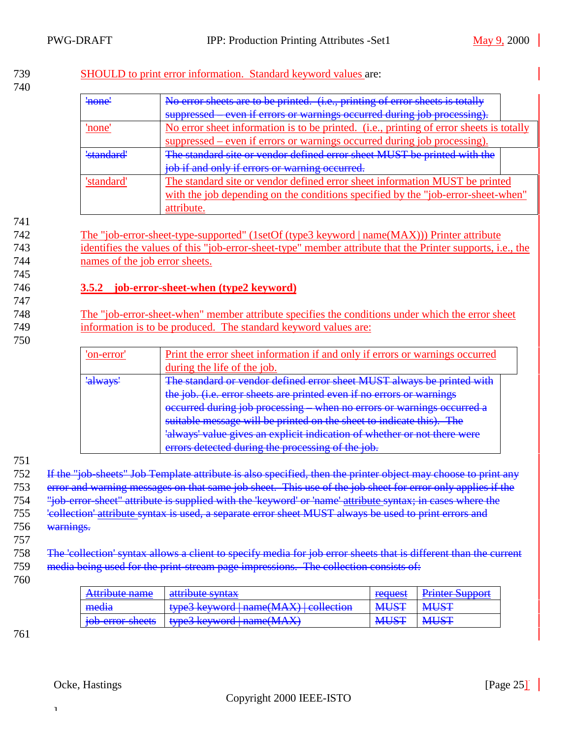### <span id="page-24-0"></span>739 SHOULD to print error information. Standard keyword values are:

| ' <del>none'</del> | No error sheets are to be printed. (i.e., printing of error sheets is totally           |  |  |
|--------------------|-----------------------------------------------------------------------------------------|--|--|
|                    | even if errors or warnings occurred during job processing)<br>suppressed                |  |  |
|                    | No error sheet information is to be printed. (i.e., printing of error sheets is totally |  |  |
|                    | suppressed – even if errors or warnings occurred during job processing).                |  |  |
| 'standard          | The standard site or vendor defined error sheet MUST be printed with the                |  |  |
|                    | job if and only if errors or warning occurred                                           |  |  |
| 'standard'         | The standard site or vendor defined error sheet information MUST be printed             |  |  |
|                    | with the job depending on the conditions specified by the "job-error-sheet-when"        |  |  |
|                    | attribute.                                                                              |  |  |

741

745

747

742 The "job-error-sheet-type-supported" (1setOf (type3 keyword | name(MAX))) Printer attribute 743 identifies the values of this "job-error-sheet-type" member attribute that the Printer supports, i.e., the 744 names of the job error sheets.

### 746 **3.5.2 job-error-sheet-when (type2 keyword)**

748 The "job-error-sheet-when" member attribute specifies the conditions under which the error sheet 749 information is to be produced. The standard keyword values are:

750

| 'on-error | Print the error sheet information if and only if errors or warnings occurred    |  |  |
|-----------|---------------------------------------------------------------------------------|--|--|
|           | during the life of the job.                                                     |  |  |
| 'always   | The standard or vendor defined error sheet MUST always be printed with          |  |  |
|           | the job. (i.e. error sheets are printed even if no errors or warnings           |  |  |
|           | occurred during job processing<br>when no errors or warnings occurred           |  |  |
|           | suitable message will be printed on the sheet to indicate this). The            |  |  |
|           | <u>lalways' value gives an explicit indication of whether or not there were</u> |  |  |
|           | errors detected during the processing of the job.                               |  |  |

751

752 If the "job-sheets" Job Template attribute is also specified, then the printer object may choose to print any

753 error and warning messages on that same job sheet. This use of the job sheet for error only applies if the

754 "job-error-sheet" attribute is supplied with the 'keyword' or 'name' attribute syntax; in cases where the

755 'collection' attribute syntax is used, a separate error sheet MUST always be used to print errors and

- 756 warnings.
- 757

758 The 'collection' syntax allows a client to specify media for job error sheets that is different than the current 759 media being used for the print-stream page impressions. The collection consists of:

760

| Attribute name   | attribute syntax                                                             | request                      | Printer Support |
|------------------|------------------------------------------------------------------------------|------------------------------|-----------------|
| media            | $\frac{1}{2}$ type3 keyword $\frac{1}{2}$ name(MAX) $\frac{1}{2}$ collection | <b>MIRT</b><br><b>INIUDI</b> | <b>MUST</b>     |
| job-error-sheets | <del>types keyword   hame(ivi/xx)</del>                                      | <b>MUST</b>                  | <b>MUST</b>     |

761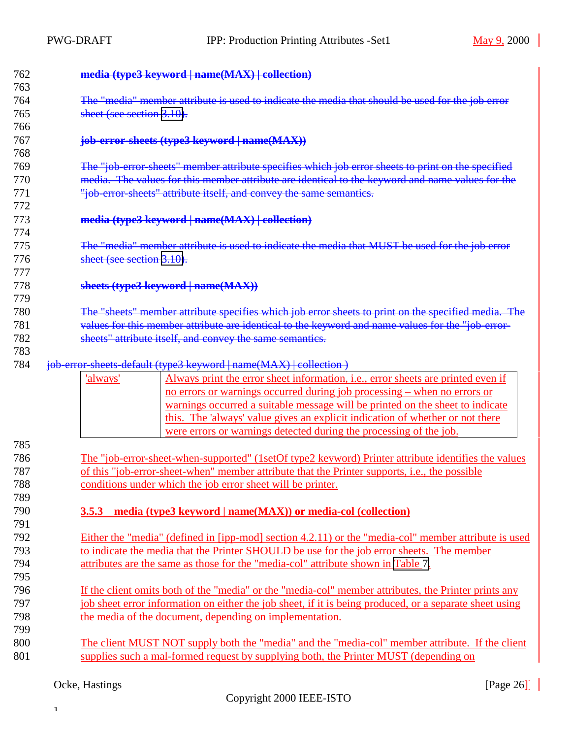<span id="page-25-0"></span>

| 762<br>763 | media (type3 keyword   name(MAX)   collection)                                                             |
|------------|------------------------------------------------------------------------------------------------------------|
| 764        | The "media" member attribute is used to indicate the media that should be used for the job error           |
| 765        | sheet (see section 3.10).                                                                                  |
| 766        |                                                                                                            |
| 767        | job-error-sheets (type3 keyword   name(MAX))                                                               |
| 768        |                                                                                                            |
| 769        | The "job error sheets" member attribute specifies which job error sheets to print on the specified         |
| 770        | media. The values for this member attribute are identical to the keyword and name values for the           |
| 771        | "job-error-sheets" attribute itself, and convey the same semantics.                                        |
| 772        |                                                                                                            |
| 773        | media (type3 keyword   name(MAX)   collection)                                                             |
| 774        |                                                                                                            |
| 775        | The "media" member attribute is used to indicate the media that MUST be used for the job error             |
| 776        | sheet (see section 3.10).                                                                                  |
| 777        |                                                                                                            |
| 778        | sheets (type3 keyword   name(MAX))                                                                         |
| 779        |                                                                                                            |
| 780        | The "sheets" member attribute specifies which job error sheets to print on the specified media. The        |
| 781        | values for this member attribute are identical to the keyword and name values for the "job-error-          |
| 782        | sheets" attribute itself, and convey the same semantics.                                                   |
| 783        |                                                                                                            |
| 784        | job-error-sheets-default (type3 keyword   name(MAX)   collection )                                         |
|            | Always print the error sheet information, <i>i.e.</i> , error sheets are printed even if<br>'always'       |
|            | <u>no errors or warnings occurred during job processing – when no errors or</u>                            |
|            | warnings occurred a suitable message will be printed on the sheet to indicate                              |
|            | this. The 'always' value gives an explicit indication of whether or not there                              |
|            | were errors or warnings detected during the processing of the job.                                         |
| 785        |                                                                                                            |
| 786        | <u>The "job-error-sheet-when-supported" (1setOf type2 keyword) Printer attribute identifies the values</u> |
| 787        | of this "job-error-sheet-when" member attribute that the Printer supports, i.e., the possible              |
| 788        | conditions under which the job error sheet will be printer.                                                |
| 789        |                                                                                                            |
| 790        | media (type3 keyword   name(MAX)) or media-col (collection)<br>3.5.3                                       |
| 791        |                                                                                                            |
| 792        | Either the "media" (defined in [ipp-mod] section 4.2.11) or the "media-col" member attribute is used       |
| 793        | to indicate the media that the Printer SHOULD be use for the job error sheets. The member                  |
| 794        | attributes are the same as those for the "media-col" attribute shown in Table 7.                           |
| 795        |                                                                                                            |
| 796        | If the client omits both of the "media" or the "media-col" member attributes, the Printer prints any       |
| 797        | job sheet error information on either the job sheet, if it is being produced, or a separate sheet using    |
| 798        | the media of the document, depending on implementation.                                                    |
| 799        |                                                                                                            |
| 800        | The client MUST NOT supply both the "media" and the "media-col" member attribute. If the client            |
| 801        | supplies such a mal-formed request by supplying both, the Printer MUST (depending on                       |

# Ocke, Hastings [Page 26] [Page 26]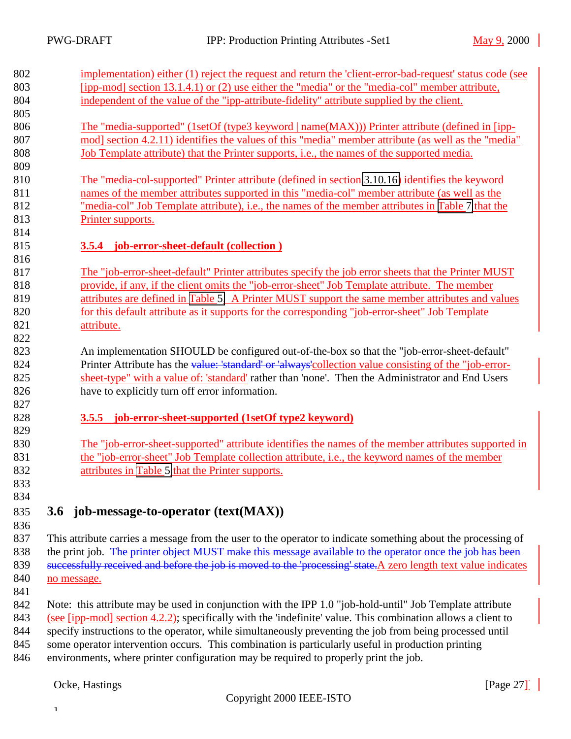<span id="page-26-0"></span>

| 802 | implementation) either (1) reject the request and return the 'client-error-bad-request' status code (see       |
|-----|----------------------------------------------------------------------------------------------------------------|
| 803 | [ipp-mod] section 13.1.4.1) or (2) use either the "media" or the "media-col" member attribute,                 |
| 804 | independent of the value of the "ipp-attribute-fidelity" attribute supplied by the client.                     |
| 805 |                                                                                                                |
| 806 | The "media-supported" (1setOf (type3 keyword   name(MAX))) Printer attribute (defined in [ipp-                 |
| 807 | mod] section 4.2.11) identifies the values of this "media" member attribute (as well as the "media"            |
| 808 | Job Template attribute) that the Printer supports, <i>i.e.</i> , the names of the supported media.             |
| 809 |                                                                                                                |
| 810 | The "media-col-supported" Printer attribute (defined in section 3.10.16) identifies the keyword                |
| 811 | names of the member attributes supported in this "media-col" member attribute (as well as the                  |
| 812 | "media-col" Job Template attribute), i.e., the names of the member attributes in Table 7 that the              |
| 813 | Printer supports.                                                                                              |
| 814 |                                                                                                                |
| 815 | 3.5.4 job-error-sheet-default (collection)                                                                     |
| 816 |                                                                                                                |
| 817 | The "job-error-sheet-default" Printer attributes specify the job error sheets that the Printer MUST            |
| 818 | provide, if any, if the client omits the "job-error-sheet" Job Template attribute. The member                  |
| 819 | attributes are defined in Table 5. A Printer MUST support the same member attributes and values                |
| 820 | for this default attribute as it supports for the corresponding "job-error-sheet" Job Template                 |
| 821 | attribute.                                                                                                     |
| 822 |                                                                                                                |
| 823 | An implementation SHOULD be configured out-of-the-box so that the "job-error-sheet-default"                    |
| 824 | Printer Attribute has the value: 'standard' or 'always' collection value consisting of the "job-error-         |
| 825 | sheet-type" with a value of: 'standard' rather than 'none'. Then the Administrator and End Users               |
| 826 | have to explicitly turn off error information.                                                                 |
| 827 |                                                                                                                |
| 828 | job-error-sheet-supported (1setOf type2 keyword)<br>3.5.5                                                      |
| 829 |                                                                                                                |
| 830 | The "job-error-sheet-supported" attribute identifies the names of the member attributes supported in           |
| 831 | the "job-error-sheet" Job Template collection attribute, i.e., the keyword names of the member                 |
| 832 | attributes in Table 5 that the Printer supports.                                                               |
| 833 |                                                                                                                |
| 834 |                                                                                                                |
| 835 | 3.6 job-message-to-operator (text(MAX))                                                                        |
| 836 |                                                                                                                |
| 027 | This ottailante comico o meggagge from the worker to the creatente indicate constitues about the nucescains of |

837 This attribute carries a message from the user to the operator to indicate something about the processing of 838 the print job. The printer object MUST make this message available to the operator once the job has been 839 successfully received and before the job is moved to the 'processing' state. A zero length text value indicates 840 no message.

841

 Note: this attribute may be used in conjunction with the IPP 1.0 "job-hold-until" Job Template attribute (see [ipp-mod] section 4.2.2); specifically with the 'indefinite' value. This combination allows a client to specify instructions to the operator, while simultaneously preventing the job from being processed until some operator intervention occurs. This combination is particularly useful in production printing

846 environments, where printer configuration may be required to properly print the job.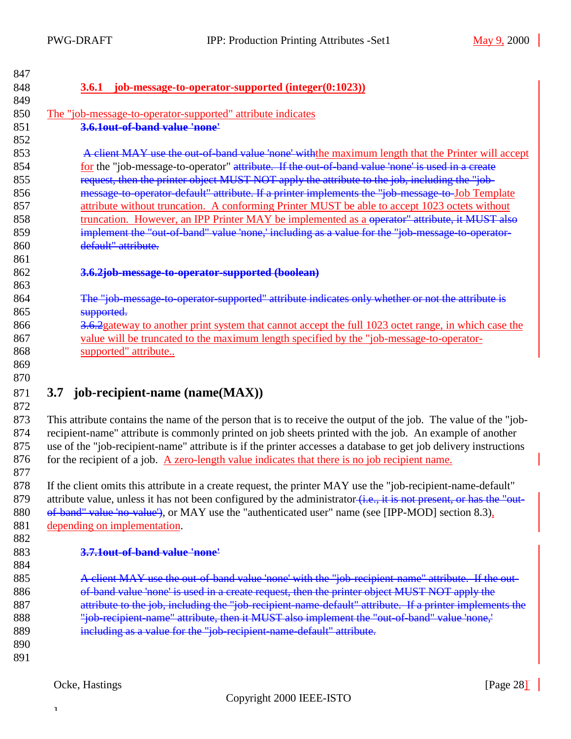<span id="page-27-0"></span>

| 847 |                                                                                                                  |
|-----|------------------------------------------------------------------------------------------------------------------|
| 848 | 3.6.1 job-message-to-operator-supported (integer(0:1023))                                                        |
| 849 |                                                                                                                  |
| 850 | The "job-message-to-operator-supported" attribute indicates                                                      |
| 851 | 3.6.10ut-of-band value 'none'                                                                                    |
| 852 |                                                                                                                  |
| 853 | A client MAY use the out-of-band value 'none' with the maximum length that the Printer will accept               |
| 854 | for the "job-message-to-operator" attribute. If the out-of-band value 'none' is used in a create                 |
| 855 | request, then the printer object MUST NOT apply the attribute to the job, including the "job-                    |
| 856 | message-to-operator-default" attribute. If a printer implements the "job-message-to-Job Template                 |
| 857 | attribute without truncation. A conforming Printer MUST be able to accept 1023 octets without                    |
| 858 | truncation. However, an IPP Printer MAY be implemented as a operator" attribute, it MUST also                    |
| 859 | implement the "out-of-band" value 'none,' including as a value for the "job-message to-operator-                 |
| 860 | default" attribute.                                                                                              |
| 861 |                                                                                                                  |
| 862 | 3.6.2job-message-to-operator-supported (boolean)                                                                 |
| 863 |                                                                                                                  |
| 864 | The "job-message-to-operator-supported" attribute indicates only whether or not the attribute is                 |
| 865 | supported.                                                                                                       |
| 866 | 3.6.2gateway to another print system that cannot accept the full 1023 octet range, in which case the             |
| 867 | value will be truncated to the maximum length specified by the "job-message-to-operator-                         |
| 868 | supported" attribute                                                                                             |
| 869 |                                                                                                                  |
| 870 |                                                                                                                  |
| 871 | 3.7 job-recipient-name $(name(MAX))$                                                                             |
| 872 |                                                                                                                  |
| 873 | This attribute contains the name of the person that is to receive the output of the job. The value of the "job-  |
| 874 | recipient-name" attribute is commonly printed on job sheets printed with the job. An example of another          |
| 875 | use of the "job-recipient-name" attribute is if the printer accesses a database to get job delivery instructions |
| 876 | for the recipient of a job. A zero-length value indicates that there is no job recipient name.                   |
| 877 |                                                                                                                  |

878 If the client omits this attribute in a create request, the printer MAY use the "job-recipient-name-default" 879 attribute value, unless it has not been configured by the administrator (i.e., it is not present, or has the "out-880 of-band" value 'no-value'), or MAY use the "authenticated user" name (see [IPP-MOD] section 8.3), 881 depending on implementation.

882

884

### 883 **3.7.1out-of-band value 'none'**

885 A client MAY use the out-of-band value 'none' with the "job-recipient-name" attribute. If the out-886 of-band value 'none' is used in a create request, then the printer object MUST NOT apply the 887 attribute to the job, including the "job-recipient-name-default" attribute. If a printer implements the 888 "job-recipient-name" attribute, then it MUST also implement the "out-of-band" value 'none,' 889 including as a value for the "job-recipient-name-default" attribute.

890 891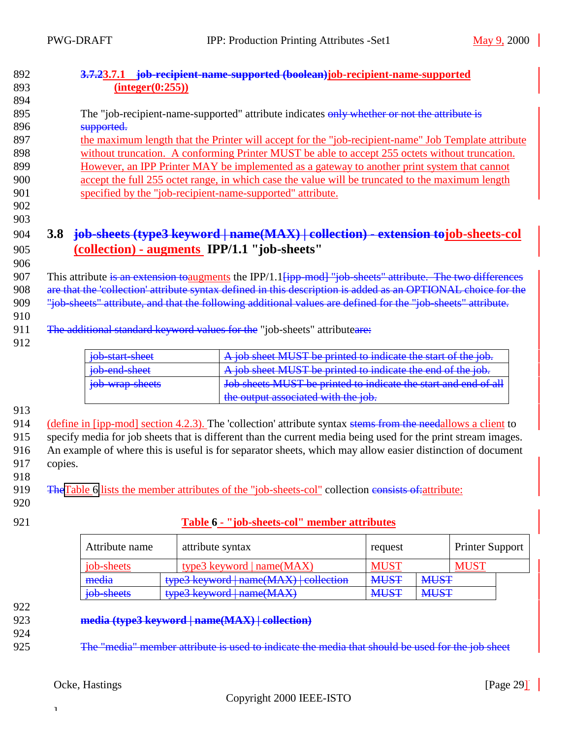<span id="page-28-0"></span>

| 892 | 3.7.23.7.1 job-recipient-name-supported (boolean)job-recipient-name-supported |                                                                                                                        |  |
|-----|-------------------------------------------------------------------------------|------------------------------------------------------------------------------------------------------------------------|--|
| 893 | interger(0:255)                                                               |                                                                                                                        |  |
| 894 |                                                                               |                                                                                                                        |  |
| 895 |                                                                               | The "job-recipient-name-supported" attribute indicates only whether or not the attribute is                            |  |
| 896 | supported.                                                                    |                                                                                                                        |  |
| 897 |                                                                               | the maximum length that the Printer will accept for the "job-recipient-name" Job Template attribute                    |  |
| 898 |                                                                               | without truncation. A conforming Printer MUST be able to accept 255 octets without truncation.                         |  |
| 899 |                                                                               | However, an IPP Printer MAY be implemented as a gateway to another print system that cannot                            |  |
| 900 |                                                                               | accept the full 255 octet range, in which case the value will be truncated to the maximum length                       |  |
| 901 | specified by the "job-recipient-name-supported" attribute.                    |                                                                                                                        |  |
| 902 |                                                                               |                                                                                                                        |  |
| 903 |                                                                               |                                                                                                                        |  |
| 904 | 3.8                                                                           | job-sheets (type3 keyword   name(MAX)   collection) - extension tojob-sheets-col                                       |  |
| 905 | (collection) - augments IPP/1.1 "job-sheets"                                  |                                                                                                                        |  |
| 906 |                                                                               |                                                                                                                        |  |
| 907 |                                                                               | This attribute is an extension toaugments the IPP/1.1 <del>[ipp mod] "job sheets" attribute. The two differences</del> |  |
| 908 |                                                                               | are that the 'collection' attribute syntax defined in this description is added as an OPTIONAL choice for the          |  |
| 909 |                                                                               | "job-sheets" attribute, and that the following additional values are defined for the "job-sheets" attribute.           |  |
| 910 |                                                                               |                                                                                                                        |  |
| 911 | The additional standard keyword values for the "job-sheets" attributeare:     |                                                                                                                        |  |
| 912 |                                                                               |                                                                                                                        |  |
|     | job-start-sheet                                                               | job sheet MUST be printed to indicate the start of the job.                                                            |  |
|     | job-end-sheet                                                                 | A job sheet MUST be printed to indicate the end of the job.                                                            |  |
|     | job-wrap-sheets                                                               | Job sheets MUST be printed to indicate the start and end of all                                                        |  |
|     |                                                                               | the output associated with the job.                                                                                    |  |
| 913 |                                                                               |                                                                                                                        |  |

914 (define in [ipp-mod] section 4.2.3). The 'collection' attribute syntax stems from the needallows a client to

915 specify media for job sheets that is different than the current media being used for the print stream images. 916 An example of where this is useful is for separator sheets, which may allow easier distinction of document 917 copies.

918

919 TheTable 6 lists the member attributes of the "job-sheets-col" collection consists of: attribute:

- 920
- 

### 921 **Table 6 - "job-sheets-col" member attributes**

| Attribute name                                                        | attribute syntax                           | request     |             | <b>Printer Support</b> |
|-----------------------------------------------------------------------|--------------------------------------------|-------------|-------------|------------------------|
| job-sheets                                                            | type3 keyword $ name(MAX) $                | <b>MUS</b>  |             | MUS                    |
| media<br>$t$ une <sup>2</sup> $k$ euword   name( $MAY$ )   collection |                                            | <b>MUST</b> | <b>MUST</b> |                        |
| job-sheets                                                            | <del>types keyword   hallie(IVI/LA )</del> | <b>MUST</b> | <b>MUST</b> |                        |

- 922
- 923 **media (type3 keyword | name(MAX) | collection)**

924

925 The "media" member attribute is used to indicate the media that should be used for the job sheet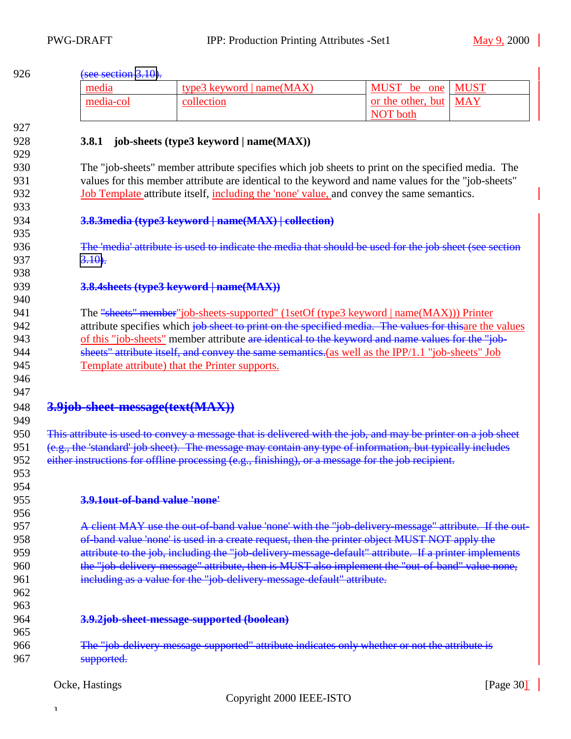<span id="page-29-0"></span>

| 926        | (see section $3.10$ ).                                                                                    |                                                                                                   |                                                                                                              |  |  |
|------------|-----------------------------------------------------------------------------------------------------------|---------------------------------------------------------------------------------------------------|--------------------------------------------------------------------------------------------------------------|--|--|
|            | media                                                                                                     | type3 keyword   name(MAX)                                                                         | <b>MUST</b><br>MUST be one                                                                                   |  |  |
|            | media-col                                                                                                 | collection                                                                                        | or the other, but<br><b>MAY</b>                                                                              |  |  |
|            |                                                                                                           |                                                                                                   | <b>NOT</b> both                                                                                              |  |  |
| 927        |                                                                                                           |                                                                                                   |                                                                                                              |  |  |
| 928        | <b>3.8.1</b>                                                                                              | job-sheets (type3 keyword   name(MAX))                                                            |                                                                                                              |  |  |
| 929        |                                                                                                           |                                                                                                   |                                                                                                              |  |  |
| 930        |                                                                                                           |                                                                                                   | The "job-sheets" member attribute specifies which job sheets to print on the specified media. The            |  |  |
| 931        |                                                                                                           |                                                                                                   | values for this member attribute are identical to the keyword and name values for the "job-sheets"           |  |  |
| 932        |                                                                                                           | Job Template attribute itself, including the 'none' value, and convey the same semantics.         |                                                                                                              |  |  |
| 933        |                                                                                                           |                                                                                                   |                                                                                                              |  |  |
| 934<br>935 |                                                                                                           | 3.8.3 media (type3 keyword   name(MAX)   collection)                                              |                                                                                                              |  |  |
| 936        |                                                                                                           |                                                                                                   | The 'media' attribute is used to indicate the media that should be used for the job sheet (see section       |  |  |
| 937        | $3.10$ .                                                                                                  |                                                                                                   |                                                                                                              |  |  |
| 938        |                                                                                                           |                                                                                                   |                                                                                                              |  |  |
| 939        |                                                                                                           | 3.8.4 sheets (type3 keyword   name(MAX))                                                          |                                                                                                              |  |  |
| 940        |                                                                                                           |                                                                                                   |                                                                                                              |  |  |
| 941        |                                                                                                           | The "sheets" member" job-sheets-supported" (1setOf (type3 keyword   name(MAX))) Printer           |                                                                                                              |  |  |
| 942        |                                                                                                           |                                                                                                   | attribute specifies which job sheet to print on the specified media. The values for this are the values      |  |  |
| 943        |                                                                                                           | of this "job-sheets" member attribute are identical to the keyword and name values for the "job-  |                                                                                                              |  |  |
| 944        |                                                                                                           | sheets" attribute itself, and convey the same semanties.(as well as the IPP/1.1 "job-sheets" Job  |                                                                                                              |  |  |
| 945        |                                                                                                           | Template attribute) that the Printer supports.                                                    |                                                                                                              |  |  |
| 946        |                                                                                                           |                                                                                                   |                                                                                                              |  |  |
| 947        |                                                                                                           |                                                                                                   |                                                                                                              |  |  |
| 948        | 3.9job-sheet-message(text(MAX))                                                                           |                                                                                                   |                                                                                                              |  |  |
| 949        |                                                                                                           |                                                                                                   |                                                                                                              |  |  |
| 950        |                                                                                                           |                                                                                                   | This attribute is used to convey a message that is delivered with the job, and may be printer on a job sheet |  |  |
| 951        | (e.g., the 'standard' job sheet). The message may contain any type of information, but typically includes |                                                                                                   |                                                                                                              |  |  |
| 952        |                                                                                                           | either instructions for offline processing (e.g., finishing), or a message for the job recipient. |                                                                                                              |  |  |
| 953        |                                                                                                           |                                                                                                   |                                                                                                              |  |  |
| 954<br>955 | 3.9.1out-of-band value 'none'                                                                             |                                                                                                   |                                                                                                              |  |  |
| 956        |                                                                                                           |                                                                                                   |                                                                                                              |  |  |
| 957        |                                                                                                           |                                                                                                   | A client MAY use the out-of-band value 'none' with the "job-delivery-message" attribute. If the out-         |  |  |
| 958        |                                                                                                           | of-band value 'none' is used in a create request, then the printer object MUST NOT apply the      |                                                                                                              |  |  |
| 959        |                                                                                                           |                                                                                                   | attribute to the job, including the "job-delivery message-default" attribute. If a printer implements        |  |  |
| 960        |                                                                                                           |                                                                                                   | the "job-delivery message" attribute, then is MUST also implement the "out-of-band" value none,              |  |  |
| 961        |                                                                                                           | including as a value for the "job-delivery-message-default" attribute.                            |                                                                                                              |  |  |
| 962        |                                                                                                           |                                                                                                   |                                                                                                              |  |  |
| 963        |                                                                                                           |                                                                                                   |                                                                                                              |  |  |
| 964        |                                                                                                           | 3.9.2job-sheet-message-supported (boolean)                                                        |                                                                                                              |  |  |
| 965        |                                                                                                           |                                                                                                   |                                                                                                              |  |  |
| 966        |                                                                                                           | The "job-delivery-message-supported" attribute indicates only whether or not the attribute is     |                                                                                                              |  |  |
| 967        | supported.                                                                                                |                                                                                                   |                                                                                                              |  |  |
|            |                                                                                                           |                                                                                                   |                                                                                                              |  |  |
|            | Ocke, Hastings                                                                                            |                                                                                                   | [Page $30$ ]                                                                                                 |  |  |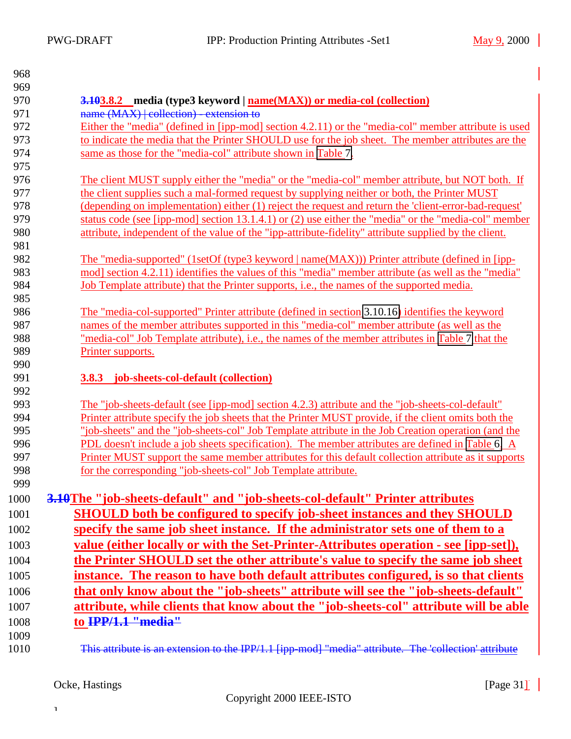<span id="page-30-0"></span>

| 968        |                                                                                                       |
|------------|-------------------------------------------------------------------------------------------------------|
| 969        |                                                                                                       |
| 970        | <b>3.103.8.2</b> media (type3 keyword   <u>name(MAX))</u> or media-col (collection)                   |
| 971        | name (MAX)   collection) - extension to                                                               |
| 972        | Either the "media" (defined in [ipp-mod] section 4.2.11) or the "media-col" member attribute is used  |
| 973        | to indicate the media that the Printer SHOULD use for the job sheet. The member attributes are the    |
| 974<br>975 | same as those for the "media-col" attribute shown in Table 7.                                         |
| 976        | The client MUST supply either the "media" or the "media-col" member attribute, but NOT both. If       |
| 977        | the client supplies such a mal-formed request by supplying neither or both, the Printer MUST          |
| 978        | (depending on implementation) either (1) reject the request and return the 'client-error-bad-request' |
| 979        | status code (see [ipp-mod] section 13.1.4.1) or (2) use either the "media" or the "media-col" member  |
| 980        | attribute, independent of the value of the "ipp-attribute-fidelity" attribute supplied by the client. |
| 981        |                                                                                                       |
| 982        | The "media-supported" (1setOf (type3 keyword   name(MAX))) Printer attribute (defined in [ipp-        |
| 983        | mod] section 4.2.11) identifies the values of this "media" member attribute (as well as the "media"   |
| 984        | Job Template attribute) that the Printer supports, i.e., the names of the supported media.            |
| 985        |                                                                                                       |
| 986        | The "media-col-supported" Printer attribute (defined in section 3.10.16) identifies the keyword       |
| 987        | names of the member attributes supported in this "media-col" member attribute (as well as the         |
| 988        | "media-col" Job Template attribute), i.e., the names of the member attributes in Table 7 that the     |
| 989        | Printer supports.                                                                                     |
| 990        |                                                                                                       |
| 991        | <b>3.8.3</b> job-sheets-col-default (collection)                                                      |
| 992        |                                                                                                       |
| 993        | The "job-sheets-default (see [ipp-mod] section 4.2.3) attribute and the "job-sheets-col-default"      |
| 994        | Printer attribute specify the job sheets that the Printer MUST provide, if the client omits both the  |
| 995        | "job-sheets" and the "job-sheets-col" Job Template attribute in the Job Creation operation (and the   |
| 996        | PDL doesn't include a job sheets specification). The member attributes are defined in Table 6. A      |
| 997        | Printer MUST support the same member attributes for this default collection attribute as it supports  |
| 998        | for the corresponding "job-sheets-col" Job Template attribute.                                        |
| 999        |                                                                                                       |
| 1000       | 3.10The "job-sheets-default" and "job-sheets-col-default" Printer attributes                          |
| 1001       | <b>SHOULD</b> both be configured to specify job-sheet instances and they SHOULD                       |
| 1002       | specify the same job sheet instance. If the administrator sets one of them to a                       |
| 1003       | value (either locally or with the Set-Printer-Attributes operation - see [ipp-set]),                  |
| 1004       | the Printer SHOULD set the other attribute's value to specify the same job sheet                      |
| 1005       | instance. The reason to have both default attributes configured, is so that clients                   |
| 1006       | that only know about the "job-sheets" attribute will see the "job-sheets-default"                     |
| 1007       | attribute, while clients that know about the "job-sheets-col" attribute will be able                  |
|            |                                                                                                       |
| 1008       | to IPP/1.1 "media"                                                                                    |
| 1009       |                                                                                                       |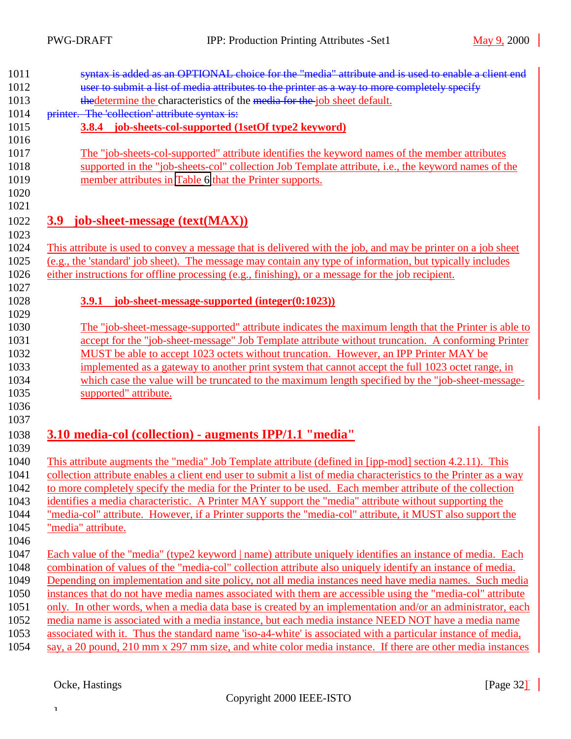<span id="page-31-0"></span>

| 1011 | syntax is added as an OPTIONAL choice for the "media" attribute and is used to enable a client end               |
|------|------------------------------------------------------------------------------------------------------------------|
| 1012 | user to submit a list of media attributes to the printer as a way to more completely specify                     |
| 1013 | thedetermine the characteristics of the media for the job sheet default.                                         |
| 1014 | printer. The 'collection' attribute syntax is:                                                                   |
|      | 3.8.4 job-sheets-col-supported (1setOf type2 keyword)                                                            |
|      | The "job-sheets-col-supported" attribute identifies the keyword names of the member attributes                   |
|      | supported in the "job-sheets-col" collection Job Template attribute, i.e., the keyword names of the              |
|      | member attributes in Table 6 that the Printer supports.                                                          |
|      |                                                                                                                  |
|      | 3.9 job-sheet-message (text(MAX))                                                                                |
|      | This attribute is used to convey a message that is delivered with the job, and may be printer on a job sheet     |
|      | (e.g., the 'standard' job sheet). The message may contain any type of information, but typically includes        |
|      | either instructions for offline processing (e.g., finishing), or a message for the job recipient.                |
|      | 3.9.1 job-sheet-message-supported (integer(0:1023))                                                              |
|      |                                                                                                                  |
|      | The "job-sheet-message-supported" attribute indicates the maximum length that the Printer is able to             |
|      | accept for the "job-sheet-message" Job Template attribute without truncation. A conforming Printer               |
|      | MUST be able to accept 1023 octets without truncation. However, an IPP Printer MAY be                            |
|      | implemented as a gateway to another print system that cannot accept the full 1023 octet range, in                |
|      | which case the value will be truncated to the maximum length specified by the "job-sheet-message-                |
|      | supported" attribute.                                                                                            |
|      |                                                                                                                  |
|      | 3.10 media-col (collection) - augments IPP/1.1 "media"                                                           |
|      | This attribute augments the "media" Job Template attribute (defined in [ipp-mod] section 4.2.11). This           |
|      | collection attribute enables a client end user to submit a list of media characteristics to the Printer as a way |
|      | to more completely specify the media for the Printer to be used. Each member attribute of the collection         |
|      | identifies a media characteristic. A Printer MAY support the "media" attribute without supporting the            |
|      | "media-col" attribute. However, if a Printer supports the "media-col" attribute, it MUST also support the        |
|      | "media" attribute.                                                                                               |
|      |                                                                                                                  |
|      | Each value of the "media" (type2 keyword   name) attribute uniquely identifies an instance of media. Each        |
|      | combination of values of the "media-col" collection attribute also uniquely identify an instance of media.       |
|      | Depending on implementation and site policy, not all media instances need have media names. Such media           |
|      | instances that do not have media names associated with them are accessible using the "media-col" attribute       |
|      | only. In other words, when a media data base is created by an implementation and/or an administrator, each       |
|      | media name is associated with a media instance, but each media instance NEED NOT have a media name               |
|      | associated with it. Thus the standard name 'iso-a4-white' is associated with a particular instance of media,     |
|      | say, a 20 pound, 210 mm x 297 mm size, and white color media instance. If there are other media instances        |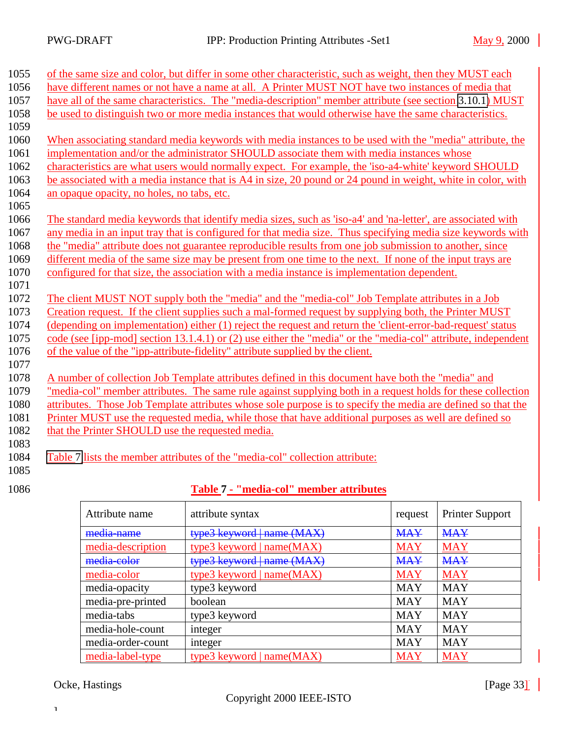<span id="page-32-0"></span>

| 1055 | of the same size and color, but differ in some other characteristic, such as weight, then they MUST each      |
|------|---------------------------------------------------------------------------------------------------------------|
| 1056 | have different names or not have a name at all. A Printer MUST NOT have two instances of media that           |
| 1057 | have all of the same characteristics. The "media-description" member attribute (see section 3.10.1) MUST      |
| 1058 | be used to distinguish two or more media instances that would otherwise have the same characteristics.        |
| 1059 |                                                                                                               |
| 1060 | When associating standard media keywords with media instances to be used with the "media" attribute, the      |
| 1061 | implementation and/or the administrator SHOULD associate them with media instances whose                      |
| 1062 | characteristics are what users would normally expect. For example, the 'iso-a4-white' keyword SHOULD          |
| 1063 | be associated with a media instance that is A4 in size, 20 pound or 24 pound in weight, white in color, with  |
| 1064 | an opaque opacity, no holes, no tabs, etc.                                                                    |
| 1065 |                                                                                                               |
| 1066 | The standard media keywords that identify media sizes, such as 'iso-a4' and 'na-letter', are associated with  |
| 1067 | any media in an input tray that is configured for that media size. Thus specifying media size keywords with   |
| 1068 | the "media" attribute does not guarantee reproducible results from one job submission to another, since       |
| 1069 | different media of the same size may be present from one time to the next. If none of the input trays are     |
| 1070 | configured for that size, the association with a media instance is implementation dependent.                  |
| 1071 |                                                                                                               |
| 1072 | The client MUST NOT supply both the "media" and the "media-col" Job Template attributes in a Job              |
| 1073 | Creation request. If the client supplies such a mal-formed request by supplying both, the Printer MUST        |
| 1074 | (depending on implementation) either (1) reject the request and return the 'client-error-bad-request' status  |
| 1075 | code (see [ipp-mod] section 13.1.4.1) or (2) use either the "media" or the "media-col" attribute, independent |
| 1076 | of the value of the "ipp-attribute-fidelity" attribute supplied by the client.                                |
| 1077 |                                                                                                               |
| 1078 | A number of collection Job Template attributes defined in this document have both the "media" and             |
| 1079 | "media-col" member attributes. The same rule against supplying both in a request holds for these collection   |
| 1080 | attributes. Those Job Template attributes whose sole purpose is to specify the media are defined so that the  |
| 1081 | Printer MUST use the requested media, while those that have additional purposes as well are defined so        |
| 1082 | that the Printer SHOULD use the requested media.                                                              |
| 1083 |                                                                                                               |
| 1084 | Table 7 lists the member attributes of the "media-col" collection attribute:                                  |
| 1085 |                                                                                                               |

### 1086 **Table 7 - "media-col" member attributes**

| Attribute name    | attribute syntax            | request    | <b>Printer Support</b> |
|-------------------|-----------------------------|------------|------------------------|
| media-name        | type3 keyword   name (MAX)  | <b>MAY</b> | <b>MAY</b>             |
| media-description | type3 keyword   name(MAX)   | <b>MAY</b> | <b>MAY</b>             |
| media-color       | type3 keyword   name (MAX)  | <b>MAY</b> | <b>MAY</b>             |
| media-color       | type3 keyword   name(MAX)   | <b>MAY</b> | <b>MAY</b>             |
| media-opacity     | type3 keyword               | <b>MAY</b> | <b>MAY</b>             |
| media-pre-printed | boolean                     | <b>MAY</b> | <b>MAY</b>             |
| media-tabs        | type3 keyword               | <b>MAY</b> | <b>MAY</b>             |
| media-hole-count  | integer                     | <b>MAY</b> | <b>MAY</b>             |
| media-order-count | integer                     | <b>MAY</b> | <b>MAY</b>             |
| media-label-type  | type3 keyword   $name(MAX)$ | <b>MAY</b> | <b>MAY</b>             |

Ocke, Hastings [Page 33] [Page 33]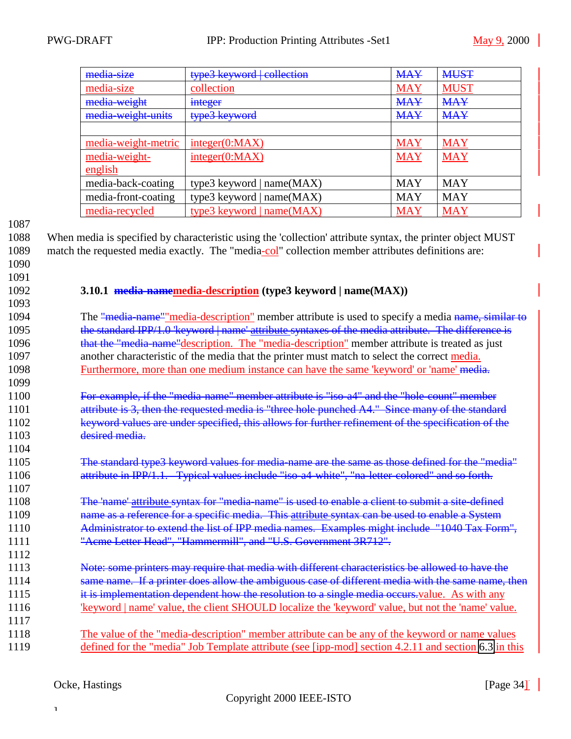<span id="page-33-0"></span>

| media-size          | type3 keyword collection    | <b>MAY</b> | <b>MUST</b> |
|---------------------|-----------------------------|------------|-------------|
| media-size          | collection                  | <b>MAY</b> | <b>MUST</b> |
| media-weight        | integer                     | <b>MAY</b> | <b>MAY</b>  |
| media weight units  | type3 keyword               | <b>MAY</b> | <b>MAY</b>  |
|                     |                             |            |             |
| media-weight-metric | integer(0:MAX)              | <b>MAY</b> | <b>MAY</b>  |
| media-weight-       | integer(0:MAX)              | <b>MAY</b> | <b>MAY</b>  |
| english             |                             |            |             |
| media-back-coating  | type3 keyword   name(MAX)   | <b>MAY</b> | <b>MAY</b>  |
| media-front-coating | type3 keyword   name(MAX)   | <b>MAY</b> | <b>MAY</b>  |
| media-recycled      | type3 keyword   $name(MAX)$ | <b>MAY</b> | <b>MAY</b>  |

1088 When media is specified by characteristic using the 'collection' attribute syntax, the printer object MUST 1089 match the requested media exactly. The "media-col" collection member attributes definitions are: 1090

1091

1093

1107

1112

### 1092 **3.10.1 media-namemedia-description (type3 keyword | name(MAX))**

1094 The "media-name" media-description" member attribute is used to specify a media name, similar to 1095 the standard IPP/1.0 'keyword | name' attribute syntaxes of the media attribute. The difference is 1096 that the "media-name" description. The "media-description" member attribute is treated as just 1097 another characteristic of the media that the printer must match to select the correct media. 1098 Furthermore, more than one medium instance can have the same 'keyword' or 'name' media. 1099

1100 For-example, if the "media-name" member attribute is "iso-a4" and the "hole-count" member 1101 attribute is 3, then the requested media is "three hole punched A4." Since many of the standard 1102 keyword values are under specified, this allows for further refinement of the specification of the 1103 desired media. 1104

1105 The standard type3 keyword values for media-name are the same as those defined for the "media" 1106 attribute in IPP/1.1. Typical values include "iso-a4-white", "na-letter-colored" and so forth.

1108 The 'name' attribute syntax for "media-name" is used to enable a client to submit a site-defined name as a reference for a specific media. This attribute syntax can be used to enable a System Administrator to extend the list of IPP media names. Examples might include "1040 Tax Form", "Acme Letter Head", "Hammermill", and "U.S. Government 3R712".

1113 Note: some printers may require that media with different characteristics be allowed to have the 1114 same name. If a printer does allow the ambiguous case of different media with the same name, then 1115 it is implementation dependent how the resolution to a single media occurs, value. As with any 1116 'keyword | name' value, the client SHOULD localize the 'keyword' value, but not the 'name' value.

1117 1118 The value of the "media-description" member attribute can be any of the keyword or name values 1119 defined for the "media" Job Template attribute (see [ipp-mod] section 4.2.11 and section [6.3](#page-56-0) in this

]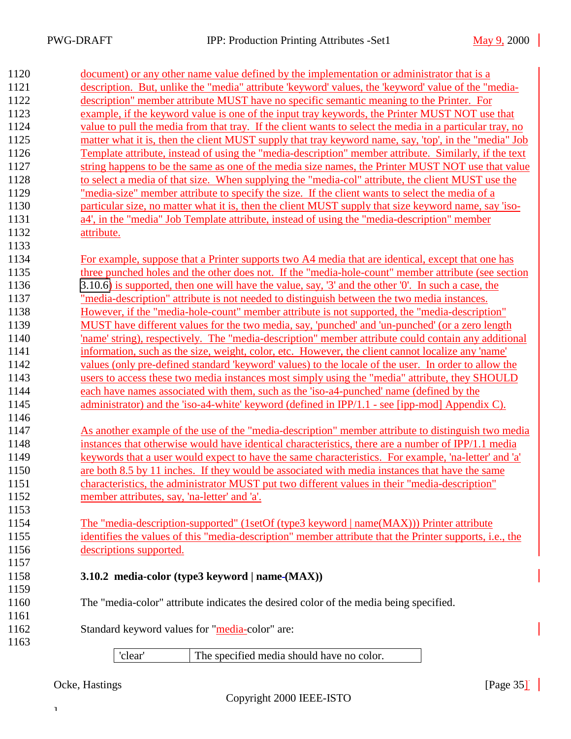<span id="page-34-0"></span>

| 1120 | document) or any other name value defined by the implementation or administrator that is a                                                                                                               |  |  |  |  |
|------|----------------------------------------------------------------------------------------------------------------------------------------------------------------------------------------------------------|--|--|--|--|
| 1121 | description. But, unlike the "media" attribute "keyword' values, the "keyword' value of the "media-                                                                                                      |  |  |  |  |
| 1122 | description" member attribute MUST have no specific semantic meaning to the Printer. For                                                                                                                 |  |  |  |  |
| 1123 | example, if the keyword value is one of the input tray keywords, the Printer MUST NOT use that                                                                                                           |  |  |  |  |
| 1124 | value to pull the media from that tray. If the client wants to select the media in a particular tray, no                                                                                                 |  |  |  |  |
| 1125 | matter what it is, then the client MUST supply that tray keyword name, say, 'top', in the "media" Job                                                                                                    |  |  |  |  |
| 1126 | Template attribute, instead of using the "media-description" member attribute. Similarly, if the text                                                                                                    |  |  |  |  |
| 1127 | string happens to be the same as one of the media size names, the Printer MUST NOT use that value                                                                                                        |  |  |  |  |
| 1128 | to select a media of that size. When supplying the "media-col" attribute, the client MUST use the                                                                                                        |  |  |  |  |
| 1129 | "media-size" member attribute to specify the size. If the client wants to select the media of a                                                                                                          |  |  |  |  |
| 1130 | particular size, no matter what it is, then the client MUST supply that size keyword name, say 'iso-                                                                                                     |  |  |  |  |
| 1131 | a4', in the "media" Job Template attribute, instead of using the "media-description" member                                                                                                              |  |  |  |  |
| 1132 | attribute.                                                                                                                                                                                               |  |  |  |  |
| 1133 |                                                                                                                                                                                                          |  |  |  |  |
| 1134 |                                                                                                                                                                                                          |  |  |  |  |
| 1135 | For example, suppose that a Printer supports two A4 media that are identical, except that one has<br>three punched holes and the other does not. If the "media-hole-count" member attribute (see section |  |  |  |  |
| 1136 | 3.10.6) is supported, then one will have the value, say, '3' and the other '0'. In such a case, the                                                                                                      |  |  |  |  |
| 1137 | "media-description" attribute is not needed to distinguish between the two media instances.                                                                                                              |  |  |  |  |
| 1138 | However, if the "media-hole-count" member attribute is not supported, the "media-description"                                                                                                            |  |  |  |  |
| 1139 | MUST have different values for the two media, say, 'punched' and 'un-punched' (or a zero length                                                                                                          |  |  |  |  |
| 1140 | 'name' string), respectively. The "media-description" member attribute could contain any additional                                                                                                      |  |  |  |  |
| 1141 |                                                                                                                                                                                                          |  |  |  |  |
| 1142 | information, such as the size, weight, color, etc. However, the client cannot localize any 'name'                                                                                                        |  |  |  |  |
| 1143 | values (only pre-defined standard 'keyword' values) to the locale of the user. In order to allow the<br>users to access these two media instances most simply using the "media" attribute, they SHOULD   |  |  |  |  |
| 1144 | each have names associated with them, such as the 'iso-a4-punched' name (defined by the                                                                                                                  |  |  |  |  |
| 1145 | administrator) and the 'iso-a4-white' keyword (defined in $IPP/1.1$ - see [ipp-mod] Appendix C).                                                                                                         |  |  |  |  |
| 1146 |                                                                                                                                                                                                          |  |  |  |  |
| 1147 | As another example of the use of the "media-description" member attribute to distinguish two media                                                                                                       |  |  |  |  |
| 1148 | instances that otherwise would have identical characteristics, there are a number of IPP/1.1 media                                                                                                       |  |  |  |  |
| 1149 | keywords that a user would expect to have the same characteristics. For example, 'na-letter' and 'a'                                                                                                     |  |  |  |  |
| 1150 | are both 8.5 by 11 inches. If they would be associated with media instances that have the same                                                                                                           |  |  |  |  |
| 1151 | characteristics, the administrator MUST put two different values in their "media-description"                                                                                                            |  |  |  |  |
| 1152 | member attributes, say, 'na-letter' and 'a'.                                                                                                                                                             |  |  |  |  |
| 1153 |                                                                                                                                                                                                          |  |  |  |  |
| 1154 | The "media-description-supported" (1setOf (type3 keyword   name(MAX))) Printer attribute                                                                                                                 |  |  |  |  |
| 1155 | identifies the values of this "media-description" member attribute that the Printer supports, i.e., the                                                                                                  |  |  |  |  |
| 1156 | descriptions supported.                                                                                                                                                                                  |  |  |  |  |
| 1157 |                                                                                                                                                                                                          |  |  |  |  |
| 1158 | 3.10.2 media-color (type3 keyword   name-(MAX))                                                                                                                                                          |  |  |  |  |
| 1159 |                                                                                                                                                                                                          |  |  |  |  |
| 1160 | The "media-color" attribute indicates the desired color of the media being specified.                                                                                                                    |  |  |  |  |
| 1161 |                                                                                                                                                                                                          |  |  |  |  |
| 1162 | Standard keyword values for "media-color" are:                                                                                                                                                           |  |  |  |  |
| 1163 |                                                                                                                                                                                                          |  |  |  |  |
|      | The specified media should have no color.<br>'clear'                                                                                                                                                     |  |  |  |  |
|      |                                                                                                                                                                                                          |  |  |  |  |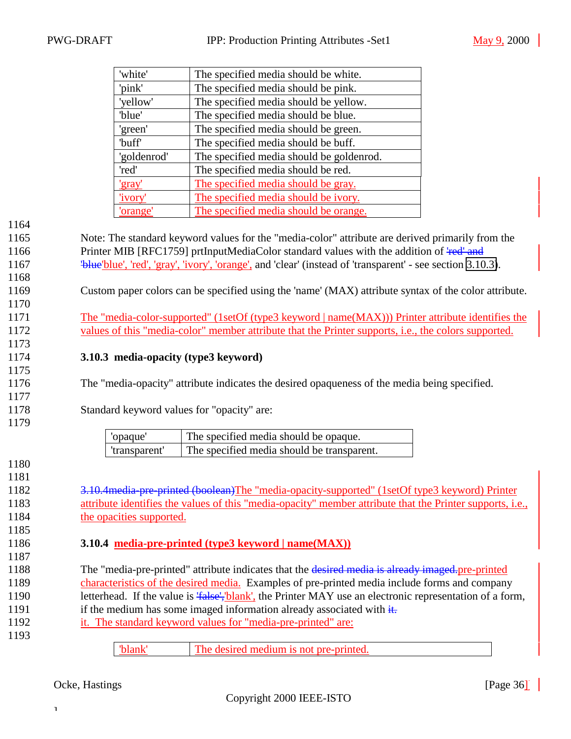<span id="page-35-0"></span>

|      | 'white'                                                                                      | The specified media should be white.                                                                                        |  |  |
|------|----------------------------------------------------------------------------------------------|-----------------------------------------------------------------------------------------------------------------------------|--|--|
|      | 'pink'                                                                                       | The specified media should be pink.                                                                                         |  |  |
|      |                                                                                              |                                                                                                                             |  |  |
|      | 'yellow'<br>'blue'                                                                           | The specified media should be yellow.                                                                                       |  |  |
|      |                                                                                              | The specified media should be blue.                                                                                         |  |  |
|      | 'green'                                                                                      | The specified media should be green.                                                                                        |  |  |
|      | 'buff'                                                                                       | The specified media should be buff.                                                                                         |  |  |
|      | 'goldenrod'                                                                                  | The specified media should be goldenrod.                                                                                    |  |  |
|      | 'red'                                                                                        | The specified media should be red.                                                                                          |  |  |
|      | <u>'gray'</u>                                                                                | The specified media should be gray.                                                                                         |  |  |
|      | 'ivory'                                                                                      | The specified media should be ivory.                                                                                        |  |  |
|      | 'orange'                                                                                     | The specified media should be orange.                                                                                       |  |  |
| 1164 |                                                                                              |                                                                                                                             |  |  |
| 1165 |                                                                                              | Note: The standard keyword values for the "media-color" attribute are derived primarily from the                            |  |  |
| 1166 |                                                                                              | Printer MIB [RFC1759] prtInputMediaColor standard values with the addition of 'red' and                                     |  |  |
| 1167 |                                                                                              | "blue' blue', 'red', 'gray', 'ivory', 'orange', and 'clear' (instead of 'transparent' - see section 3.10.3).                |  |  |
| 1168 |                                                                                              |                                                                                                                             |  |  |
| 1169 |                                                                                              | Custom paper colors can be specified using the 'name' (MAX) attribute syntax of the color attribute.                        |  |  |
| 1170 |                                                                                              |                                                                                                                             |  |  |
| 1171 |                                                                                              | The "media-color-supported" (1setOf (type3 keyword   name(MAX))) Printer attribute identifies the                           |  |  |
| 1172 |                                                                                              | values of this "media-color" member attribute that the Printer supports, i.e., the colors supported.                        |  |  |
| 1173 |                                                                                              |                                                                                                                             |  |  |
| 1174 | 3.10.3 media-opacity (type3 keyword)                                                         |                                                                                                                             |  |  |
| 1175 |                                                                                              |                                                                                                                             |  |  |
| 1176 | The "media-opacity" attribute indicates the desired opaqueness of the media being specified. |                                                                                                                             |  |  |
| 1177 |                                                                                              |                                                                                                                             |  |  |
| 1178 | Standard keyword values for "opacity" are:                                                   |                                                                                                                             |  |  |
| 1179 |                                                                                              |                                                                                                                             |  |  |
|      | 'opaque'                                                                                     | The specified media should be opaque.                                                                                       |  |  |
|      | 'transparent'                                                                                | The specified media should be transparent.                                                                                  |  |  |
| 1180 |                                                                                              |                                                                                                                             |  |  |
| 1181 |                                                                                              |                                                                                                                             |  |  |
| 1182 |                                                                                              | 3.10.4 media-pre-printed (boolean) The "media-opacity-supported" (1setOf type3 keyword) Printer                             |  |  |
| 1183 |                                                                                              | attribute identifies the values of this "media-opacity" member attribute that the Printer supports, i.e.,                   |  |  |
| 1184 | the opacities supported.                                                                     |                                                                                                                             |  |  |
|      |                                                                                              |                                                                                                                             |  |  |
| 1185 |                                                                                              |                                                                                                                             |  |  |
| 1186 |                                                                                              | 3.10.4 media-pre-printed (type3 keyword   name(MAX))                                                                        |  |  |
| 1187 |                                                                                              |                                                                                                                             |  |  |
| 1188 |                                                                                              | The "media-pre-printed" attribute indicates that the desired media is already imaged-pre-printed                            |  |  |
| 1189 |                                                                                              | characteristics of the desired media. Examples of pre-printed media include forms and company                               |  |  |
| 1190 |                                                                                              | letterhead. If the value is ' <i>false'</i> , ' <i>blank'</i> , the Printer MAY use an electronic representation of a form, |  |  |
| 1191 |                                                                                              | if the medium has some imaged information already associated with $\frac{d}{dt}$ .                                          |  |  |
| 1192 |                                                                                              | it. The standard keyword values for "media-pre-printed" are:                                                                |  |  |
| 1193 |                                                                                              |                                                                                                                             |  |  |

'blank' The desired medium is not pre-printed.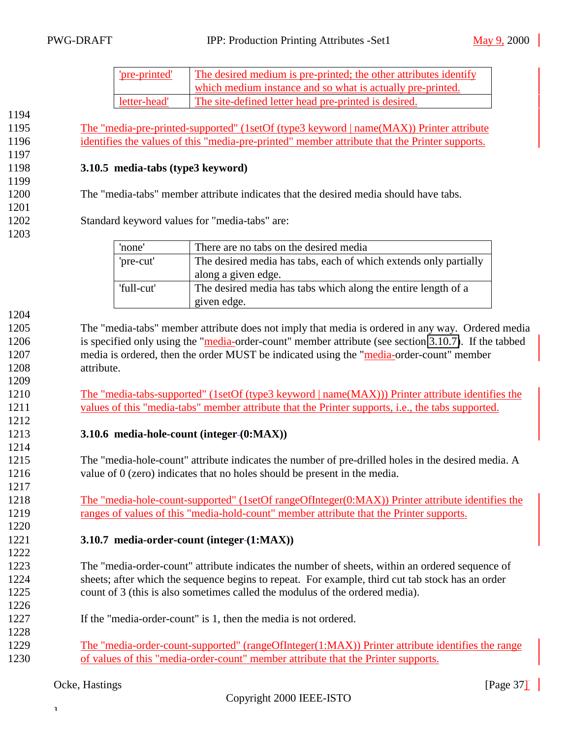| <u>re-printed</u> | The desired medium is pre-printed; the other attributes identify |
|-------------------|------------------------------------------------------------------|
|                   | which medium instance and so what is actually pre-printed.       |
| letter-head'      | The site-defined letter head pre-printed is desired.             |

<span id="page-36-0"></span> The "media-pre-printed-supported" (1setOf (type3 keyword | name(MAX)) Printer attribute identifies the values of this "media-pre-printed" member attribute that the Printer supports.

#### **3.10.5 media-tabs (type3 keyword)**

The "media-tabs" member attribute indicates that the desired media should have tabs.

- Standard keyword values for "media-tabs" are:
	- 'none' There are no tabs on the desired media 'pre-cut' The desired media has tabs, each of which extends only partially along a given edge. 'full-cut' The desired media has tabs which along the entire length of a given edge.

 The "media-tabs" member attribute does not imply that media is ordered in any way. Ordered media is specified only using the "media-order-count" member attribute (see section 3.10.7). If the tabbed media is ordered, then the order MUST be indicated using the "media-order-count" member attribute.

1210 The "media-tabs-supported" (1setOf (type3 keyword | name(MAX))) Printer attribute identifies the values of this "media-tabs" member attribute that the Printer supports, i.e., the tabs supported.

#### **3.10.6 media-hole-count (integer (0:MAX))**

 The "media-hole-count" attribute indicates the number of pre-drilled holes in the desired media. A value of 0 (zero) indicates that no holes should be present in the media.

1218 The "media-hole-count-supported" (1setOf rangeOfInteger(0:MAX)) Printer attribute identifies the ranges of values of this "media-hold-count" member attribute that the Printer supports.

#### **3.10.7 media-order-count (integer (1:MAX))**

 The "media-order-count" attribute indicates the number of sheets, within an ordered sequence of sheets; after which the sequence begins to repeat. For example, third cut tab stock has an order count of 3 (this is also sometimes called the modulus of the ordered media).

- If the "media-order-count" is 1, then the media is not ordered.
- 1229 The "media-order-count-supported" (rangeOfInteger(1:MAX)) Printer attribute identifies the range of values of this "media-order-count" member attribute that the Printer supports.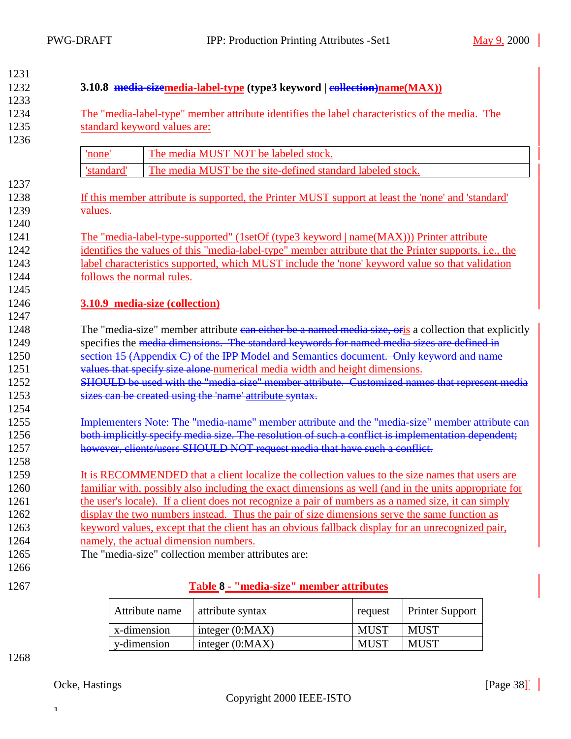<span id="page-37-0"></span>

| 1231 |                                                                                                        |  |  |  |
|------|--------------------------------------------------------------------------------------------------------|--|--|--|
| 1232 | 3.10.8 media-sizemedia-label-type (type3 keyword   collection)name(MAX))                               |  |  |  |
| 1233 |                                                                                                        |  |  |  |
| 1234 | The "media-label-type" member attribute identifies the label characteristics of the media. The         |  |  |  |
| 1235 | standard keyword values are:                                                                           |  |  |  |
| 1236 |                                                                                                        |  |  |  |
|      | The media MUST NOT be labeled stock.<br>'none'                                                         |  |  |  |
|      | 'standard'<br>The media MUST be the site-defined standard labeled stock.                               |  |  |  |
| 1237 |                                                                                                        |  |  |  |
| 1238 | If this member attribute is supported, the Printer MUST support at least the 'none' and 'standard'     |  |  |  |
| 1239 | values.                                                                                                |  |  |  |
| 1240 |                                                                                                        |  |  |  |
| 1241 | The "media-label-type-supported" (1setOf (type3 keyword   name(MAX))) Printer attribute                |  |  |  |
| 1242 | identifies the values of this "media-label-type" member attribute that the Printer supports, i.e., the |  |  |  |
| 1243 | label characteristics supported, which MUST include the 'none' keyword value so that validation        |  |  |  |
| 1244 | follows the normal rules.                                                                              |  |  |  |
| 1245 |                                                                                                        |  |  |  |
| 1246 | 3.10.9 media-size (collection)                                                                         |  |  |  |
| 1247 |                                                                                                        |  |  |  |
| 1248 | The "media-size" member attribute can either be a named media size, oris a collection that explicitly  |  |  |  |
| 1249 | specifies the media dimensions. The standard keywords for named media sizes are defined in             |  |  |  |
| 1250 | section 15 (Appendix C) of the IPP Model and Semantics document. Only keyword and name                 |  |  |  |
| 1251 | values that specify size alone numerical media width and height dimensions.                            |  |  |  |
| 1252 | SHOULD be used with the "media-size" member attribute. Customized names that represent media           |  |  |  |
| 1253 | sizes can be created using the 'name' attribute syntax.                                                |  |  |  |
| 1254 |                                                                                                        |  |  |  |
| 1255 | Implementers Note: The "media-name" member attribute and the "media-size" member attribute can         |  |  |  |
| 1256 | both implicitly specify media size. The resolution of such a conflict is implementation dependent;     |  |  |  |
| 1257 | however, clients/users SHOULD NOT request media that have such a conflict.                             |  |  |  |
| 1258 |                                                                                                        |  |  |  |
| 1259 | It is RECOMMENDED that a client localize the collection values to the size names that users are        |  |  |  |
| 1260 | familiar with, possibly also including the exact dimensions as well (and in the units appropriate for  |  |  |  |
| 1261 | the user's locale). If a client does not recognize a pair of numbers as a named size, it can simply    |  |  |  |
| 1262 | display the two numbers instead. Thus the pair of size dimensions serve the same function as           |  |  |  |
| 1263 | keyword values, except that the client has an obvious fallback display for an unrecognized pair,       |  |  |  |
| 1264 | namely, the actual dimension numbers.                                                                  |  |  |  |
| 1265 | The "media-size" collection member attributes are:                                                     |  |  |  |
| 1266 |                                                                                                        |  |  |  |
| 1267 | Table 8 - "media-size" member attributes                                                               |  |  |  |
|      |                                                                                                        |  |  |  |

| Attribute name | attribute syntax  | request     | <b>Printer Support</b> |
|----------------|-------------------|-------------|------------------------|
| x-dimension    | integer $(0:MAX)$ | <b>MUST</b> | <b>MUST</b>            |
| y-dimension    | integer $(0:MAX)$ | <b>MUST</b> | <b>MUST</b>            |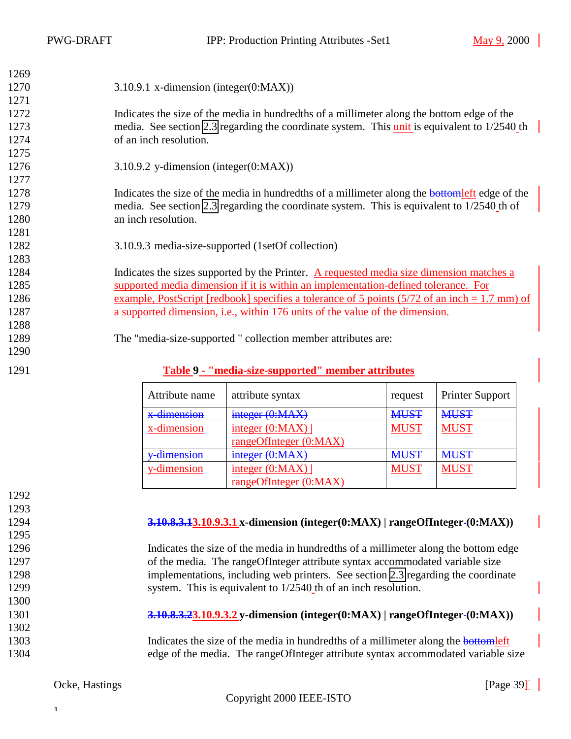<span id="page-38-0"></span>

| 1269 |                                                                                                 |
|------|-------------------------------------------------------------------------------------------------|
| 1270 | 3.10.9.1 x-dimension (integer(0:MAX))                                                           |
| 1271 |                                                                                                 |
| 1272 | Indicates the size of the media in hundredths of a millimeter along the bottom edge of the      |
| 1273 | media. See section 2.3 regarding the coordinate system. This unit is equivalent to 1/2540 th    |
| 1274 | of an inch resolution.                                                                          |
| 1275 |                                                                                                 |
| 1276 | 3.10.9.2 y-dimension (integer( $0$ :MAX))                                                       |
| 1277 |                                                                                                 |
| 1278 | Indicates the size of the media in hundredths of a millimeter along the bottomleft edge of the  |
| 1279 | media. See section 2.3 regarding the coordinate system. This is equivalent to 1/2540 th of      |
| 1280 | an inch resolution.                                                                             |
| 1281 |                                                                                                 |
| 1282 | 3.10.9.3 media-size-supported (1setOf collection)                                               |
| 1283 |                                                                                                 |
| 1284 | Indicates the sizes supported by the Printer. A requested media size dimension matches a        |
| 1285 | supported media dimension if it is within an implementation-defined tolerance. For              |
| 1286 | example, PostScript [redbook] specifies a tolerance of 5 points $(5/72$ of an inch = 1.7 mm) of |
| 1287 | a supported dimension, <i>i.e.</i> , within 176 units of the value of the dimension.            |
| 1288 |                                                                                                 |
| 1289 | The "media-size-supported" collection member attributes are:                                    |
| 1290 |                                                                                                 |
| 1291 | Table 9 - "media-size-supported" member attributes                                              |

| Attribute name | attribute syntax                  | request     | <b>Printer Support</b> |
|----------------|-----------------------------------|-------------|------------------------|
| x-dimension    | integer (0:MAX)                   | <b>MUST</b> | <b>MUST</b>            |
| x-dimension    | $\frac{\text{integer (0:MAX)}}{}$ | <b>MUST</b> | <b>MUST</b>            |
|                | rangeOfInteger(0:MAX)             |             |                        |
| v-dimension    | integer (0:MAX)                   | <b>MUST</b> | <b>MUST</b>            |
| y-dimension    | integer $(0:MAX)$                 | <b>MUST</b> | <b>MUST</b>            |
|                | rangeOfInteger (0:MAX)            |             |                        |

### **3.10.8.3.13.10.9.3.1 x-dimension (integer(0:MAX) | rangeOfInteger (0:MAX))** Indicates the size of the media in hundredths of a millimeter along the bottom edge 1297 of the media. The rangeOfInteger attribute syntax accommodated variable size implementations, including web printers. See section [2.3](#page-7-0) regarding the coordinate 1299 system. This is equivalent to 1/2540 th of an inch resolution. **3.10.8.3.23.10.9.3.2 y-dimension (integer(0:MAX) | rangeOfInteger (0:MAX))** 1303 Indicates the size of the media in hundredths of a millimeter along the **bottomleft** edge of the media. The rangeOfInteger attribute syntax accommodated variable size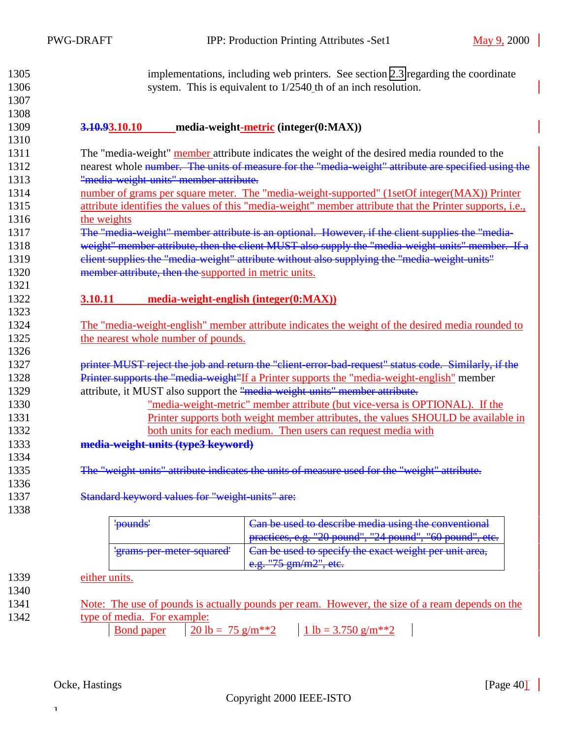<span id="page-39-0"></span>

| 1305 | implementations, including web printers. See section 2.3 regarding the coordinate                        |
|------|----------------------------------------------------------------------------------------------------------|
| 1306 | system. This is equivalent to 1/2540 th of an inch resolution.                                           |
| 1307 |                                                                                                          |
| 1308 |                                                                                                          |
| 1309 | 3.10.93.10.10<br>media-weight-metric (integer(0:MAX))                                                    |
| 1310 |                                                                                                          |
| 1311 | The "media-weight" member attribute indicates the weight of the desired media rounded to the             |
| 1312 | nearest whole number. The units of measure for the "media-weight" attribute are specified using the      |
| 1313 | "media weight units" member attribute.                                                                   |
| 1314 | number of grams per square meter. The "media-weight-supported" (1setOf integer(MAX)) Printer             |
| 1315 | attribute identifies the values of this "media-weight" member attribute that the Printer supports, i.e., |
| 1316 | the weights                                                                                              |
| 1317 | The "media-weight" member attribute is an optional. However, if the client supplies the "media-          |
| 1318 | weight" member attribute, then the client MUST also supply the "media-weight-units" member. If a         |
| 1319 | elient supplies the "media-weight" attribute without also supplying the "media-weight-units"             |
| 1320 | member attribute, then the supported in metric units.                                                    |
| 1321 |                                                                                                          |
| 1322 | 3.10.11<br>media-weight-english (integer(0:MAX))                                                         |
| 1323 |                                                                                                          |
| 1324 | The "media-weight-english" member attribute indicates the weight of the desired media rounded to         |
| 1325 | the nearest whole number of pounds.                                                                      |
| 1326 |                                                                                                          |
| 1327 | printer MUST reject the job and return the "client-error-bad-request" status code. Similarly, if the     |
| 1328 | Printer supports the "media-weight"If a Printer supports the "media-weight-english" member               |
| 1329 | attribute, it MUST also support the "media weight units" member attribute.                               |
| 1330 | "media-weight-metric" member attribute (but vice-versa is OPTIONAL). If the                              |
| 1331 | Printer supports both weight member attributes, the values SHOULD be available in                        |
| 1332 | both units for each medium. Then users can request media with                                            |
| 1333 | media-weight-units (type3 keyword)                                                                       |
| 1334 |                                                                                                          |
| 1335 | The "weight-units" attribute indicates the units of measure used for the "weight" attribute.             |
| 1336 |                                                                                                          |
| 1337 | Standard keyword values for "weight units" are:                                                          |
| 1338 |                                                                                                          |
|      | Can be used to describe media using the conventional<br>'pounds'                                         |
|      | practices, e.g. "20 pound", "24 pound", "60 pound", etc.                                                 |
|      | Can be used to specify the exact weight per unit area,<br>'grams-per-meter-squared'                      |
|      | e.g. "75 gm/m2", etc.                                                                                    |
| 1339 | either units.                                                                                            |
| 1340 |                                                                                                          |
| 1341 | Note: The use of pounds is actually pounds per ream. However, the size of a ream depends on the          |
| 1342 | type of media. For example:                                                                              |

 $\frac{3 \text{ m}. \text{ For example:}}{3 \text{ m} \cdot \text{m} \cdot \text{m} \cdot \text{m} \cdot \text{m} \cdot \text{m} \cdot \text{m}}$   $\frac{30 \text{ lb} = 75 \text{ g/m} \cdot \text{m} \cdot \text{m}}{20 \text{ lb} = 75 \text{ g/m} \cdot \text{m} \cdot \text{m}}$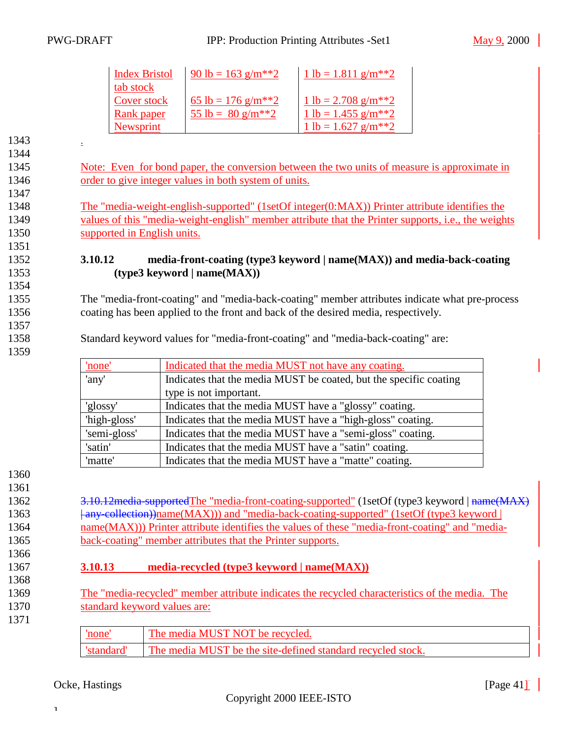### <span id="page-40-0"></span>PWG-DRAFT IPP: Production Printing Attributes -Set1 May 9, 2000

| <b>Index Bristol</b>     | 90 lb = 163 g/m <sup>**</sup> 2 | $1 lb = 1.811 g/m**2$              |
|--------------------------|---------------------------------|------------------------------------|
| tab stock<br>Cover stock | 65 lb = 176 g/m <sup>**</sup> 2 | 1 lb = 2.708 g/m <sup>**</sup> 2   |
| Rank paper               | 55 lb = $80 \text{ g/m}^{**}2$  | $1 lb = 1.455 g/m**2$              |
| Newsprint                |                                 | 1 lb = $1.627$ g/m <sup>**</sup> 2 |

1343 . 1344 1345 Note: Even for bond paper, the conversion between the two units of measure is approximate in 1346 order to give integer values in both system of units. 1347 1348 The "media-weight-english-supported" (1setOf integer(0:MAX)) Printer attribute identifies the 1349 values of this "media-weight-english" member attribute that the Printer supports, i.e., the weights 1350 supported in English units. 1351 1352 **3.10.12 media-front-coating (type3 keyword | name(MAX)) and media-back-coating** 1353 **(type3 keyword | name(MAX))** 1354 1355 The "media-front-coating" and "media-back-coating" member attributes indicate what pre-process 1356 coating has been applied to the front and back of the desired media, respectively. 1357 1358 Standard keyword values for "media-front-coating" and "media-back-coating" are: 1359 'none' Indicated that the media MUST not have any coating. 'any' Indicates that the media MUST be coated, but the specific coating

|      |              | type is not important.                                                                            |
|------|--------------|---------------------------------------------------------------------------------------------------|
|      | 'glossy'     | Indicates that the media MUST have a "glossy" coating.                                            |
|      | 'high-gloss' | Indicates that the media MUST have a "high-gloss" coating.                                        |
|      | 'semi-gloss' | Indicates that the media MUST have a "semi-gloss" coating.                                        |
|      | 'satin'      | Indicates that the media MUST have a "satin" coating.                                             |
|      | 'matte'      | Indicates that the media MUST have a "matte" coating.                                             |
| 1360 |              |                                                                                                   |
| 1361 |              |                                                                                                   |
| 1362 |              | 3.10.12 media-supported The "media-front-coating-supported" (1set Of (type 3 keyword   name (MAX) |
| 1363 |              | any-collection))name(MAX))) and "media-back-coating-supported" (1setOf (type3 keyword             |

1364 name(MAX))) Printer attribute identifies the values of these "media-front-coating" and "media-1365 back-coating" member attributes that the Printer supports.

### 1367 **3.10.13 media-recycled (type3 keyword | name(MAX))**

- 1369 The "media-recycled" member attribute indicates the recycled characteristics of the media. The 1370 standard keyword values are: 1371
	- 'none' The media MUST NOT be recycled. 'standard' The media MUST be the site-defined standard recycled stock.

### Ocke, Hastings [Page 41]<sup>[</sup>

]

1366

1368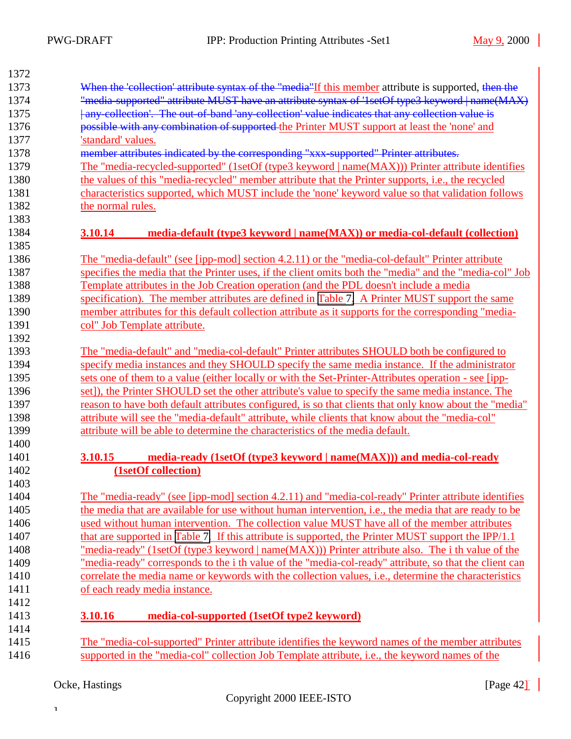<span id="page-41-0"></span>

| 1372 |                                                                                                              |
|------|--------------------------------------------------------------------------------------------------------------|
| 1373 | When the 'collection' attribute syntax of the "media"If this member attribute is supported, then the         |
| 1374 | "media-supported" attribute MUST have an attribute syntax of '1setOf type3 keyword   name(MAX)               |
| 1375 | any collection'. The out of band 'any collection' value indicates that any collection value is               |
| 1376 | possible with any combination of supported the Printer MUST support at least the 'none' and                  |
| 1377 | 'standard' values.                                                                                           |
| 1378 | member attributes indicated by the corresponding "xxx-supported" Printer attributes.                         |
| 1379 | The "media-recycled-supported" (1setOf (type3 keyword   name(MAX))) Printer attribute identifies             |
| 1380 | the values of this "media-recycled" member attribute that the Printer supports, i.e., the recycled           |
| 1381 | characteristics supported, which MUST include the 'none' keyword value so that validation follows            |
| 1382 | the normal rules.                                                                                            |
| 1383 |                                                                                                              |
| 1384 | 3.10.14<br>media-default (type3 keyword   name(MAX)) or media-col-default (collection)                       |
| 1385 |                                                                                                              |
| 1386 | <u>The "media-default" (see [ipp-mod] section 4.2.11) or the "media-col-default" Printer attribute</u>       |
| 1387 | specifies the media that the Printer uses, if the client omits both the "media" and the "media-col" Job      |
| 1388 | Template attributes in the Job Creation operation (and the PDL doesn't include a media                       |
| 1389 | specification). The member attributes are defined in Table 7. A Printer MUST support the same                |
| 1390 | member attributes for this default collection attribute as it supports for the corresponding "media-         |
| 1391 | col" Job Template attribute.                                                                                 |
| 1392 |                                                                                                              |
| 1393 | The "media-default" and "media-col-default" Printer attributes SHOULD both be configured to                  |
| 1394 | specify media instances and they SHOULD specify the same media instance. If the administrator                |
| 1395 | sets one of them to a value (either locally or with the Set-Printer-Attributes operation - see [ipp-         |
| 1396 | set]), the Printer SHOULD set the other attribute's value to specify the same media instance. The            |
| 1397 | reason to have both default attributes configured, is so that clients that only know about the "media"       |
| 1398 | attribute will see the "media-default" attribute, while clients that know about the "media-col"              |
| 1399 | attribute will be able to determine the characteristics of the media default.                                |
| 1400 |                                                                                                              |
| 1401 | media-ready (1setOf (type3 keyword   name(MAX))) and media-col-ready<br>3.10.15                              |
| 1402 | (1setOf collection)                                                                                          |
| 1403 |                                                                                                              |
| 1404 | The "media-ready" (see [ipp-mod] section 4.2.11) and "media-col-ready" Printer attribute identifies          |
| 1405 | the media that are available for use without human intervention, i.e., the media that are ready to be        |
| 1406 | used without human intervention. The collection value MUST have all of the member attributes                 |
| 1407 | that are supported in Table 7. If this attribute is supported, the Printer MUST support the IPP/1.1          |
| 1408 | "media-ready" (1setOf (type3 keyword   name(MAX))) Printer attribute also. The i th value of the             |
| 1409 | "media-ready" corresponds to the i th value of the "media-col-ready" attribute, so that the client can       |
| 1410 | correlate the media name or keywords with the collection values, <i>i.e.</i> , determine the characteristics |
| 1411 | of each ready media instance.                                                                                |
| 1412 |                                                                                                              |
| 1413 | 3.10.16<br>media-col-supported (1setOf type2 keyword)                                                        |
| 1414 |                                                                                                              |
| 1415 | The "media-col-supported" Printer attribute identifies the keyword names of the member attributes            |
| 1416 | supported in the "media-col" collection Job Template attribute, <i>i.e.</i> , the keyword names of the       |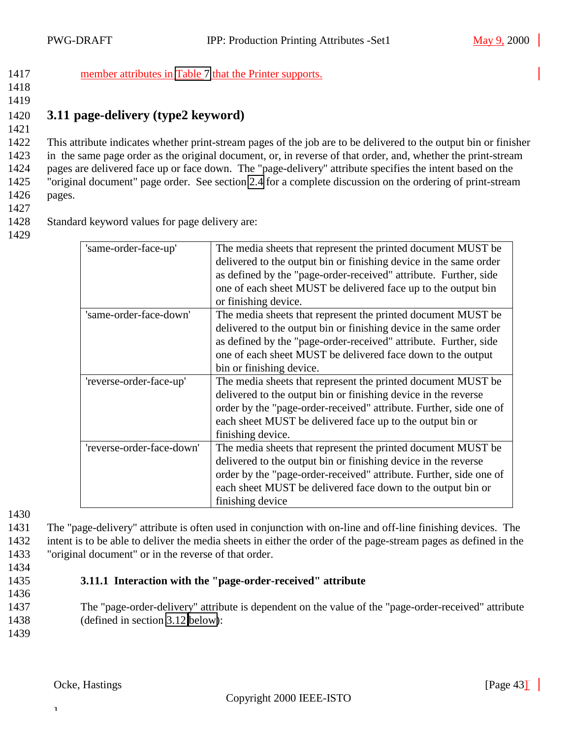<span id="page-42-0"></span>1417 member attributes in [Table 7](#page-32-0) that the Printer supports.

1418 1419

1421

# 1420 **3.11 page-delivery (type2 keyword)**

 This attribute indicates whether print-stream pages of the job are to be delivered to the output bin or finisher in the same page order as the original document, or, in reverse of that order, and, whether the print-stream pages are delivered face up or face down. The "page-delivery" attribute specifies the intent based on the "original document" page order. See section [2.4](#page-8-0) for a complete discussion on the ordering of print-stream 1426 pages.

1427

1428 Standard keyword values for page delivery are:

1429

| 'same-order-face-up'      | The media sheets that represent the printed document MUST be.<br>delivered to the output bin or finishing device in the same order<br>as defined by the "page-order-received" attribute. Further, side<br>one of each sheet MUST be delivered face up to the output bin<br>or finishing device.  |
|---------------------------|--------------------------------------------------------------------------------------------------------------------------------------------------------------------------------------------------------------------------------------------------------------------------------------------------|
| 'same-order-face-down'    | The media sheets that represent the printed document MUST be<br>delivered to the output bin or finishing device in the same order<br>as defined by the "page-order-received" attribute. Further, side<br>one of each sheet MUST be delivered face down to the output<br>bin or finishing device. |
| 'reverse-order-face-up'   | The media sheets that represent the printed document MUST be.<br>delivered to the output bin or finishing device in the reverse<br>order by the "page-order-received" attribute. Further, side one of<br>each sheet MUST be delivered face up to the output bin or<br>finishing device.          |
| 'reverse-order-face-down' | The media sheets that represent the printed document MUST be<br>delivered to the output bin or finishing device in the reverse<br>order by the "page-order-received" attribute. Further, side one of<br>each sheet MUST be delivered face down to the output bin or<br>finishing device          |

1430

1431 The "page-delivery" attribute is often used in conjunction with on-line and off-line finishing devices. The 1432 intent is to be able to deliver the media sheets in either the order of the page-stream pages as defined in the 1433 "original document" or in the reverse of that order.

- 1434
- 1435 **3.11.1 Interaction with the "page-order-received" attribute**
- 1436

1437 The "page-order-delivery" attribute is dependent on the value of the "page-order-received" attribute 1438 (defined in section [3.12 below\)](#page-43-0):

1439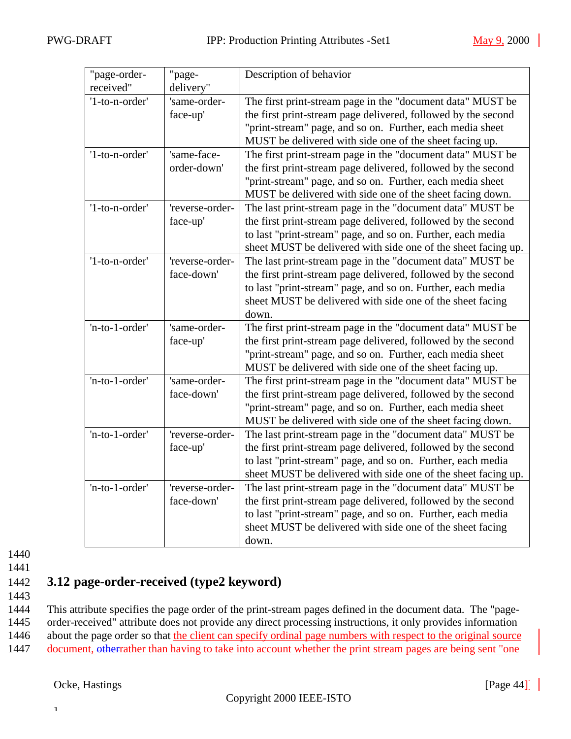<span id="page-43-0"></span>

| "page-order-   | "page-          | Description of behavior                                       |
|----------------|-----------------|---------------------------------------------------------------|
| received"      | delivery"       |                                                               |
| '1-to-n-order' | 'same-order-    | The first print-stream page in the "document data" MUST be    |
|                | face-up'        | the first print-stream page delivered, followed by the second |
|                |                 | "print-stream" page, and so on. Further, each media sheet     |
|                |                 | MUST be delivered with side one of the sheet facing up.       |
| '1-to-n-order' | 'same-face-     | The first print-stream page in the "document data" MUST be    |
|                | order-down'     | the first print-stream page delivered, followed by the second |
|                |                 | "print-stream" page, and so on. Further, each media sheet     |
|                |                 | MUST be delivered with side one of the sheet facing down.     |
| '1-to-n-order' | 'reverse-order- | The last print-stream page in the "document data" MUST be     |
|                | face-up'        | the first print-stream page delivered, followed by the second |
|                |                 | to last "print-stream" page, and so on. Further, each media   |
|                |                 | sheet MUST be delivered with side one of the sheet facing up. |
| '1-to-n-order' | 'reverse-order- | The last print-stream page in the "document data" MUST be     |
|                | face-down'      | the first print-stream page delivered, followed by the second |
|                |                 | to last "print-stream" page, and so on. Further, each media   |
|                |                 | sheet MUST be delivered with side one of the sheet facing     |
|                |                 | down.                                                         |
| 'n-to-1-order' | 'same-order-    | The first print-stream page in the "document data" MUST be    |
|                | face-up'        | the first print-stream page delivered, followed by the second |
|                |                 | "print-stream" page, and so on. Further, each media sheet     |
|                |                 | MUST be delivered with side one of the sheet facing up.       |
| 'n-to-1-order' | 'same-order-    | The first print-stream page in the "document data" MUST be    |
|                | face-down'      | the first print-stream page delivered, followed by the second |
|                |                 | "print-stream" page, and so on. Further, each media sheet     |
|                |                 | MUST be delivered with side one of the sheet facing down.     |
| 'n-to-1-order' | 'reverse-order- | The last print-stream page in the "document data" MUST be     |
|                | face-up'        | the first print-stream page delivered, followed by the second |
|                |                 | to last "print-stream" page, and so on. Further, each media   |
|                |                 | sheet MUST be delivered with side one of the sheet facing up. |
| 'n-to-1-order' | 'reverse-order- | The last print-stream page in the "document data" MUST be     |
|                | face-down'      | the first print-stream page delivered, followed by the second |
|                |                 | to last "print-stream" page, and so on. Further, each media   |
|                |                 | sheet MUST be delivered with side one of the sheet facing     |
|                |                 | down.                                                         |

1441

# 1442 **3.12 page-order-received (type2 keyword)**

1443

1444 This attribute specifies the page order of the print-stream pages defined in the document data. The "page-1445 order-received" attribute does not provide any direct processing instructions, it only provides information 1446 about the page order so that the client can specify ordinal page numbers with respect to the original source

1447 document, otherrather than having to take into account whether the print stream pages are being sent "one"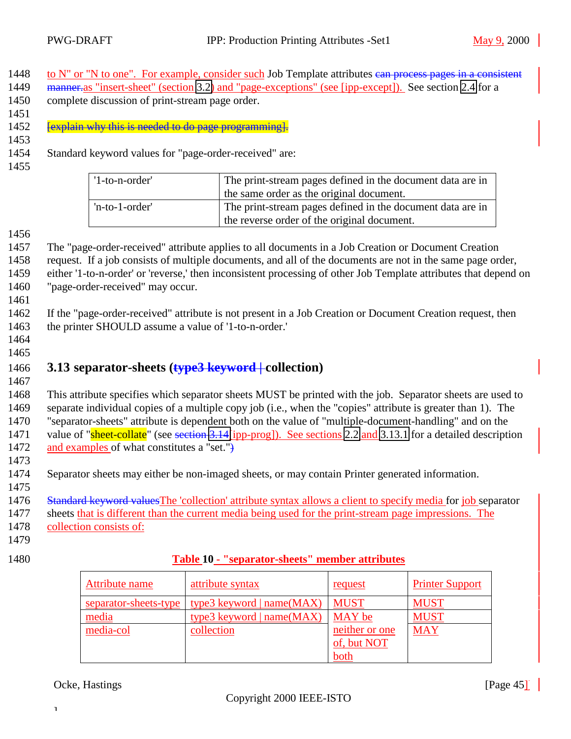- <span id="page-44-0"></span>1448 to N" or "N to one". For example, consider such Job Template attributes can process pages in a consistent
- 1449 manner.as "insert-sheet" (section [3.2\)](#page-17-0) and "page-exceptions" (see [ipp-except]). See section [2.4](#page-8-0) for a 1450 complete discussion of print-stream page order.
- 1451

1452 **[explain why this is needed to do page programming].** 

1453

1454 Standard keyword values for "page-order-received" are:

1455

| '1-to-n-order' | The print-stream pages defined in the document data are in |  |
|----------------|------------------------------------------------------------|--|
|                | the same order as the original document.                   |  |
| 'n-to-1-order' | The print-stream pages defined in the document data are in |  |
|                | the reverse order of the original document.                |  |

1456

 The "page-order-received" attribute applies to all documents in a Job Creation or Document Creation request. If a job consists of multiple documents, and all of the documents are not in the same page order, either '1-to-n-order' or 'reverse,' then inconsistent processing of other Job Template attributes that depend on "page-order-received" may occur.

1461

1462 If the "page-order-received" attribute is not present in a Job Creation or Document Creation request, then 1463 the printer SHOULD assume a value of '1-to-n-order.'

1464 1465

# 1466 **3.13 separator-sheets (type3 keyword | collection)**

1467

1468 This attribute specifies which separator sheets MUST be printed with the job. Separator sheets are used to 1469 separate individual copies of a multiple copy job (i.e., when the "copies" attribute is greater than 1). The 1470 "separator-sheets" attribute is dependent both on the value of "multiple-document-handling" and on the 1471 value of "sheet-collate" (see section [3.14\[](#page-45-0)ipp-prog]). See sections [2.2](#page-7-0) and [3.13.1](#page-45-0) for a detailed description 1472 and examples of what constitutes a "set."+

1473

1474 Separator sheets may either be non-imaged sheets, or may contain Printer generated information. 1475

1476 Standard keyword values The 'collection' attribute syntax allows a client to specify media for job separator

1477 sheets that is different than the current media being used for the print-stream page impressions. The

- 1478 collection consists of:
- 1479
- 

### 1480 **Table 10 - "separator-sheets" member attributes**

| Attribute name        | attribute syntax            | request        | <b>Printer Support</b> |
|-----------------------|-----------------------------|----------------|------------------------|
| separator-sheets-type | type3 keyword   $name(MAX)$ | <b>MUST</b>    | <b>MUST</b>            |
| media                 | type3 keyword   $name(MAX)$ | MAY be         | <b>MUST</b>            |
| media-col             | collection                  | neither or one | <b>MAY</b>             |
|                       |                             | of, but NOT    |                        |
|                       |                             | both           |                        |

### Ocke, Hastings [Page 45]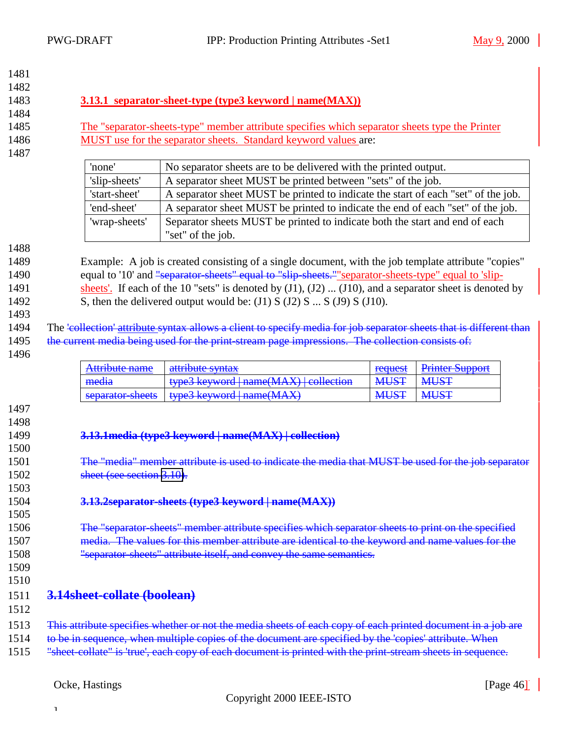<span id="page-45-0"></span>

| 1481 |                                                                                                       |                                                                                                                    |             |                        |  |
|------|-------------------------------------------------------------------------------------------------------|--------------------------------------------------------------------------------------------------------------------|-------------|------------------------|--|
| 1482 |                                                                                                       |                                                                                                                    |             |                        |  |
| 1483 | 3.13.1 separator-sheet-type (type3 keyword   name(MAX))                                               |                                                                                                                    |             |                        |  |
| 1484 |                                                                                                       |                                                                                                                    |             |                        |  |
| 1485 | <u>The "separator-sheets-type" member attribute specifies which separator sheets type the Printer</u> |                                                                                                                    |             |                        |  |
| 1486 |                                                                                                       | MUST use for the separator sheets. Standard keyword values are:                                                    |             |                        |  |
| 1487 |                                                                                                       |                                                                                                                    |             |                        |  |
|      | 'none'                                                                                                | No separator sheets are to be delivered with the printed output.                                                   |             |                        |  |
|      | 'slip-sheets'                                                                                         | A separator sheet MUST be printed between "sets" of the job.                                                       |             |                        |  |
|      | 'start-sheet'                                                                                         | A separator sheet MUST be printed to indicate the start of each "set" of the job.                                  |             |                        |  |
|      | 'end-sheet'                                                                                           | A separator sheet MUST be printed to indicate the end of each "set" of the job.                                    |             |                        |  |
|      | 'wrap-sheets'                                                                                         | Separator sheets MUST be printed to indicate both the start and end of each                                        |             |                        |  |
|      |                                                                                                       | "set" of the job.                                                                                                  |             |                        |  |
| 1488 |                                                                                                       |                                                                                                                    |             |                        |  |
| 1489 |                                                                                                       | Example: A job is created consisting of a single document, with the job template attribute "copies"                |             |                        |  |
| 1490 |                                                                                                       | equal to '10' and "separator sheets" equal to "slip sheets." "separator-sheets-type" equal to 'slip-               |             |                        |  |
| 1491 |                                                                                                       | sheets'. If each of the 10 "sets" is denoted by $(J1)$ , $(J2)$ $(J10)$ , and a separator sheet is denoted by      |             |                        |  |
| 1492 |                                                                                                       | S, then the delivered output would be: $(J1)$ S $(J2)$ S $$ S $(J9)$ S $(J10)$ .                                   |             |                        |  |
| 1493 |                                                                                                       |                                                                                                                    |             |                        |  |
| 1494 |                                                                                                       | The 'collection' attribute syntax allows a client to specify media for job separator sheets that is different than |             |                        |  |
| 1495 |                                                                                                       | the current media being used for the print-stream page impressions. The collection consists of:                    |             |                        |  |
| 1496 |                                                                                                       |                                                                                                                    |             |                        |  |
|      | Attribute name                                                                                        | attribute syntax                                                                                                   | request     | <b>Printer Support</b> |  |
|      | media                                                                                                 | type3 keyword   name(MAX)   collection                                                                             | <b>MUST</b> | <b>MUST</b>            |  |
|      | separator-sheets                                                                                      | type3 keyword   name(MAX)                                                                                          | <b>MUST</b> | <b>MUST</b>            |  |
| 1497 |                                                                                                       |                                                                                                                    |             |                        |  |
| 1498 |                                                                                                       |                                                                                                                    |             |                        |  |
| 1499 |                                                                                                       | 3.13.1 media (type3 keyword   name(MAX)   collection)                                                              |             |                        |  |
| 1500 |                                                                                                       |                                                                                                                    |             |                        |  |
| 1501 |                                                                                                       | The "media" member attribute is used to indicate the media that MUST be used for the job separator                 |             |                        |  |
| 1502 | sheet (see section 3.10).                                                                             |                                                                                                                    |             |                        |  |
| 1503 |                                                                                                       |                                                                                                                    |             |                        |  |
| 1504 |                                                                                                       | 3.13.2separator-sheets (type3 keyword   name(MAX))                                                                 |             |                        |  |
| 1505 |                                                                                                       |                                                                                                                    |             |                        |  |
| 1506 |                                                                                                       | The "separator-sheets" member attribute specifies which separator sheets to print on the specified                 |             |                        |  |
| 1507 |                                                                                                       | media. The values for this member attribute are identical to the keyword and name values for the                   |             |                        |  |
| 1508 |                                                                                                       | "separator sheets" attribute itself, and convey the same semantics.                                                |             |                        |  |
| 1509 |                                                                                                       |                                                                                                                    |             |                        |  |
| 1510 |                                                                                                       |                                                                                                                    |             |                        |  |
| 1511 | 3.14sheet-collate (boolean)                                                                           |                                                                                                                    |             |                        |  |
| 1512 |                                                                                                       |                                                                                                                    |             |                        |  |
|      |                                                                                                       |                                                                                                                    |             |                        |  |
| 1513 |                                                                                                       | This attribute specifies whether or not the media sheets of each copy of each printed document in a job are        |             |                        |  |
| 1514 |                                                                                                       | to be in sequence, when multiple copies of the document are specified by the 'copies' attribute. When              |             |                        |  |
| 1515 |                                                                                                       | "sheet-collate" is 'true', each copy of each document is printed with the print-stream sheets in sequence.         |             |                        |  |
|      |                                                                                                       |                                                                                                                    |             |                        |  |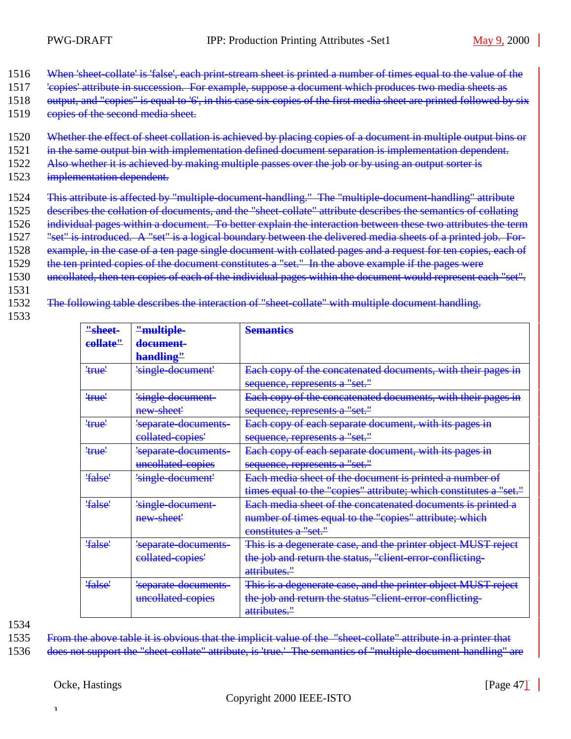- 1516 When 'sheet-collate' is 'false', each print-stream sheet is printed a number of times equal to the value of the
- 1517 'copies' attribute in succession. For example, suppose a document which produces two media sheets as
- 1518 output, and "copies" is equal to '6', in this case six copies of the first media sheet are printed followed by six
- 1519 copies of the second media sheet.
- 1520 Whether the effect of sheet collation is achieved by placing copies of a document in multiple output bins or
- 1521 in the same output bin with implementation defined document separation is implementation dependent.
- 1522 Also whether it is achieved by making multiple passes over the job or by using an output sorter is
- 1523 implementation dependent.
- 1524 This attribute is affected by "multiple-document-handling." The "multiple-document-handling" attribute
- 1525 describes the collation of documents, and the "sheet-collate" attribute describes the semantics of collating
- 1526 individual pages within a document. To better explain the interaction between these two attributes the term
- 1527 "set" is introduced. A "set" is a logical boundary between the delivered media sheets of a printed job. For-
- 1528 example, in the case of a ten page single document with collated pages and a request for ten copies, each of
- 1529 the ten printed copies of the document constitutes a "set." In the above example if the pages were
- 1530 uncollated, then ten copies of each of the individual pages within the document would represent each "set".
- 1531
- 1532 The following table describes the interaction of "sheet-collate" with multiple document handling.
- 1533

| "sheet-  | "multiple-           | <b>Semanties</b>                                                  |
|----------|----------------------|-------------------------------------------------------------------|
| collate" | document-            |                                                                   |
|          | handling"            |                                                                   |
| 'true'   | 'single-document'    | Each copy of the concatenated documents, with their pages in      |
|          |                      | sequence, represents a "set."                                     |
| 'true'   | 'single-document-    | Each copy of the concatenated documents, with their pages in      |
|          | new sheet'           | sequence, represents a "set."                                     |
| 'true'   | 'separate documents- | Each copy of each separate document, with its pages in            |
|          | collated-copies'     | sequence, represents a "set."                                     |
| 'true'   | 'separate-documents- | Each copy of each separate document, with its pages in            |
|          | uncollated-copies    | sequence, represents a "set."                                     |
| 'false'  | 'single-document'    | Each media sheet of the document is printed a number of           |
|          |                      | times equal to the "copies" attribute; which constitutes a "set." |
| 'false'  | 'single-document-    | Each media sheet of the concatenated documents is printed a       |
|          | new sheet'           | number of times equal to the "copies" attribute; which            |
|          |                      | constitutes a "set."                                              |
| 'false'  | 'separate-documents- | This is a degenerate case, and the printer object MUST reject     |
|          | collated-copies'     | the job and return the status, "client-error-conflicting-         |
|          |                      | attributes."                                                      |
| 'false'  | 'separate-documents- | This is a degenerate case, and the printer object MUST reject     |
|          | uncollated copies    | the job and return the status "client error conflicting-          |
|          |                      | attributes."                                                      |

1535 From the above table it is obvious that the implicit value of the "sheet-collate" attribute in a printer that

1536 does not support the "sheet-collate" attribute, is 'true.' The semantics of "multiple-document-handling" are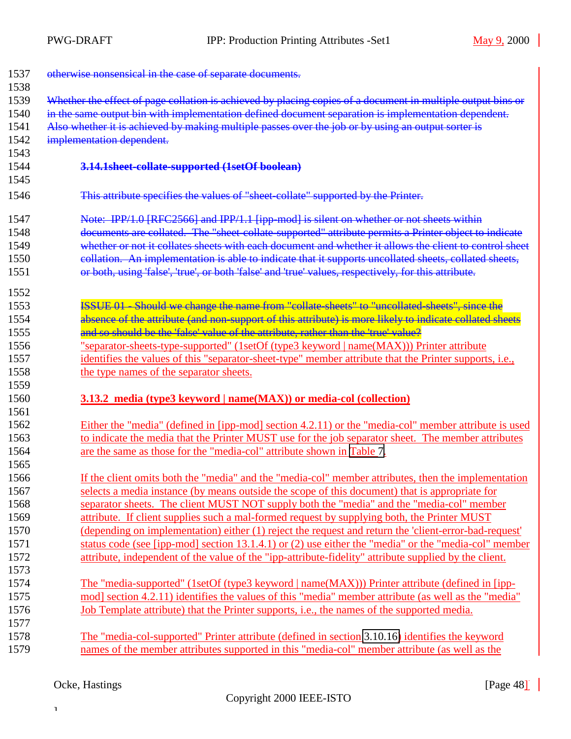<span id="page-47-0"></span>

| 1537         | otherwise nonsensical in the case of separate documents.                                                    |
|--------------|-------------------------------------------------------------------------------------------------------------|
| 1538<br>1539 | Whether the effect of page collation is achieved by placing copies of a document in multiple output bins or |
| 1540         | in the same output bin with implementation defined document separation is implementation dependent.         |
| 1541         | Also whether it is achieved by making multiple passes over the job or by using an output sorter is          |
| 1542         | implementation dependent.                                                                                   |
| 1543         |                                                                                                             |
| 1544         | 3.14.1sheet-collate-supported (1setOf boolean)                                                              |
| 1545         |                                                                                                             |
| 1546         | This attribute specifies the values of "sheet-collate" supported by the Printer.                            |
| 1547         | Note: IPP/1.0 [RFC2566] and IPP/1.1 [ipp-mod] is silent on whether or not sheets within                     |
| 1548         | documents are collated. The "sheet-collate-supported" attribute permits a Printer object to indicate        |
| 1549         | whether or not it collates sheets with each document and whether it allows the client to control sheet      |
| 1550         | collation. An implementation is able to indicate that it supports uncollated sheets, collated sheets,       |
| 1551         | or both, using 'false', 'true', or both 'false' and 'true' values, respectively, for this attribute.        |
| 1552         |                                                                                                             |
| 1553         | ISSUE 01 Should we change the name from "collate sheets" to "uncollated sheets", since the                  |
| 1554         | absence of the attribute (and non-support of this attribute) is more likely to indicate collated sheets     |
| 1555         | and so should be the 'false' value of the attribute, rather than the 'true' value?                          |
| 1556         | "separator-sheets-type-supported" (1setOf (type3 keyword   name(MAX))) Printer attribute                    |
| 1557         | identifies the values of this "separator-sheet-type" member attribute that the Printer supports, i.e.,      |
| 1558         | the type names of the separator sheets.                                                                     |
| 1559         |                                                                                                             |
| 1560         | <b>3.13.2 media (type3 keyword   name(MAX)) or media-col (collection)</b>                                   |
| 1561         |                                                                                                             |
| 1562         | Either the "media" (defined in [ipp-mod] section 4.2.11) or the "media-col" member attribute is used        |
| 1563         | to indicate the media that the Printer MUST use for the job separator sheet. The member attributes          |
| 1564         | are the same as those for the "media-col" attribute shown in Table 7.                                       |
| 1565         |                                                                                                             |
| 1566         | If the client omits both the "media" and the "media-col" member attributes, then the implementation         |
| 1567         | selects a media instance (by means outside the scope of this document) that is appropriate for              |
| 1568         | separator sheets. The client MUST NOT supply both the "media" and the "media-col" member                    |
| 1569         | attribute. If client supplies such a mal-formed request by supplying both, the Printer MUST                 |
| 1570         | (depending on implementation) either (1) reject the request and return the 'client-error-bad-request'       |
| 1571         | status code (see [ipp-mod] section 13.1.4.1) or (2) use either the "media" or the "media-col" member        |
| 1572         | attribute, independent of the value of the "ipp-attribute-fidelity" attribute supplied by the client.       |
| 1573         |                                                                                                             |
| 1574         | The "media-supported" (1setOf (type3 keyword   name(MAX))) Printer attribute (defined in [ipp-              |
| 1575         | mod] section 4.2.11) identifies the values of this "media" member attribute (as well as the "media"         |
| 1576         | <u>Job Template attribute) that the Printer supports, i.e., the names of the supported media.</u>           |
| 1577         |                                                                                                             |
| 1578         | The "media-col-supported" Printer attribute (defined in section 3.10.16) identifies the keyword             |
| 1579         | names of the member attributes supported in this "media-col" member attribute (as well as the               |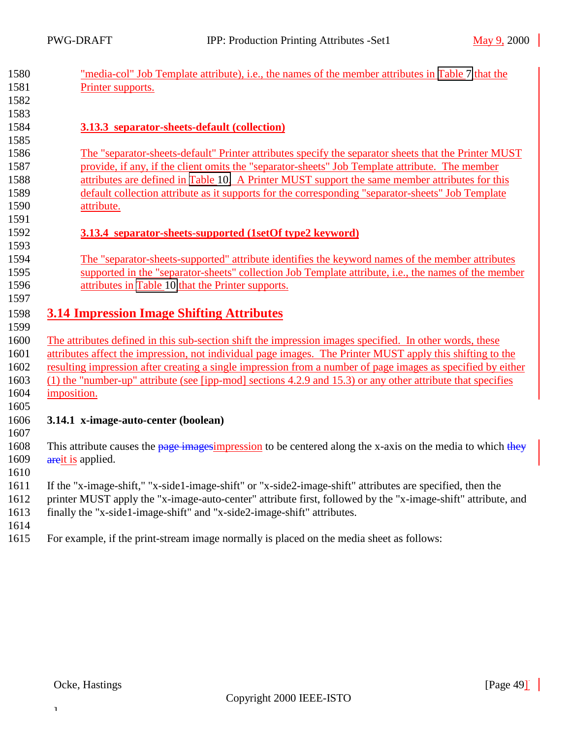<span id="page-48-0"></span>

| 1580 | <u>"media-col" Job Template attribute), i.e., the names of the member attributes in Table 7 that the</u>      |
|------|---------------------------------------------------------------------------------------------------------------|
| 1581 | Printer supports.                                                                                             |
| 1582 |                                                                                                               |
| 1583 |                                                                                                               |
| 1584 | 3.13.3 separator-sheets-default (collection)                                                                  |
| 1585 |                                                                                                               |
| 1586 | The "separator-sheets-default" Printer attributes specify the separator sheets that the Printer MUST          |
| 1587 | provide, if any, if the client omits the "separator-sheets" Job Template attribute. The member                |
| 1588 | attributes are defined in Table 10. A Printer MUST support the same member attributes for this                |
| 1589 | default collection attribute as it supports for the corresponding "separator-sheets" Job Template             |
| 1590 | attribute.                                                                                                    |
| 1591 |                                                                                                               |
| 1592 | 3.13.4 separator-sheets-supported (1setOf type2 keyword)                                                      |
| 1593 |                                                                                                               |
| 1594 | The "separator-sheets-supported" attribute identifies the keyword names of the member attributes              |
| 1595 | supported in the "separator-sheets" collection Job Template attribute, i.e., the names of the member          |
| 1596 | attributes in Table 10 that the Printer supports.                                                             |
| 1597 |                                                                                                               |
| 1598 | <b>3.14 Impression Image Shifting Attributes</b>                                                              |
| 1599 |                                                                                                               |
| 1600 | The attributes defined in this sub-section shift the impression images specified. In other words, these       |
| 1601 | attributes affect the impression, not individual page images. The Printer MUST apply this shifting to the     |
| 1602 | resulting impression after creating a single impression from a number of page images as specified by either   |
| 1603 | $(1)$ the "number-up" attribute (see [ipp-mod] sections 4.2.9 and 15.3) or any other attribute that specifies |
| 1604 | imposition.                                                                                                   |
| 1605 |                                                                                                               |
| 1606 | 3.14.1 x-image-auto-center (boolean)                                                                          |
| 1607 |                                                                                                               |
| 1608 | This attribute causes the page imagesimpression to be centered along the x-axis on the media to which they    |
| 1609 | areit is applied.                                                                                             |
| 1610 |                                                                                                               |
| 1611 | If the "x-image-shift," "x-side1-image-shift" or "x-side2-image-shift" attributes are specified, then the     |
| 1612 | printer MUST apply the "x-image-auto-center" attribute first, followed by the "x-image-shift" attribute, and  |
| 1613 | finally the "x-side1-image-shift" and "x-side2-image-shift" attributes.                                       |
| 1614 |                                                                                                               |
| 1615 | For example, if the print-stream image normally is placed on the media sheet as follows:                      |
|      |                                                                                                               |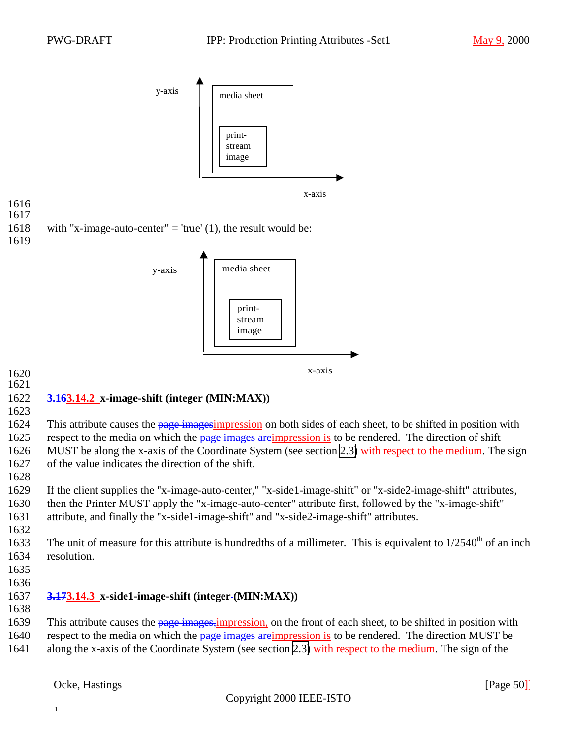<span id="page-49-0"></span>

### 1622 **3.163.14.2 x-image-shift (integer (MIN:MAX))**

1623

1624 This attribute causes the page imagesimpression on both sides of each sheet, to be shifted in position with 1625 respect to the media on which the page images are impression is to be rendered. The direction of shift 1626 MUST be along the x-axis of the Coordinate System (see section [2.3\)](#page-7-0) with respect to the medium. The sign 1627 of the value indicates the direction of the shift.

1628

 If the client supplies the "x-image-auto-center," "x-side1-image-shift" or "x-side2-image-shift" attributes, then the Printer MUST apply the "x-image-auto-center" attribute first, followed by the "x-image-shift" attribute, and finally the "x-side1-image-shift" and "x-side2-image-shift" attributes. 1632

- 1633 The unit of measure for this attribute is hundredths of a millimeter. This is equivalent to  $1/2540<sup>th</sup>$  of an inch 1634 resolution.
- 1635
- 1636

### 1637 **3.173.14.3 x-side1-image-shift (integer (MIN:MAX))**

1638

1639 This attribute causes the page images, impression, on the front of each sheet, to be shifted in position with 1640 respect to the media on which the page images areimpression is to be rendered. The direction MUST be 1641 along the x-axis of the Coordinate System (see section [2.3\)](#page-7-0) with respect to the medium. The sign of the

]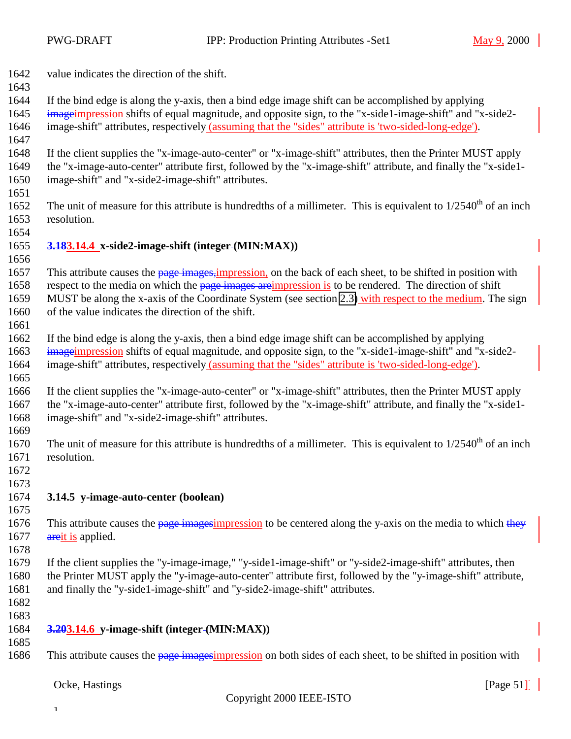<span id="page-50-0"></span>value indicates the direction of the shift.

 If the bind edge is along the y-axis, then a bind edge image shift can be accomplished by applying imageimpression shifts of equal magnitude, and opposite sign, to the "x-side1-image-shift" and "x-side2-

image-shift" attributes, respectively (assuming that the "sides" attribute is 'two-sided-long-edge').

 If the client supplies the "x-image-auto-center" or "x-image-shift" attributes, then the Printer MUST apply the "x-image-auto-center" attribute first, followed by the "x-image-shift" attribute, and finally the "x-side1- image-shift" and "x-side2-image-shift" attributes.

1652 The unit of measure for this attribute is hundredths of a millimeter. This is equivalent to  $1/2540<sup>th</sup>$  of an inch resolution.

#### **3.183.14.4 x-side2-image-shift (integer (MIN:MAX))**

1657 This attribute causes the page images, impression, on the back of each sheet, to be shifted in position with 1658 respect to the media on which the page images areimpression is to be rendered. The direction of shift MUST be along the x-axis of the Coordinate System (see section [2.3\)](#page-7-0) with respect to the medium. The sign of the value indicates the direction of the shift.

 If the bind edge is along the y-axis, then a bind edge image shift can be accomplished by applying imageimpression shifts of equal magnitude, and opposite sign, to the "x-side1-image-shift" and "x-side2- image-shift" attributes, respectively (assuming that the "sides" attribute is 'two-sided-long-edge'). 

 If the client supplies the "x-image-auto-center" or "x-image-shift" attributes, then the Printer MUST apply the "x-image-auto-center" attribute first, followed by the "x-image-shift" attribute, and finally the "x-side1- image-shift" and "x-side2-image-shift" attributes.

1670 The unit of measure for this attribute is hundredths of a millimeter. This is equivalent to  $1/2540<sup>th</sup>$  of an inch resolution.

 

### **3.14.5 y-image-auto-center (boolean)**

 1676 This attribute causes the page imagesimpression to be centered along the y-axis on the media to which they 1677 areit is applied.

 If the client supplies the "y-image-image," "y-side1-image-shift" or "y-side2-image-shift" attributes, then the Printer MUST apply the "y-image-auto-center" attribute first, followed by the "y-image-shift" attribute, and finally the "y-side1-image-shift" and "y-side2-image-shift" attributes.

 

#### **3.203.14.6 y-image-shift (integer (MIN:MAX))**

1686 This attribute causes the page images impression on both sides of each sheet, to be shifted in position with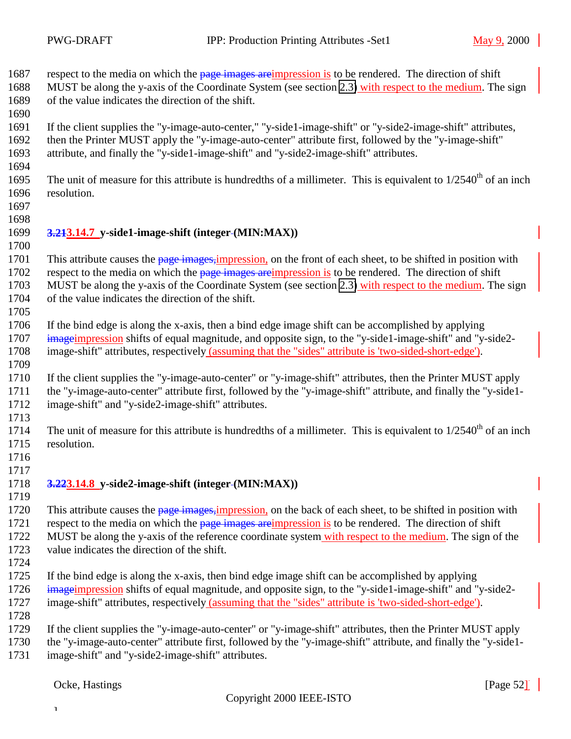<span id="page-51-0"></span>1687 respect to the media on which the page images areimpression is to be rendered. The direction of shift

1688 MUST be along the y-axis of the Coordinate System (see section [2.3\)](#page-7-0) with respect to the medium. The sign of the value indicates the direction of the shift.

 If the client supplies the "y-image-auto-center," "y-side1-image-shift" or "y-side2-image-shift" attributes, then the Printer MUST apply the "y-image-auto-center" attribute first, followed by the "y-image-shift" attribute, and finally the "y-side1-image-shift" and "y-side2-image-shift" attributes.

1695 The unit of measure for this attribute is hundredths of a millimeter. This is equivalent to  $1/2540<sup>th</sup>$  of an inch resolution.

 

### **3.213.14.7 y-side1-image-shift (integer (MIN:MAX))**

1701 This attribute causes the page images, impression, on the front of each sheet, to be shifted in position with 1702 respect to the media on which the page images areimpression is to be rendered. The direction of shift MUST be along the y-axis of the Coordinate System (see section [2.3\)](#page-7-0) with respect to the medium. The sign of the value indicates the direction of the shift.

 If the bind edge is along the x-axis, then a bind edge image shift can be accomplished by applying imageimpression shifts of equal magnitude, and opposite sign, to the "y-side1-image-shift" and "y-side2- image-shift" attributes, respectively (assuming that the "sides" attribute is 'two-sided-short-edge'). 

 If the client supplies the "y-image-auto-center" or "y-image-shift" attributes, then the Printer MUST apply the "y-image-auto-center" attribute first, followed by the "y-image-shift" attribute, and finally the "y-side1- image-shift" and "y-side2-image-shift" attributes.

The unit of measure for this attribute is hundredths of a millimeter. This is equivalent to  $1/2540^{th}$  of an inch resolution.

 

#### **3.223.14.8 y-side2-image-shift (integer (MIN:MAX))**

1720 This attribute causes the page images, impression, on the back of each sheet, to be shifted in position with 1721 respect to the media on which the page images are impression is to be rendered. The direction of shift MUST be along the y-axis of the reference coordinate system with respect to the medium. The sign of the value indicates the direction of the shift.

 If the bind edge is along the x-axis, then bind edge image shift can be accomplished by applying 1726 image impression shifts of equal magnitude, and opposite sign, to the "y-side1-image-shift" and "y-side2-image-shift" attributes, respectively (assuming that the "sides" attribute is 'two-sided-short-edge').

If the client supplies the "y-image-auto-center" or "y-image-shift" attributes, then the Printer MUST apply

the "y-image-auto-center" attribute first, followed by the "y-image-shift" attribute, and finally the "y-side1-

image-shift" and "y-side2-image-shift" attributes.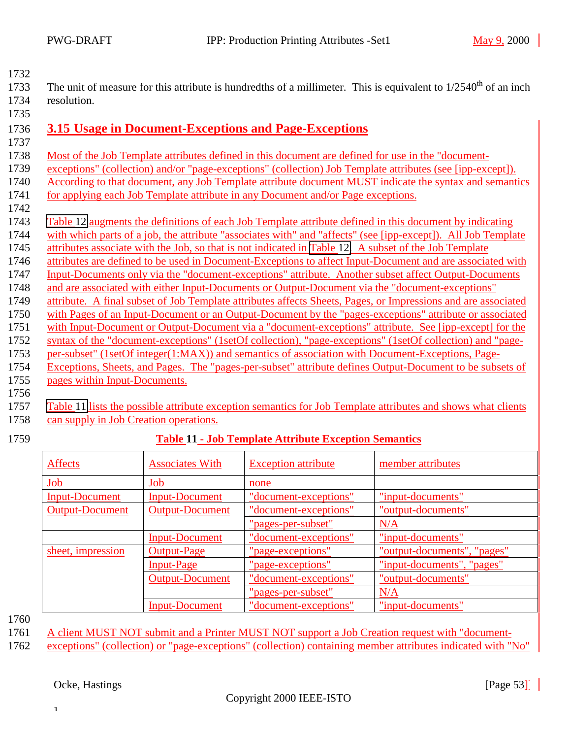<span id="page-52-0"></span>

| 1733 | The unit of measure for this attribute is hundredths of a millimeter. This is equivalent to $1/2540th$ of an inch |
|------|-------------------------------------------------------------------------------------------------------------------|
| 1734 | resolution.                                                                                                       |
| 1735 |                                                                                                                   |
|      | 1736 3.15 Usage in Document-Exceptions and Page-Exceptions                                                        |

- 
- Most of the Job Template attributes defined in this document are defined for use in the "document-
- exceptions" (collection) and/or "page-exceptions" (collection) Job Template attributes (see [ipp-except]).
- According to that document, any Job Template attribute document MUST indicate the syntax and semantics
- 1741 for applying each Job Template attribute in any Document and/or Page exceptions.
- [Table 12](#page-53-0) augments the definitions of each Job Template attribute defined in this document by indicating with which parts of a job, the attribute "associates with" and "affects" (see [ipp-except]). All Job Template attributes associate with the Job, so that is not indicated in [Table 12.](#page-53-0) A subset of the Job Template
- attributes are defined to be used in Document-Exceptions to affect Input-Document and are associated with
- Input-Documents only via the "document-exceptions" attribute. Another subset affect Output-Documents
- and are associated with either Input-Documents or Output-Document via the "document-exceptions"
- attribute. A final subset of Job Template attributes affects Sheets, Pages, or Impressions and are associated
- with Pages of an Input-Document or an Output-Document by the "pages-exceptions" attribute or associated
- with Input-Document or Output-Document via a "document-exceptions" attribute. See [ipp-except] for the
- syntax of the "document-exceptions" (1setOf collection), "page-exceptions" (1setOf collection) and "page-
- per-subset" (1setOf integer(1:MAX)) and semantics of association with Document-Exceptions, Page-
- Exceptions, Sheets, and Pages. The "pages-per-subset" attribute defines Output-Document to be subsets of pages within Input-Documents.
- 

 Table 11 lists the possible attribute exception semantics for Job Template attributes and shows what clients can supply in Job Creation operations.

# **Table 11 - Job Template Attribute Exception Semantics**

| <b>Affects</b>         | <b>Associates With</b> | <b>Exception attribute</b>   | member attributes           |
|------------------------|------------------------|------------------------------|-----------------------------|
| Job                    | Job                    | none                         |                             |
| <b>Input-Document</b>  | <b>Input-Document</b>  | "document-exceptions"        | "input-documents"           |
| <b>Output-Document</b> | <b>Output-Document</b> | <u>'document-exceptions"</u> | "output-documents"          |
|                        |                        | "pages-per-subset"           | N/A                         |
|                        | <b>Input-Document</b>  | "document-exceptions"        | "input-documents"           |
| sheet, impression      | Output-Page            | 'page-exceptions"            | "output-documents", "pages" |
|                        | <b>Input-Page</b>      | "page-exceptions"            | "input-documents", "pages"  |
|                        | <b>Output-Document</b> | 'document-exceptions"        | "output-documents"          |
|                        |                        | "pages-per-subset"           | N/A                         |
|                        | <b>Input-Document</b>  | "document-exceptions"        | "input-documents"           |

A client MUST NOT submit and a Printer MUST NOT support a Job Creation request with "document-

exceptions" (collection) or "page-exceptions" (collection) containing member attributes indicated with "No"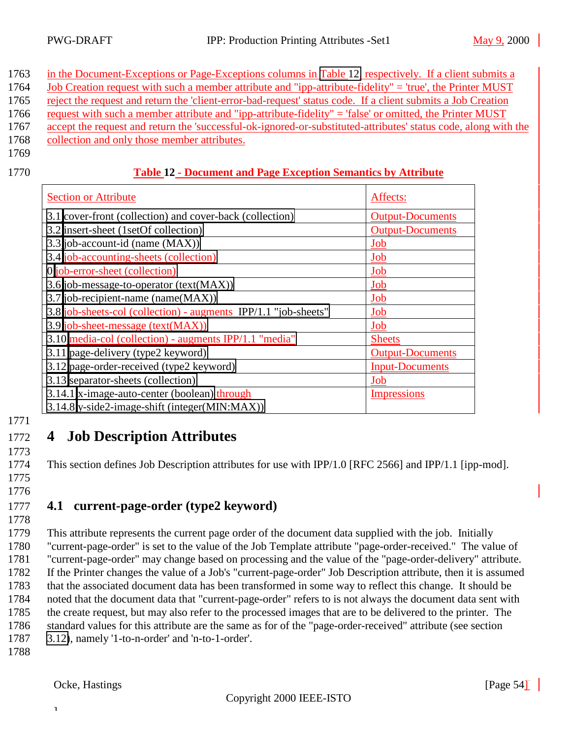<span id="page-53-0"></span>

| 1763 in the Document-Exceptions or Page-Exceptions columns in Table 12, respectively. If a client submits a    |
|----------------------------------------------------------------------------------------------------------------|
| 1764 Job Creation request with such a member attribute and "ipp-attribute-fidelity" = 'true', the Printer MUST |

- 1765 reject the request and return the 'client-error-bad-request' status code. If a client submits a Job Creation
- 1766 request with such a member attribute and "ipp-attribute-fidelity" = 'false' or omitted, the Printer MUST
- 1767 accept the request and return the 'successful-ok-ignored-or-substituted-attributes' status code, along with the
- 1768 collection and only those member attributes.
- 1769

### 1770 **Table 12 - Document and Page Exception Semantics by Attribute**

| <b>Section or Attribute</b>                                     | Affects:                |
|-----------------------------------------------------------------|-------------------------|
| 3.1 cover-front (collection) and cover-back (collection)        | <b>Output-Documents</b> |
| 3.2 insert-sheet (1setOf collection)                            | <b>Output-Documents</b> |
| 3.3 job-account-id (name (MAX))                                 | Job                     |
| 3.4 job-accounting-sheets (collection)                          | Job                     |
| 0 job-error-sheet (collection)                                  | Job                     |
| 3.6 job-message-to-operator (text(MAX))                         | Job                     |
| 3.7 job-recipient-name (name(MAX))                              | Job                     |
| 3.8 job-sheets-col (collection) - augments IPP/1.1 "job-sheets" | Job                     |
| 3.9 job-sheet-message (text(MAX))                               | Job                     |
| 3.10 media-col (collection) - augments IPP/1.1 "media"          | <b>Sheets</b>           |
| 3.11 page-delivery (type2 keyword)                              | <b>Output-Documents</b> |
| 3.12 page-order-received (type2 keyword)                        | <b>Input-Documents</b>  |
| 3.13 separator-sheets (collection)                              | Job                     |
| 3.14.1 x-image-auto-center (boolean) through                    | <b>Impressions</b>      |
| 3.14.8 y-side2-image-shift (integer(MIN:MAX))                   |                         |

1771

1773

# 1772 **4 Job Description Attributes**

1774 This section defines Job Description attributes for use with IPP/1.0 [RFC 2566] and IPP/1.1 [ipp-mod].

1775 1776

### 1777 **4.1 current-page-order (type2 keyword)**

1778

 This attribute represents the current page order of the document data supplied with the job. Initially "current-page-order" is set to the value of the Job Template attribute "page-order-received." The value of "current-page-order" may change based on processing and the value of the "page-order-delivery" attribute. If the Printer changes the value of a Job's "current-page-order" Job Description attribute, then it is assumed that the associated document data has been transformed in some way to reflect this change. It should be noted that the document data that "current-page-order" refers to is not always the document data sent with the create request, but may also refer to the processed images that are to be delivered to the printer. The standard values for this attribute are the same as for of the "page-order-received" attribute (see section [3.12\)](#page-43-0), namely '1-to-n-order' and 'n-to-1-order'.

1788

]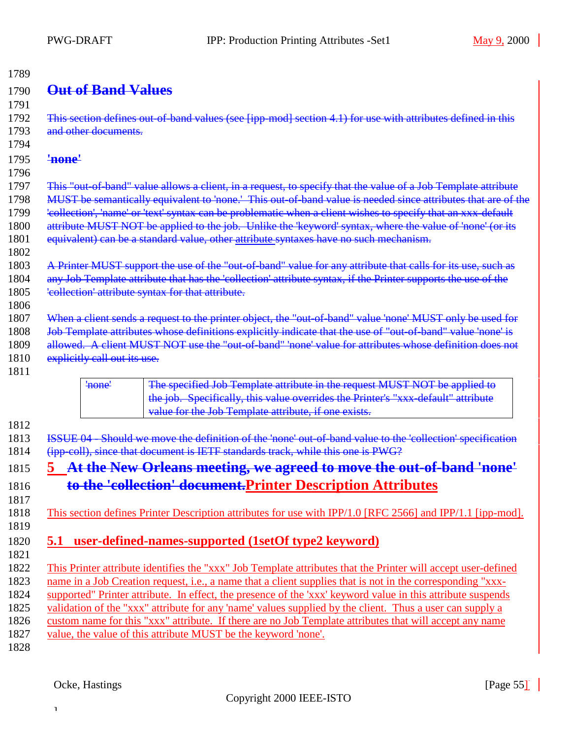# <span id="page-54-0"></span>1790 **Out of Band Values**

1791 1792 This section defines out-of-band values (see [ipp-mod] section 4.1) for use with attributes defined in this 1793 and other documents. 1794

#### 1795 **'none'**

1796

1802

1806

1797 This "out-of-band" value allows a client, in a request, to specify that the value of a Job Template attribute 1798 MUST be semantically equivalent to 'none.' This out-of-band value is needed since attributes that are of the 1799 'collection', 'name' or 'text' syntax can be problematic when a client wishes to specify that an xxx-default 1800 attribute MUST NOT be applied to the job. Unlike the 'keyword' syntax, where the value of 'none' (or its 1801 equivalent) can be a standard value, other attribute syntaxes have no such mechanism.

- 1803 A Printer MUST support the use of the "out-of-band" value for any attribute that calls for its use, such as 1804 any Job Template attribute that has the 'collection' attribute syntax, if the Printer supports the use of the 1805 'collection' attribute syntax for that attribute.
- 1807 When a client sends a request to the printer object, the "out-of-band" value 'none' MUST only be used for 1808 Job Template attributes whose definitions explicitly indicate that the use of "out-of-band" value 'none' is
- 1809 allowed. A client MUST NOT use the "out-of-band" 'none' value for attributes whose definition does not
- 1810 explicitly call out its use.
- 1811



1812

1817

1819

1813 ISSUE 04 - Should we move the definition of the 'none' out-of-band value to the 'collection' specification 1814 (ipp-coll), since that document is IETF standards track, while this one is PWG?

# 1815 **5 At the New Orleans meeting, we agreed to move the out-of-band 'none'** 1816 **to the 'collection' document.Printer Description Attributes**

1818 This section defines Printer Description attributes for use with IPP/1.0 [RFC 2566] and IPP/1.1 [ipp-mod].

### 1820 **5.1 user-defined-names-supported (1setOf type2 keyword)** 1821

 This Printer attribute identifies the "xxx" Job Template attributes that the Printer will accept user-defined name in a Job Creation request, i.e., a name that a client supplies that is not in the corresponding "xxx- supported" Printer attribute. In effect, the presence of the 'xxx' keyword value in this attribute suspends validation of the "xxx" attribute for any 'name' values supplied by the client. Thus a user can supply a custom name for this "xxx" attribute. If there are no Job Template attributes that will accept any name value, the value of this attribute MUST be the keyword 'none'. 1828

]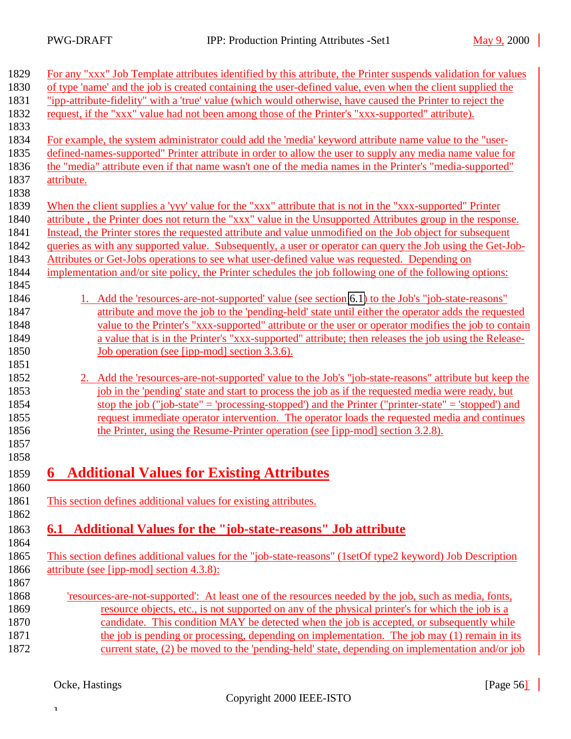<span id="page-55-0"></span>

| 1829 | For any "xxx" Job Template attributes identified by this attribute, the Printer suspends validation for values |
|------|----------------------------------------------------------------------------------------------------------------|
| 1830 | of type 'name' and the job is created containing the user-defined value, even when the client supplied the     |
| 1831 | "ipp-attribute-fidelity" with a 'true' value (which would otherwise, have caused the Printer to reject the     |
| 1832 | request, if the "xxx" value had not been among those of the Printer's "xxx-supported" attribute).              |
| 1833 |                                                                                                                |
| 1834 | For example, the system administrator could add the 'media' keyword attribute name value to the "user-         |
| 1835 | defined-names-supported" Printer attribute in order to allow the user to supply any media name value for       |
| 1836 | the "media" attribute even if that name wasn't one of the media names in the Printer's "media-supported"       |
| 1837 | attribute.                                                                                                     |
| 1838 |                                                                                                                |
| 1839 | When the client supplies a 'yyy' value for the "xxx" attribute that is not in the "xxx-supported" Printer      |
| 1840 | attribute, the Printer does not return the "xxx" value in the Unsupported Attributes group in the response.    |
| 1841 | Instead, the Printer stores the requested attribute and value unmodified on the Job object for subsequent      |
| 1842 | queries as with any supported value. Subsequently, a user or operator can query the Job using the Get-Job-     |
| 1843 | Attributes or Get-Jobs operations to see what user-defined value was requested. Depending on                   |
| 1844 | implementation and/or site policy, the Printer schedules the job following one of the following options:       |
| 1845 |                                                                                                                |
| 1846 | 1. Add the 'resources-are-not-supported' value (see section 6.1) to the Job's "job-state-reasons"              |
| 1847 | attribute and move the job to the 'pending-held' state until either the operator adds the requested            |
| 1848 | value to the Printer's "xxx-supported" attribute or the user or operator modifies the job to contain           |
| 1849 | a value that is in the Printer's "xxx-supported" attribute; then releases the job using the Release-           |
| 1850 | Job operation (see [ipp-mod] section 3.3.6).                                                                   |
| 1851 |                                                                                                                |
| 1852 | Add the 'resources-are-not-supported' value to the Job's "job-state-reasons" attribute but keep the            |
| 1853 | job in the 'pending' state and start to process the job as if the requested media were ready, but              |
| 1854 | stop the job ("job-state" = 'processing-stopped') and the Printer ("printer-state" = 'stopped') and            |
| 1855 | request immediate operator intervention. The operator loads the requested media and continues                  |
| 1856 | the Printer, using the Resume-Printer operation (see [ipp-mod] section 3.2.8).                                 |
| 1857 |                                                                                                                |
| 1858 |                                                                                                                |
| 1859 | <b>Additional Values for Existing Attributes</b><br>6                                                          |
| 1860 |                                                                                                                |
| 1861 | This section defines additional values for existing attributes.                                                |
| 1862 |                                                                                                                |
| 1863 | <b>Additional Values for the "job-state-reasons" Job attribute</b><br>6.1                                      |
| 1864 |                                                                                                                |
| 1865 | This section defines additional values for the "job-state-reasons" (1setOf type2 keyword) Job Description      |
| 1866 | attribute (see [ipp-mod] section 4.3.8):                                                                       |
| 1867 |                                                                                                                |
| 1868 | 'resources-are-not-supported': At least one of the resources needed by the job, such as media, fonts,          |
| 1869 | resource objects, etc., is not supported on any of the physical printer's for which the job is a               |
| 1870 | candidate. This condition MAY be detected when the job is accepted, or subsequently while                      |
| 1871 | the job is pending or processing, depending on implementation. The job may (1) remain in its                   |
| 1872 | current state, (2) be moved to the 'pending-held' state, depending on implementation and/or job                |
|      |                                                                                                                |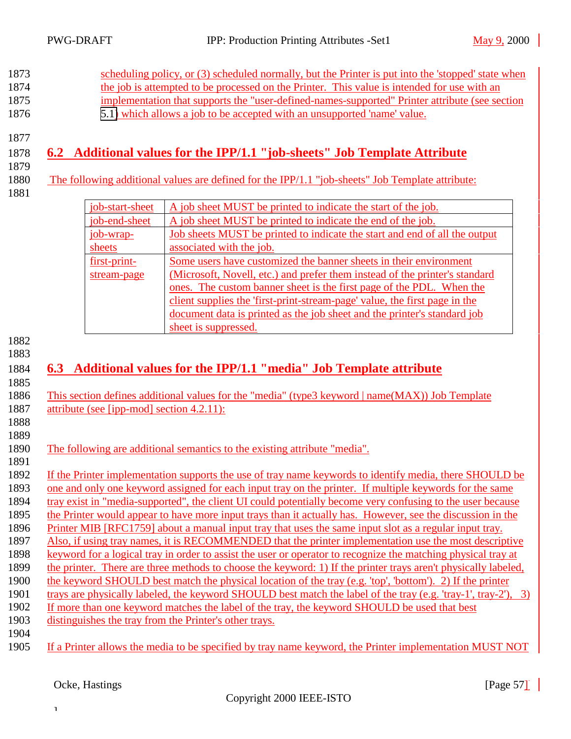<span id="page-56-0"></span>

|                                           |                 | the job is attempted to be processed on the Printer. This value is intended for use with an<br>implementation that supports the "user-defined-names-supported" Printer attribute (see section<br>5.1) which allows a job to be accepted with an unsupported 'name' value.                                                                                                                                                                                                                                                                                                                                                                                                                                                                                                                                                                                                                                                                                                                                                                                                                                                                                                                                                                                                                     |
|-------------------------------------------|-----------------|-----------------------------------------------------------------------------------------------------------------------------------------------------------------------------------------------------------------------------------------------------------------------------------------------------------------------------------------------------------------------------------------------------------------------------------------------------------------------------------------------------------------------------------------------------------------------------------------------------------------------------------------------------------------------------------------------------------------------------------------------------------------------------------------------------------------------------------------------------------------------------------------------------------------------------------------------------------------------------------------------------------------------------------------------------------------------------------------------------------------------------------------------------------------------------------------------------------------------------------------------------------------------------------------------|
|                                           |                 | 6.2 Additional values for the IPP/1.1 "job-sheets" Job Template Attribute                                                                                                                                                                                                                                                                                                                                                                                                                                                                                                                                                                                                                                                                                                                                                                                                                                                                                                                                                                                                                                                                                                                                                                                                                     |
|                                           |                 | The following additional values are defined for the IPP/1.1 "job-sheets" Job Template attribute:                                                                                                                                                                                                                                                                                                                                                                                                                                                                                                                                                                                                                                                                                                                                                                                                                                                                                                                                                                                                                                                                                                                                                                                              |
|                                           | job-start-sheet | A job sheet MUST be printed to indicate the start of the job.                                                                                                                                                                                                                                                                                                                                                                                                                                                                                                                                                                                                                                                                                                                                                                                                                                                                                                                                                                                                                                                                                                                                                                                                                                 |
|                                           | job-end-sheet   | A job sheet MUST be printed to indicate the end of the job.                                                                                                                                                                                                                                                                                                                                                                                                                                                                                                                                                                                                                                                                                                                                                                                                                                                                                                                                                                                                                                                                                                                                                                                                                                   |
| job-wrap-                                 |                 | Job sheets MUST be printed to indicate the start and end of all the output                                                                                                                                                                                                                                                                                                                                                                                                                                                                                                                                                                                                                                                                                                                                                                                                                                                                                                                                                                                                                                                                                                                                                                                                                    |
| sheets                                    |                 | associated with the job.                                                                                                                                                                                                                                                                                                                                                                                                                                                                                                                                                                                                                                                                                                                                                                                                                                                                                                                                                                                                                                                                                                                                                                                                                                                                      |
| first-print-                              |                 | Some users have customized the banner sheets in their environment                                                                                                                                                                                                                                                                                                                                                                                                                                                                                                                                                                                                                                                                                                                                                                                                                                                                                                                                                                                                                                                                                                                                                                                                                             |
|                                           | stream-page     | (Microsoft, Novell, etc.) and prefer them instead of the printer's standard                                                                                                                                                                                                                                                                                                                                                                                                                                                                                                                                                                                                                                                                                                                                                                                                                                                                                                                                                                                                                                                                                                                                                                                                                   |
|                                           |                 | ones. The custom banner sheet is the first page of the PDL. When the                                                                                                                                                                                                                                                                                                                                                                                                                                                                                                                                                                                                                                                                                                                                                                                                                                                                                                                                                                                                                                                                                                                                                                                                                          |
|                                           |                 | client supplies the 'first-print-stream-page' value, the first page in the                                                                                                                                                                                                                                                                                                                                                                                                                                                                                                                                                                                                                                                                                                                                                                                                                                                                                                                                                                                                                                                                                                                                                                                                                    |
|                                           |                 | document data is printed as the job sheet and the printer's standard job                                                                                                                                                                                                                                                                                                                                                                                                                                                                                                                                                                                                                                                                                                                                                                                                                                                                                                                                                                                                                                                                                                                                                                                                                      |
|                                           |                 | sheet is suppressed.                                                                                                                                                                                                                                                                                                                                                                                                                                                                                                                                                                                                                                                                                                                                                                                                                                                                                                                                                                                                                                                                                                                                                                                                                                                                          |
| attribute (see [ipp-mod] section 4.2.11): |                 | 6.3 Additional values for the IPP/1.1 "media" Job Template attribute<br>This section defines additional values for the "media" (type3 keyword   name(MAX)) Job Template                                                                                                                                                                                                                                                                                                                                                                                                                                                                                                                                                                                                                                                                                                                                                                                                                                                                                                                                                                                                                                                                                                                       |
|                                           |                 | The following are additional semantics to the existing attribute "media".                                                                                                                                                                                                                                                                                                                                                                                                                                                                                                                                                                                                                                                                                                                                                                                                                                                                                                                                                                                                                                                                                                                                                                                                                     |
|                                           |                 | If the Printer implementation supports the use of tray name keywords to identify media, there SHOULD be<br>one and only one keyword assigned for each input tray on the printer. If multiple keywords for the same<br>tray exist in "media-supported", the client UI could potentially become very confusing to the user because<br>the Printer would appear to have more input trays than it actually has. However, see the discussion in the<br>Printer MIB [RFC1759] about a manual input tray that uses the same input slot as a regular input tray.<br>Also, if using tray names, it is RECOMMENDED that the printer implementation use the most descriptive<br>keyword for a logical tray in order to assist the user or operator to recognize the matching physical tray at<br>the printer. There are three methods to choose the keyword: 1) If the printer trays aren't physically labeled,<br>the keyword SHOULD best match the physical location of the tray (e.g. 'top', 'bottom'). 2) If the printer<br>trays are physically labeled, the keyword SHOULD best match the label of the tray (e.g. 'tray-1', tray-2'), 3)<br>If more than one keyword matches the label of the tray, the keyword SHOULD be used that best<br>distinguishes the tray from the Printer's other trays. |
|                                           |                 | If a Printer allows the media to be specified by tray name keyword, the Printer implementation MUST NOT                                                                                                                                                                                                                                                                                                                                                                                                                                                                                                                                                                                                                                                                                                                                                                                                                                                                                                                                                                                                                                                                                                                                                                                       |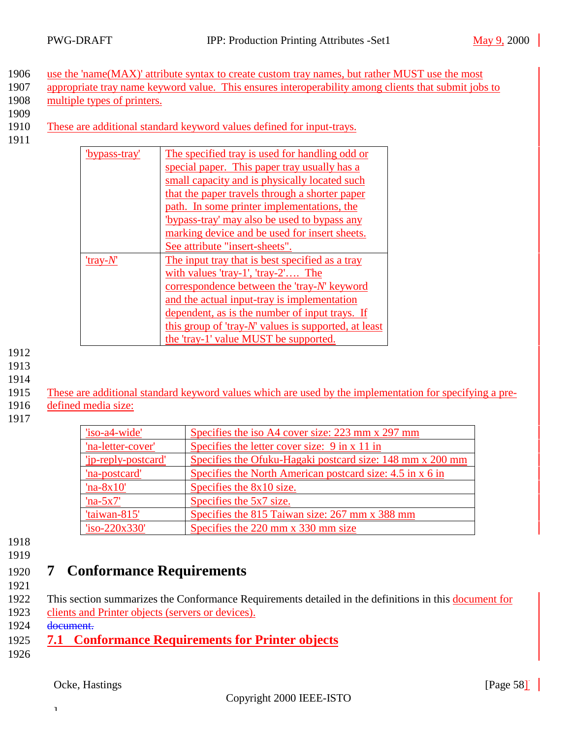<span id="page-57-0"></span>1906 use the 'name(MAX)' attribute syntax to create custom tray names, but rather MUST use the most

- 1907 appropriate tray name keyword value. This ensures interoperability among clients that submit jobs to 1908 multiple types of printers.
- 1909
- 1910 These are additional standard keyword values defined for input-trays.
- 1911

| 'bypass-tray' | The specified tray is used for handling odd or       |
|---------------|------------------------------------------------------|
|               | special paper. This paper tray usually has a         |
|               | small capacity and is physically located such        |
|               | that the paper travels through a shorter paper       |
|               | path. In some printer implementations, the           |
|               | "bypass-tray' may also be used to bypass any         |
|               | marking device and be used for insert sheets.        |
|               | See attribute "insert-sheets".                       |
| 'tray- $N'$   | The input tray that is best specified as a tray      |
|               | with values 'tray-1', 'tray-2' The                   |
|               | correspondence between the 'tray-N' keyword          |
|               | and the actual input-tray is implementation          |
|               | dependent, as is the number of input trays. If       |
|               | this group of 'tray-N' values is supported, at least |
|               | the 'tray-1' value MUST be supported.                |

- 1912
- 1913
- 1914
- 1915 These are additional standard keyword values which are used by the implementation for specifying a pre-
- 1916 defined media size:
- 1917

| 'iso-a4-wide'       | Specifies the iso A4 cover size: 223 mm x 297 mm                 |
|---------------------|------------------------------------------------------------------|
| 'na-letter-cover'   | Specifies the letter cover size: $9 \text{ in } x 11 \text{ in}$ |
| 'ip-reply-postcard' | Specifies the Ofuku-Hagaki postcard size: 148 mm x 200 mm        |
| 'na-postcard'       | Specifies the North American postcard size: 4.5 in x 6 in        |
| $'na-8x10'$         | Specifies the 8x10 size.                                         |
| $'na-5x7'$          | Specifies the 5x7 size.                                          |
| 'taiwan-815'        | Specifies the 815 Taiwan size: 267 mm x 388 mm                   |
| $iso-220x330'$      | Specifies the $220$ mm x 330 mm size                             |

1918

### 1919

# 1920 **7 Conformance Requirements**

- 1921
- 1922 This section summarizes the Conformance Requirements detailed in the definitions in this document for 1923 clients and Printer objects (servers or devices).
- 1924 document.

- 1925 **7.1 Conformance Requirements for Printer objects**
- 1926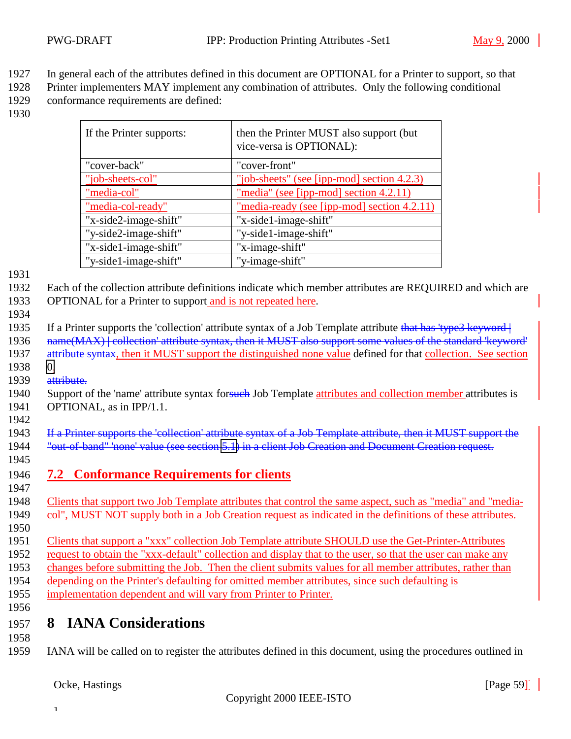- <span id="page-58-0"></span>1927 In general each of the attributes defined in this document are OPTIONAL for a Printer to support, so that
- 1928 Printer implementers MAY implement any combination of attributes. Only the following conditional 1929 conformance requirements are defined:
- 1930

| If the Printer supports: | then the Printer MUST also support (but)<br>vice-versa is OPTIONAL): |
|--------------------------|----------------------------------------------------------------------|
| "cover-back"             | "cover-front"                                                        |
| "job-sheets-col"         | "job-sheets" (see [ipp-mod] section 4.2.3)                           |
| "media-col"              | "media" (see [ipp-mod] section 4.2.11)                               |
| "media-col-ready"        | "media-ready (see [ipp-mod] section 4.2.11)                          |
| "x-side2-image-shift"    | "x-side1-image-shift"                                                |
| "y-side2-image-shift"    | "y-side1-image-shift"                                                |
| "x-side1-image-shift"    | "x-image-shift"                                                      |
| "y-side1-image-shift"    | "y-image-shift"                                                      |

1932 Each of the collection attribute definitions indicate which member attributes are REQUIRED and which are 1933 OPTIONAL for a Printer to support and is not repeated here.

1934

1935 If a Printer supports the 'collection' attribute syntax of a Job Template attribute that has 'type3 keyword 1936 name(MAX) | collection' attribute syntax, then it MUST also support some values of the standard 'keyword' 1937 attribute syntax, then it MUST support the distinguished none value defined for that collection. See section 1938 [0.](#page-10-0)

1939 attribute.

1940 Support of the 'name' attribute syntax for such Job Template attributes and collection member attributes is 1941 OPTIONAL, as in IPP/1.1.

1942

1943 If a Printer supports the 'collection' attribute syntax of a Job Template attribute, then it MUST support the 1944 "out-of-band" none' value (see section [5.1\)](#page-54-0) in a client Job Creation and Document Creation request.

1945

1946 **7.2 Conformance Requirements for clients** 1947

1948 Clients that support two Job Template attributes that control the same aspect, such as "media" and "media-1949 col", MUST NOT supply both in a Job Creation request as indicated in the definitions of these attributes.

1950

 Clients that support a "xxx" collection Job Template attribute SHOULD use the Get-Printer-Attributes request to obtain the "xxx-default" collection and display that to the user, so that the user can make any changes before submitting the Job. Then the client submits values for all member attributes, rather than depending on the Printer's defaulting for omitted member attributes, since such defaulting is implementation dependent and will vary from Printer to Printer.

1956

# 1957 **8 IANA Considerations**

1958

1959 IANA will be called on to register the attributes defined in this document, using the procedures outlined in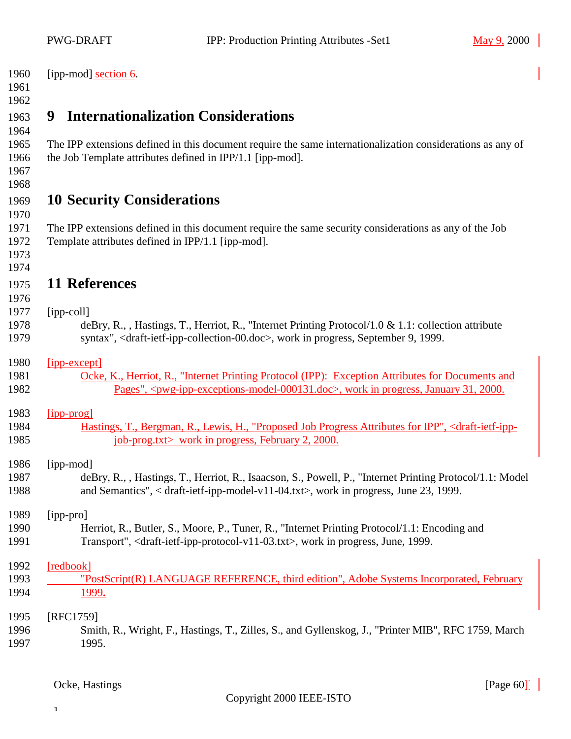<span id="page-59-0"></span>

| 1960 | [ipp-mod] section 6. |
|------|----------------------|
|------|----------------------|

# **9 Internationalization Considerations**

 The IPP extensions defined in this document require the same internationalization considerations as any of the Job Template attributes defined in IPP/1.1 [ipp-mod].

#### 

# **10 Security Considerations**

 The IPP extensions defined in this document require the same security considerations as any of the Job Template attributes defined in IPP/1.1 [ipp-mod].

 

### **11 References**

### [ipp-coll]

 deBry, R., , Hastings, T., Herriot, R., "Internet Printing Protocol/1.0 & 1.1: collection attribute syntax", <draft-ietf-ipp-collection-00.doc>, work in progress, September 9, 1999.

### [ipp-except]

| 1981 | Ocke, K., Herriot, R., "Internet Printing Protocol (IPP): Exception Attributes for Documents and                         |
|------|--------------------------------------------------------------------------------------------------------------------------|
| 1982 | Pages", <pwg-ipp-exceptions-model-000131.doc>, work in progress, January 31, 2000.</pwg-ipp-exceptions-model-000131.doc> |

### [ipp-prog]

 Hastings, T., Bergman, R., Lewis, H., "Proposed Job Progress Attributes for IPP", <draft-ietf-ipp-1985 job-prog.txt> work in progress, February 2, 2000.

### [ipp-mod]

 deBry, R., , Hastings, T., Herriot, R., Isaacson, S., Powell, P., "Internet Printing Protocol/1.1: Model and Semantics", < draft-ietf-ipp-model-v11-04.txt>, work in progress, June 23, 1999.

### [ipp-pro]

 Herriot, R., Butler, S., Moore, P., Tuner, R., "Internet Printing Protocol/1.1: Encoding and Transport", <draft-ietf-ipp-protocol-v11-03.txt>, work in progress, June, 1999.

### [redbook]

 $\mathbf 1$ 

1993 "PostScript(R) LANGUAGE REFERENCE, third edition", Adobe Systems Incorporated, February 1999**.**

### [RFC1759] Smith, R., Wright, F., Hastings, T., Zilles, S., and Gyllenskog, J., "Printer MIB", RFC 1759, March 1995.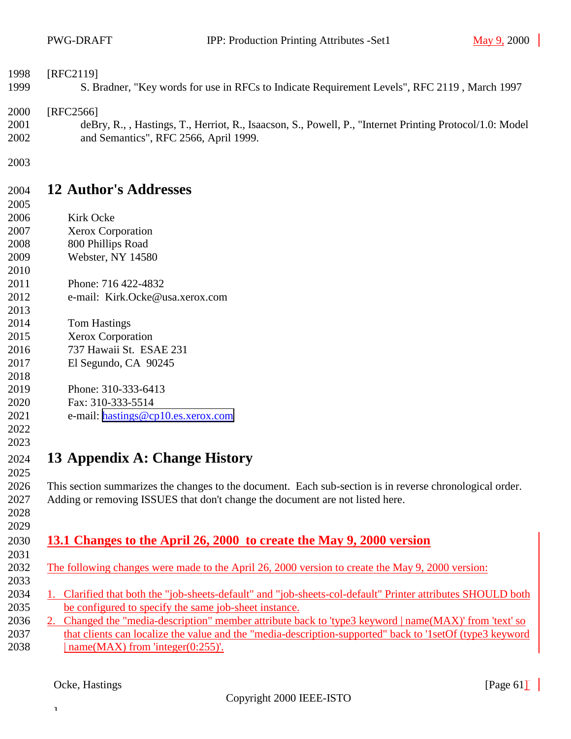<span id="page-60-0"></span>

| 1998 | [RFC2119]                                                                                                |
|------|----------------------------------------------------------------------------------------------------------|
| 1999 | S. Bradner, "Key words for use in RFCs to Indicate Requirement Levels", RFC 2119, March 1997             |
| 2000 | [RFC2566]                                                                                                |
| 2001 | deBry, R., , Hastings, T., Herriot, R., Isaacson, S., Powell, P., "Internet Printing Protocol/1.0: Model |
| 2002 | and Semantics", RFC 2566, April 1999.                                                                    |
| 2003 |                                                                                                          |
| 2004 | <b>12 Author's Addresses</b>                                                                             |
| 2005 |                                                                                                          |
| 2006 | Kirk Ocke                                                                                                |

- Xerox Corporation
- 800 Phillips Road
- Webster, NY 14580
- Phone: 716 422-4832
- e-mail: Kirk.Ocke@usa.xerox.com
- Tom Hastings
- Xerox Corporation
- 737 Hawaii St. ESAE 231
- El Segundo, CA 90245
- 
- Phone: 310-333-6413 Fax: 310-333-5514
- e-mail: [hastings@cp10.es.xerox.com](mailto:hastings@cp10.es.xerox.com)
- 

### **13 Appendix A: Change History**

 This section summarizes the changes to the document. Each sub-section is in reverse chronological order. Adding or removing ISSUES that don't change the document are not listed here. 

#### **13.1 Changes to the April 26, 2000 to create the May 9, 2000 version**

- The following changes were made to the April 26, 2000 version to create the May 9, 2000 version:
- 1. Clarified that both the "job-sheets-default" and "job-sheets-col-default" Printer attributes SHOULD both be configured to specify the same job-sheet instance.
- 2. Changed the "media-description" member attribute back to 'type3 keyword | name(MAX)' from 'text' so
- 2037 that clients can localize the value and the "media-description-supported" back to '1setOf (type3 keyword 2038 | name(MAX) from 'integer( $0:255$ )'.

 $\mathbf 1$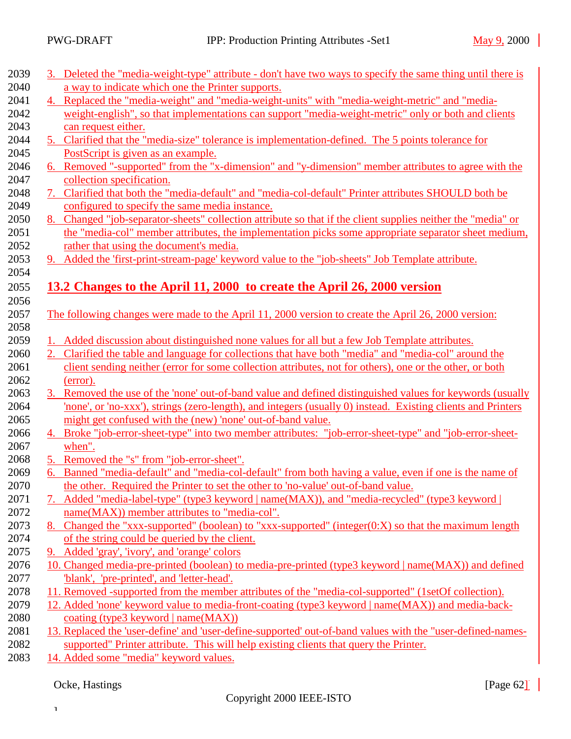<span id="page-61-0"></span>

| 3. Deleted the "media-weight-type" attribute - don't have two ways to specify the same thing until there is                     |
|---------------------------------------------------------------------------------------------------------------------------------|
| a way to indicate which one the Printer supports.                                                                               |
| 4. Replaced the "media-weight" and "media-weight-units" with "media-weight-metric" and "media-                                  |
| weight-english", so that implementations can support "media-weight-metric" only or both and clients                             |
| can request either.                                                                                                             |
| 5. Clarified that the "media-size" tolerance is implementation-defined. The 5 points tolerance for                              |
| PostScript is given as an example.                                                                                              |
| 6. Removed "-supported" from the "x-dimension" and "y-dimension" member attributes to agree with the                            |
| collection specification.                                                                                                       |
| 7. Clarified that both the "media-default" and "media-col-default" Printer attributes SHOULD both be                            |
| configured to specify the same media instance.                                                                                  |
| 8. Changed "job-separator-sheets" collection attribute so that if the client supplies neither the "media" or                    |
| the "media-col" member attributes, the implementation picks some appropriate separator sheet medium,                            |
| rather that using the document's media.                                                                                         |
| 9. Added the 'first-print-stream-page' keyword value to the "job-sheets" Job Template attribute.                                |
|                                                                                                                                 |
| 13.2 Changes to the April 11, 2000 to create the April 26, 2000 version                                                         |
|                                                                                                                                 |
| The following changes were made to the April 11, 2000 version to create the April 26, 2000 version:                             |
|                                                                                                                                 |
| 1. Added discussion about distinguished none values for all but a few Job Template attributes.                                  |
| Clarified the table and language for collections that have both "media" and "media-col" around the                              |
| client sending neither (error for some collection attributes, not for others), one or the other, or both                        |
| (error).                                                                                                                        |
| 3. Removed the use of the 'none' out-of-band value and defined distinguished values for keywords (usually                       |
| 'none', or 'no-xxx'), strings (zero-length), and integers (usually 0) instead. Existing clients and Printers                    |
| might get confused with the (new) 'none' out-of-band value.                                                                     |
| 4. Broke "job-error-sheet-type" into two member attributes: "job-error-sheet-type" and "job-error-sheet-                        |
| when".                                                                                                                          |
| 5. Removed the "s" from "job-error-sheet".                                                                                      |
| 6. Banned "media-default" and "media-col-default" from both having a value, even if one is the name of                          |
| the other. Required the Printer to set the other to 'no-value' out-of-band value.                                               |
| Added "media-label-type" (type3 keyword   name(MAX)), and "media-recycled" (type3 keyword                                       |
| name(MAX)) member attributes to "media-col".                                                                                    |
| 8. Changed the "xxx-supported" (boolean) to "xxx-supported" (integer(0:X) so that the maximum length                            |
| of the string could be queried by the client.                                                                                   |
| 9. Added 'gray', 'ivory', and 'orange' colors                                                                                   |
| 10. Changed media-pre-printed (boolean) to media-pre-printed (type3 keyword   name(MAX)) and defined                            |
| 'blank', 'pre-printed', and 'letter-head'.                                                                                      |
| 11. Removed -supported from the member attributes of the "media-col-supported" (1setOf collection).                             |
|                                                                                                                                 |
|                                                                                                                                 |
| 12. Added 'none' keyword value to media-front-coating (type3 keyword   name(MAX)) and media-back-                               |
| coating (type3 keyword   name(MAX))                                                                                             |
| 13. Replaced the 'user-define' and 'user-define-supported' out-of-band values with the "user-defined-names-                     |
| supported" Printer attribute. This will help existing clients that query the Printer.<br>14. Added some "media" keyword values. |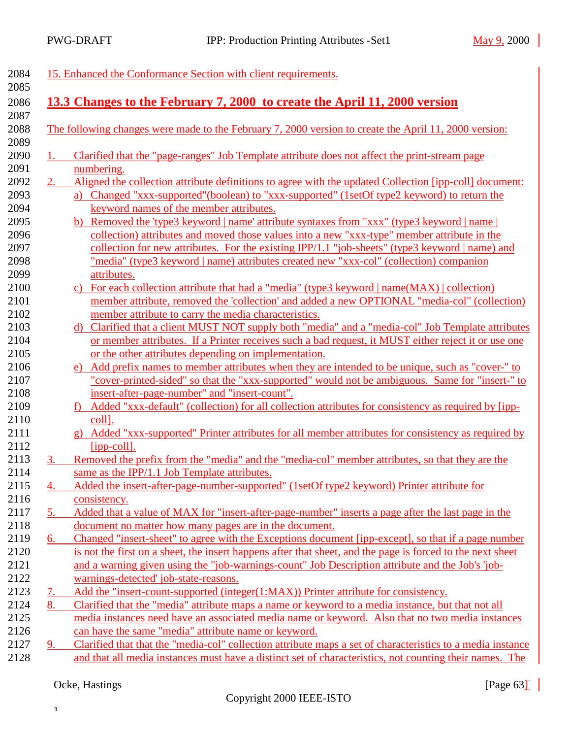<span id="page-62-0"></span>

| 2084 |                       | 15. Enhanced the Conformance Section with client requirements.                                             |  |
|------|-----------------------|------------------------------------------------------------------------------------------------------------|--|
| 2085 |                       |                                                                                                            |  |
| 2086 |                       | 13.3 Changes to the February 7, 2000 to create the April 11, 2000 version                                  |  |
| 2087 |                       |                                                                                                            |  |
| 2088 |                       | The following changes were made to the February 7, 2000 version to create the April 11, 2000 version:      |  |
| 2089 |                       |                                                                                                            |  |
| 2090 |                       | Clarified that the "page-ranges" Job Template attribute does not affect the print-stream page              |  |
| 2091 |                       | numbering.                                                                                                 |  |
| 2092 | $2\overline{)}$       | Aligned the collection attribute definitions to agree with the updated Collection [ipp-coll] document:     |  |
| 2093 |                       | a) Changed "xxx-supported" (boolean) to "xxx-supported" (1setOf type2 keyword) to return the               |  |
| 2094 |                       | keyword names of the member attributes.                                                                    |  |
| 2095 |                       | b) Removed the 'type3 keyword   name' attribute syntaxes from "xxx" (type3 keyword   name                  |  |
| 2096 |                       | collection) attributes and moved those values into a new "xxx-type" member attribute in the                |  |
| 2097 |                       |                                                                                                            |  |
|      |                       | collection for new attributes. For the existing IPP/1.1 "job-sheets" (type3 keyword   name) and            |  |
| 2098 |                       | "media" (type3 keyword   name) attributes created new "xxx-col" (collection) companion                     |  |
| 2099 |                       | attributes.                                                                                                |  |
| 2100 |                       | c) For each collection attribute that had a "media" (type3 keyword $ name(MAX) $ collection)               |  |
| 2101 |                       | member attribute, removed the 'collection' and added a new OPTIONAL "media-col" (collection)               |  |
| 2102 |                       | member attribute to carry the media characteristics.                                                       |  |
| 2103 |                       | d) Clarified that a client MUST NOT supply both "media" and a "media-col" Job Template attributes          |  |
| 2104 |                       | or member attributes. If a Printer receives such a bad request, it MUST either reject it or use one        |  |
| 2105 |                       | or the other attributes depending on implementation.                                                       |  |
| 2106 |                       | Add prefix names to member attributes when they are intended to be unique, such as "cover-" to             |  |
| 2107 |                       | "cover-printed-sided" so that the "xxx-supported" would not be ambiguous. Same for "insert-" to            |  |
| 2108 |                       | insert-after-page-number" and "insert-count".                                                              |  |
| 2109 |                       | Added "xxx-default" (collection) for all collection attributes for consistency as required by [ipp-        |  |
| 2110 |                       | coll].                                                                                                     |  |
| 2111 |                       | g) Added "xxx-supported" Printer attributes for all member attributes for consistency as required by       |  |
| 2112 |                       | $[$ ipp-coll $]$ .                                                                                         |  |
| 2113 | $3_{\cdot\cdot\cdot}$ | Removed the prefix from the "media" and the "media-col" member attributes, so that they are the            |  |
| 2114 |                       | same as the IPP/1.1 Job Template attributes.                                                               |  |
| 2115 | 4.                    | Added the insert-after-page-number-supported" (1setOf type2 keyword) Printer attribute for                 |  |
| 2116 |                       | consistency.                                                                                               |  |
| 2117 | 5.                    | Added that a value of MAX for "insert-after-page-number" inserts a page after the last page in the         |  |
| 2118 |                       | document no matter how many pages are in the document.                                                     |  |
| 2119 | 6.                    | Changed "insert-sheet" to agree with the Exceptions document [ipp-except], so that if a page number        |  |
| 2120 |                       | is not the first on a sheet, the insert happens after that sheet, and the page is forced to the next sheet |  |
| 2121 |                       | and a warning given using the "job-warnings-count" Job Description attribute and the Job's 'job-           |  |
| 2122 |                       | warnings-detected' job-state-reasons.                                                                      |  |
| 2123 | 7.                    | Add the "insert-count-supported (integer(1:MAX)) Printer attribute for consistency.                        |  |
| 2124 | 8.                    | Clarified that the "media" attribute maps a name or keyword to a media instance, but that not all          |  |
| 2125 |                       | media instances need have an associated media name or keyword. Also that no two media instances            |  |
| 2126 |                       | can have the same "media" attribute name or keyword.                                                       |  |
| 2127 | 9.                    | Clarified that that the "media-col" collection attribute maps a set of characteristics to a media instance |  |
| 2128 |                       | and that all media instances must have a distinct set of characteristics, not counting their names. The    |  |
|      |                       |                                                                                                            |  |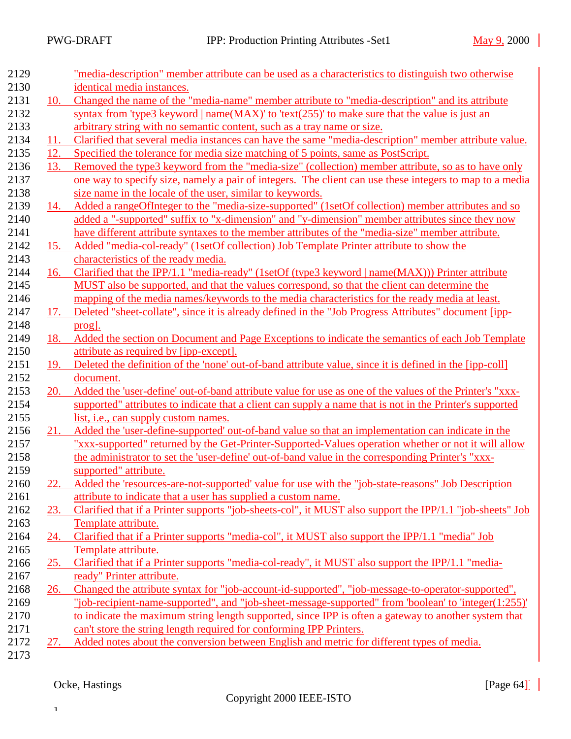| 2129 |            | "media-description" member attribute can be used as a characteristics to distinguish two otherwise       |  |  |
|------|------------|----------------------------------------------------------------------------------------------------------|--|--|
| 2130 |            | identical media instances.                                                                               |  |  |
| 2131 | 10.        | Changed the name of the "media-name" member attribute to "media-description" and its attribute           |  |  |
| 2132 |            | syntax from 'type3 keyword   name( $MAX$ )' to 'text(255)' to make sure that the value is just an        |  |  |
| 2133 |            | arbitrary string with no semantic content, such as a tray name or size.                                  |  |  |
| 2134 | 11.        | Clarified that several media instances can have the same "media-description" member attribute value.     |  |  |
| 2135 | 12.        | Specified the tolerance for media size matching of 5 points, same as PostScript.                         |  |  |
| 2136 | 13.        | Removed the type3 keyword from the "media-size" (collection) member attribute, so as to have only        |  |  |
| 2137 |            | one way to specify size, namely a pair of integers. The client can use these integers to map to a media  |  |  |
| 2138 |            | size name in the locale of the user, similar to keywords.                                                |  |  |
| 2139 | 14.        | Added a rangeOfInteger to the "media-size-supported" (1setOf collection) member attributes and so        |  |  |
| 2140 |            | added a "-supported" suffix to "x-dimension" and "y-dimension" member attributes since they now          |  |  |
| 2141 |            | have different attribute syntaxes to the member attributes of the "media-size" member attribute.         |  |  |
| 2142 | 15.        | Added "media-col-ready" (1setOf collection) Job Template Printer attribute to show the                   |  |  |
| 2143 |            | characteristics of the ready media.                                                                      |  |  |
| 2144 | 16.        | Clarified that the IPP/1.1 "media-ready" (1setOf (type3 keyword   name(MAX))) Printer attribute          |  |  |
| 2145 |            | MUST also be supported, and that the values correspond, so that the client can determine the             |  |  |
| 2146 |            | mapping of the media names/keywords to the media characteristics for the ready media at least.           |  |  |
| 2147 | 17.        | Deleted "sheet-collate", since it is already defined in the "Job Progress Attributes" document [ipp-     |  |  |
| 2148 |            | prog].                                                                                                   |  |  |
| 2149 | 18.        | Added the section on Document and Page Exceptions to indicate the semantics of each Job Template         |  |  |
| 2150 |            | attribute as required by [ipp-except].                                                                   |  |  |
| 2151 | 19.        | Deleted the definition of the 'none' out-of-band attribute value, since it is defined in the [ipp-coll]  |  |  |
| 2152 |            | document.                                                                                                |  |  |
| 2153 | 20.        | Added the 'user-define' out-of-band attribute value for use as one of the values of the Printer's "xxx-  |  |  |
| 2154 |            | supported" attributes to indicate that a client can supply a name that is not in the Printer's supported |  |  |
| 2155 |            | list, i.e., can supply custom names.                                                                     |  |  |
| 2156 | <u>21.</u> | Added the 'user-define-supported' out-of-band value so that an implementation can indicate in the        |  |  |
| 2157 |            | "xxx-supported" returned by the Get-Printer-Supported-Values operation whether or not it will allow      |  |  |
| 2158 |            | the administrator to set the 'user-define' out-of-band value in the corresponding Printer's "xxx-        |  |  |
| 2159 |            | supported" attribute.                                                                                    |  |  |
| 2160 | 22.        | Added the 'resources-are-not-supported' value for use with the "job-state-reasons" Job Description       |  |  |
| 2161 |            | attribute to indicate that a user has supplied a custom name.                                            |  |  |
| 2162 | 23.        | Clarified that if a Printer supports "job-sheets-col", it MUST also support the IPP/1.1 "job-sheets" Job |  |  |
| 2163 |            | Template attribute.                                                                                      |  |  |
| 2164 |            | 24. Clarified that if a Printer supports "media-col", it MUST also support the IPP/1.1 "media" Job       |  |  |
| 2165 |            | Template attribute.                                                                                      |  |  |
| 2166 | 25.        | Clarified that if a Printer supports "media-col-ready", it MUST also support the IPP/1.1 "media-         |  |  |
| 2167 |            | ready" Printer attribute.                                                                                |  |  |
| 2168 | 26.        | Changed the attribute syntax for "job-account-id-supported", "job-message-to-operator-supported",        |  |  |
| 2169 |            | "job-recipient-name-supported", and "job-sheet-message-supported" from 'boolean' to 'integer(1:255)'     |  |  |
| 2170 |            | to indicate the maximum string length supported, since IPP is often a gateway to another system that     |  |  |
| 2171 |            | can't store the string length required for conforming IPP Printers.                                      |  |  |
| 2172 | 27.        | Added notes about the conversion between English and metric for different types of media.                |  |  |
| 2173 |            |                                                                                                          |  |  |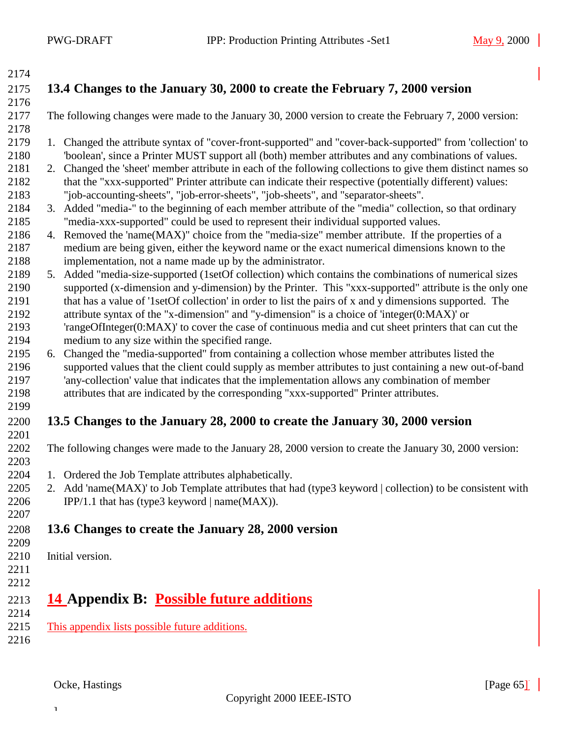<span id="page-64-0"></span>

# **13.4 Changes to the January 30, 2000 to create the February 7, 2000 version**

The following changes were made to the January 30, 2000 version to create the February 7, 2000 version:

- 1. Changed the attribute syntax of "cover-front-supported" and "cover-back-supported" from 'collection' to 'boolean', since a Printer MUST support all (both) member attributes and any combinations of values.
- 2. Changed the 'sheet' member attribute in each of the following collections to give them distinct names so 2182 that the "xxx-supported" Printer attribute can indicate their respective (potentially different) values: "job-accounting-sheets", "job-error-sheets", "job-sheets", and "separator-sheets".
- 3. Added "media-" to the beginning of each member attribute of the "media" collection, so that ordinary "media-xxx-supported" could be used to represent their individual supported values.
- 4. Removed the 'name(MAX)" choice from the "media-size" member attribute. If the properties of a medium are being given, either the keyword name or the exact numerical dimensions known to the implementation, not a name made up by the administrator.
- 5. Added "media-size-supported (1setOf collection) which contains the combinations of numerical sizes supported (x-dimension and y-dimension) by the Printer. This "xxx-supported" attribute is the only one that has a value of '1setOf collection' in order to list the pairs of x and y dimensions supported. The attribute syntax of the "x-dimension" and "y-dimension" is a choice of 'integer(0:MAX)' or
- 'rangeOfInteger(0:MAX)' to cover the case of continuous media and cut sheet printers that can cut the medium to any size within the specified range.
- 6. Changed the "media-supported" from containing a collection whose member attributes listed the supported values that the client could supply as member attributes to just containing a new out-of-band 'any-collection' value that indicates that the implementation allows any combination of member attributes that are indicated by the corresponding "xxx-supported" Printer attributes.
- 

#### **13.5 Changes to the January 28, 2000 to create the January 30, 2000 version**

- The following changes were made to the January 28, 2000 version to create the January 30, 2000 version:
- 1. Ordered the Job Template attributes alphabetically.
- 2205 2. Add 'name(MAX)' to Job Template attributes that had (type3 keyword | collection) to be consistent with 2206 IPP/1.1 that has (type3 keyword  $| name(MAX)|$ .
- **13.6 Changes to create the January 28, 2000 version**
- 
- Initial version.

 $\mathbf{I}$ 

- 
- 

### **14 Appendix B: Possible future additions**

- This appendix lists possible future additions.
-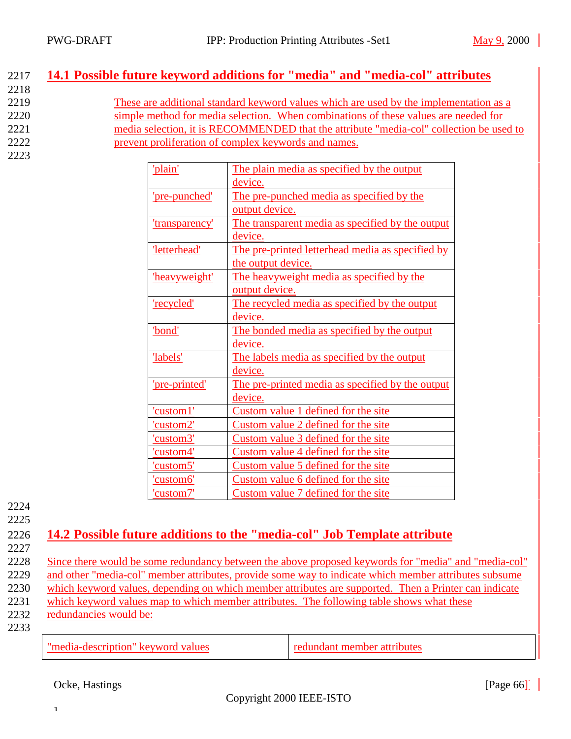### <span id="page-65-0"></span>2217 **14.1 Possible future keyword additions for "media" and "media-col" attributes**

2218 These are additional standard keyword values which are used by the implementation as a simple method for media selection. When combinations of these values are needed for media selection, it is RECOMMENDED that the attribute "media-col" collection be used to prevent proliferation of complex keywords and names. 2223

| 'plain'               | The plain media as specified by the output       |
|-----------------------|--------------------------------------------------|
|                       | device.                                          |
| 'pre-punched'         | The pre-punched media as specified by the        |
|                       | output device.                                   |
| <u>'transparency'</u> | The transparent media as specified by the output |
|                       | device.                                          |
| 'letterhead'          | The pre-printed letterhead media as specified by |
|                       | the output device.                               |
| heavyweight'          | The heavyweight media as specified by the        |
|                       | output device.                                   |
| 'recycled'            | The recycled media as specified by the output    |
|                       | device.                                          |
| 'bond'                | The bonded media as specified by the output      |
|                       | device.                                          |
| labels'               | The labels media as specified by the output      |
|                       | device.                                          |
| 'pre-printed'         | The pre-printed media as specified by the output |
|                       | device.                                          |
| 'custom1'             | Custom value 1 defined for the site              |
| 'custom2'             | Custom value 2 defined for the site              |
| 'custom3'             | Custom value 3 defined for the site              |
| 'custom4'             | Custom value 4 defined for the site              |
| 'custom5'             | Custom value 5 defined for the site              |
| 'custom6'             | Custom value 6 defined for the site              |
| 'custom7'             | Custom value 7 defined for the site              |

2224 2225

### 2226 **14.2 Possible future additions to the "media-col" Job Template attribute**

2227

 Since there would be some redundancy between the above proposed keywords for "media" and "media-col" and other "media-col" member attributes, provide some way to indicate which member attributes subsume which keyword values, depending on which member attributes are supported. Then a Printer can indicate which keyword values map to which member attributes. The following table shows what these redundancies would be: 2233

"media-description" keyword values redundant member attributes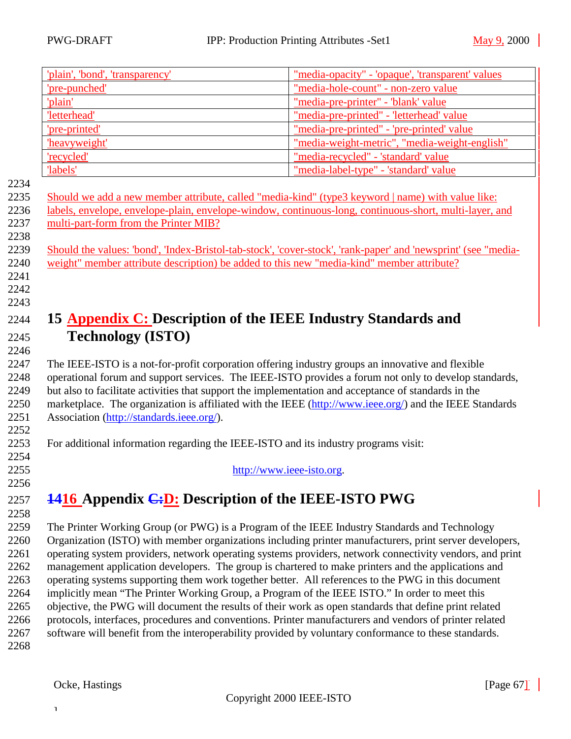<span id="page-66-0"></span>

|              | 'plain', 'bond', 'transparency'                                                                                                                                                                                 | "media-opacity" - 'opaque', 'transparent' values |  |
|--------------|-----------------------------------------------------------------------------------------------------------------------------------------------------------------------------------------------------------------|--------------------------------------------------|--|
|              | 'pre-punched'                                                                                                                                                                                                   | "media-hole-count" - non-zero value              |  |
|              | 'plain'                                                                                                                                                                                                         | "media-pre-printer" - 'blank' value              |  |
|              | 'letterhead'                                                                                                                                                                                                    | "media-pre-printed" - 'letterhead' value         |  |
|              | 'pre-printed'                                                                                                                                                                                                   | "media-pre-printed" - 'pre-printed' value        |  |
|              | 'heavyweight'                                                                                                                                                                                                   | "media-weight-metric", "media-weight-english"    |  |
|              | 'recycled'                                                                                                                                                                                                      | "media-recycled" - 'standard' value              |  |
|              | 'labels'                                                                                                                                                                                                        | "media-label-type" - 'standard' value            |  |
| 2234         |                                                                                                                                                                                                                 |                                                  |  |
| 2235         | Should we add a new member attribute, called "media-kind" (type3 keyword   name) with value like:                                                                                                               |                                                  |  |
| 2236         | labels, envelope, envelope-plain, envelope-window, continuous-long, continuous-short, multi-layer, and                                                                                                          |                                                  |  |
| 2237         | multi-part-form from the Printer MIB?                                                                                                                                                                           |                                                  |  |
| 2238         |                                                                                                                                                                                                                 |                                                  |  |
| 2239<br>2240 | Should the values: 'bond', 'Index-Bristol-tab-stock', 'cover-stock', 'rank-paper' and 'newsprint' (see "media-<br>weight" member attribute description) be added to this new "media-kind" member attribute?     |                                                  |  |
| 2241         |                                                                                                                                                                                                                 |                                                  |  |
| 2242         |                                                                                                                                                                                                                 |                                                  |  |
| 2243         |                                                                                                                                                                                                                 |                                                  |  |
| 2244         | 15 <b>Appendix C:</b> Description of the IEEE Industry Standards and                                                                                                                                            |                                                  |  |
|              |                                                                                                                                                                                                                 |                                                  |  |
| 2245         | <b>Technology (ISTO)</b>                                                                                                                                                                                        |                                                  |  |
| 2246         |                                                                                                                                                                                                                 |                                                  |  |
| 2247         | The IEEE-ISTO is a not-for-profit corporation offering industry groups an innovative and flexible                                                                                                               |                                                  |  |
| 2248         | operational forum and support services. The IEEE-ISTO provides a forum not only to develop standards,                                                                                                           |                                                  |  |
| 2249         | but also to facilitate activities that support the implementation and acceptance of standards in the<br>marketplace. The organization is affiliated with the IEEE (http://www.ieee.org/) and the IEEE Standards |                                                  |  |
| 2250<br>2251 |                                                                                                                                                                                                                 |                                                  |  |
| 2252         | Association (http://standards.ieee.org/).                                                                                                                                                                       |                                                  |  |
| 2253         | For additional information regarding the IEEE-ISTO and its industry programs visit:                                                                                                                             |                                                  |  |
| 2254         |                                                                                                                                                                                                                 |                                                  |  |
| 2255         | http://www.ieee-isto.org.                                                                                                                                                                                       |                                                  |  |
| 2256         |                                                                                                                                                                                                                 |                                                  |  |
| 2257         | <b>1416</b> Appendix <i>C</i> : <i>D</i> : Description of the IEEE-ISTO PWG                                                                                                                                     |                                                  |  |
| 2258         |                                                                                                                                                                                                                 |                                                  |  |
| 2259         |                                                                                                                                                                                                                 |                                                  |  |
| 2260         | The Printer Working Group (or PWG) is a Program of the IEEE Industry Standards and Technology<br>Organization (ISTO) with member organizations including printer manufacturers, print server developers,        |                                                  |  |
| 2261         | operating system providers, network operating systems providers, network connectivity vendors, and print                                                                                                        |                                                  |  |
| 2262         | management application developers. The group is chartered to make printers and the applications and                                                                                                             |                                                  |  |
| 2263         | operating systems supporting them work together better. All references to the PWG in this document                                                                                                              |                                                  |  |
| 2264         | implicitly mean "The Printer Working Group, a Program of the IEEE ISTO." In order to meet this                                                                                                                  |                                                  |  |
| 2265         | objective, the PWG will document the results of their work as open standards that define print related                                                                                                          |                                                  |  |
| 2266         | protocols, interfaces, procedures and conventions. Printer manufacturers and vendors of printer related                                                                                                         |                                                  |  |
| 2267         | software will benefit from the interoperability provided by voluntary conformance to these standards.                                                                                                           |                                                  |  |
| 2268         |                                                                                                                                                                                                                 |                                                  |  |
|              |                                                                                                                                                                                                                 |                                                  |  |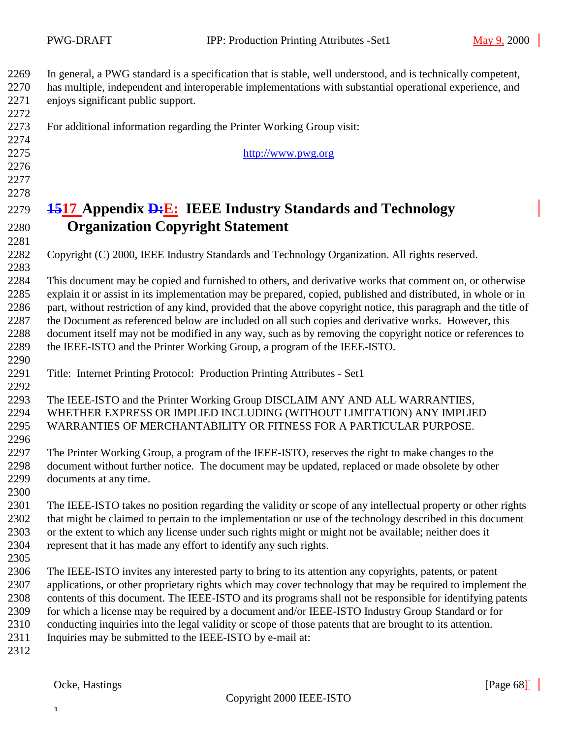<span id="page-67-0"></span> In general, a PWG standard is a specification that is stable, well understood, and is technically competent, has multiple, independent and interoperable implementations with substantial operational experience, and

 enjoys significant public support. 

For additional information regarding the Printer Working Group visit:

http://www.pwg.org

# **1517 Appendix D:E: IEEE Industry Standards and Technology Organization Copyright Statement**

Copyright (C) 2000, IEEE Industry Standards and Technology Organization. All rights reserved.

 This document may be copied and furnished to others, and derivative works that comment on, or otherwise explain it or assist in its implementation may be prepared, copied, published and distributed, in whole or in part, without restriction of any kind, provided that the above copyright notice, this paragraph and the title of the Document as referenced below are included on all such copies and derivative works. However, this document itself may not be modified in any way, such as by removing the copyright notice or references to the IEEE-ISTO and the Printer Working Group, a program of the IEEE-ISTO. 

Title: Internet Printing Protocol: Production Printing Attributes - Set1

 The IEEE-ISTO and the Printer Working Group DISCLAIM ANY AND ALL WARRANTIES, WHETHER EXPRESS OR IMPLIED INCLUDING (WITHOUT LIMITATION) ANY IMPLIED WARRANTIES OF MERCHANTABILITY OR FITNESS FOR A PARTICULAR PURPOSE.

 The Printer Working Group, a program of the IEEE-ISTO, reserves the right to make changes to the document without further notice. The document may be updated, replaced or made obsolete by other documents at any time.

 The IEEE-ISTO takes no position regarding the validity or scope of any intellectual property or other rights that might be claimed to pertain to the implementation or use of the technology described in this document or the extent to which any license under such rights might or might not be available; neither does it represent that it has made any effort to identify any such rights.

- The IEEE-ISTO invites any interested party to bring to its attention any copyrights, patents, or patent applications, or other proprietary rights which may cover technology that may be required to implement the contents of this document. The IEEE-ISTO and its programs shall not be responsible for identifying patents for which a license may be required by a document and/or IEEE-ISTO Industry Group Standard or for conducting inquiries into the legal validity or scope of those patents that are brought to its attention.
- 2311 Inquiries may be submitted to the IEEE-ISTO by e-mail at: